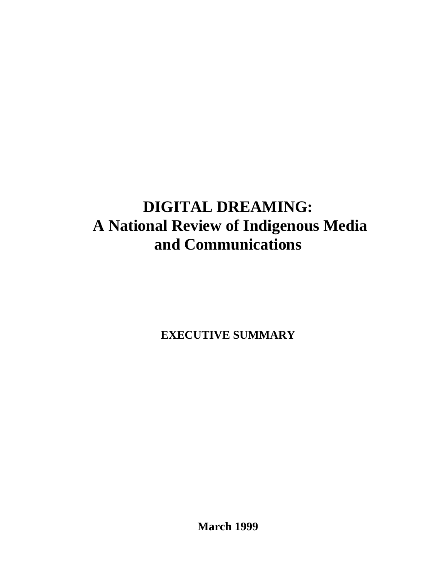# **DIGITAL DREAMING: A National Review of Indigenous Media and Communications**

**EXECUTIVE SUMMARY**

**March 1999**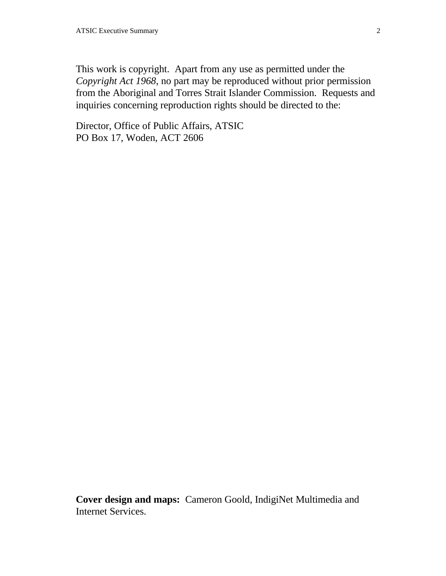This work is copyright. Apart from any use as permitted under the *Copyright Act 1968*, no part may be reproduced without prior permission from the Aboriginal and Torres Strait Islander Commission. Requests and inquiries concerning reproduction rights should be directed to the:

Director, Office of Public Affairs, ATSIC PO Box 17, Woden, ACT 2606

**Cover design and maps:** Cameron Goold, IndigiNet Multimedia and Internet Services.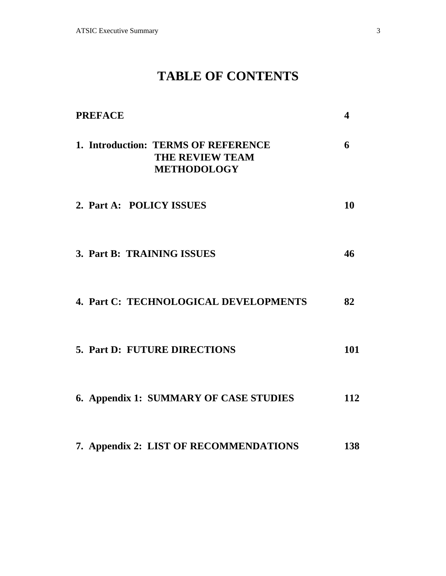# **TABLE OF CONTENTS**

| <b>PREFACE</b>                                                               | 4   |
|------------------------------------------------------------------------------|-----|
| 1. Introduction: TERMS OF REFERENCE<br>THE REVIEW TEAM<br><b>METHODOLOGY</b> | 6   |
| 2. Part A: POLICY ISSUES                                                     | 10  |
| 3. Part B: TRAINING ISSUES                                                   | 46  |
| 4. Part C: TECHNOLOGICAL DEVELOPMENTS                                        | 82  |
| 5. Part D: FUTURE DIRECTIONS                                                 | 101 |
| 6. Appendix 1: SUMMARY OF CASE STUDIES                                       | 112 |
| 7. Appendix 2: LIST OF RECOMMENDATIONS                                       | 138 |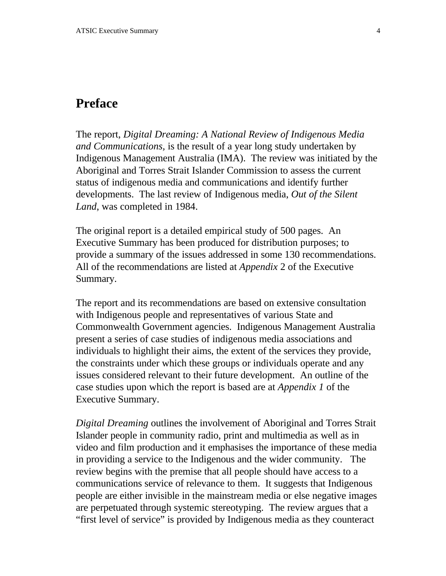# **Preface**

The report, *Digital Dreaming: A National Review of Indigenous Media and Communications,* is the result of a year long study undertaken by Indigenous Management Australia (IMA). The review was initiated by the Aboriginal and Torres Strait Islander Commission to assess the current status of indigenous media and communications and identify further developments. The last review of Indigenous media, *Out of the Silent Land*, was completed in 1984.

The original report is a detailed empirical study of 500 pages. An Executive Summary has been produced for distribution purposes; to provide a summary of the issues addressed in some 130 recommendations. All of the recommendations are listed at *Appendix* 2 of the Executive Summary.

The report and its recommendations are based on extensive consultation with Indigenous people and representatives of various State and Commonwealth Government agencies. Indigenous Management Australia present a series of case studies of indigenous media associations and individuals to highlight their aims, the extent of the services they provide, the constraints under which these groups or individuals operate and any issues considered relevant to their future development. An outline of the case studies upon which the report is based are at *Appendix 1* of the Executive Summary.

*Digital Dreaming* outlines the involvement of Aboriginal and Torres Strait Islander people in community radio, print and multimedia as well as in video and film production and it emphasises the importance of these media in providing a service to the Indigenous and the wider community. The review begins with the premise that all people should have access to a communications service of relevance to them. It suggests that Indigenous people are either invisible in the mainstream media or else negative images are perpetuated through systemic stereotyping. The review argues that a "first level of service" is provided by Indigenous media as they counteract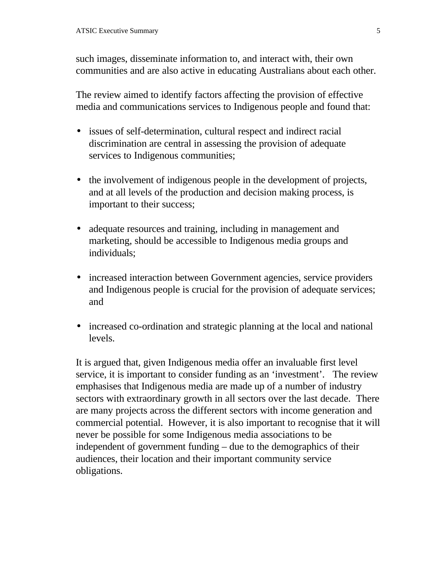such images, disseminate information to, and interact with, their own communities and are also active in educating Australians about each other.

The review aimed to identify factors affecting the provision of effective media and communications services to Indigenous people and found that:

- issues of self-determination, cultural respect and indirect racial discrimination are central in assessing the provision of adequate services to Indigenous communities;
- the involvement of indigenous people in the development of projects, and at all levels of the production and decision making process, is important to their success;
- adequate resources and training, including in management and marketing, should be accessible to Indigenous media groups and individuals;
- increased interaction between Government agencies, service providers and Indigenous people is crucial for the provision of adequate services; and
- increased co-ordination and strategic planning at the local and national levels.

It is argued that, given Indigenous media offer an invaluable first level service, it is important to consider funding as an 'investment'. The review emphasises that Indigenous media are made up of a number of industry sectors with extraordinary growth in all sectors over the last decade. There are many projects across the different sectors with income generation and commercial potential. However, it is also important to recognise that it will never be possible for some Indigenous media associations to be independent of government funding – due to the demographics of their audiences, their location and their important community service obligations.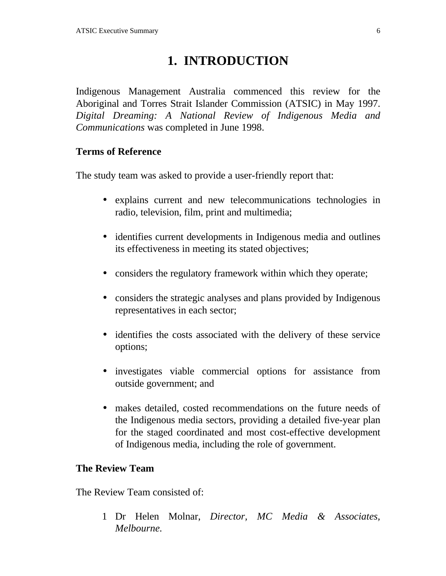# **1. INTRODUCTION**

Indigenous Management Australia commenced this review for the Aboriginal and Torres Strait Islander Commission (ATSIC) in May 1997. *Digital Dreaming: A National Review of Indigenous Media and Communications* was completed in June 1998.

### **Terms of Reference**

The study team was asked to provide a user-friendly report that:

- explains current and new telecommunications technologies in radio, television, film, print and multimedia;
- identifies current developments in Indigenous media and outlines its effectiveness in meeting its stated objectives;
- considers the regulatory framework within which they operate;
- considers the strategic analyses and plans provided by Indigenous representatives in each sector;
- identifies the costs associated with the delivery of these service options;
- investigates viable commercial options for assistance from outside government; and
- makes detailed, costed recommendations on the future needs of the Indigenous media sectors, providing a detailed five-year plan for the staged coordinated and most cost-effective development of Indigenous media, including the role of government.

### **The Review Team**

The Review Team consisted of:

1 Dr Helen Molnar, *Director, MC Media & Associates, Melbourne.*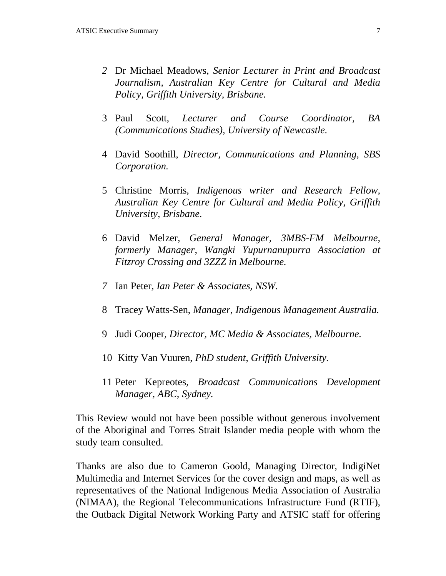- *2* Dr Michael Meadows, *Senior Lecturer in Print and Broadcast Journalism, Australian Key Centre for Cultural and Media Policy, Griffith University, Brisbane.*
- 3 Paul Scott, *Lecturer and Course Coordinator, BA (Communications Studies), University of Newcastle.*
- 4 David Soothill, *Director, Communications and Planning, SBS Corporation.*
- 5 Christine Morris*, Indigenous writer and Research Fellow, Australian Key Centre for Cultural and Media Policy, Griffith University, Brisbane.*
- 6 David Melzer, *General Manager, 3MBS-FM Melbourne, formerly Manager, Wangki Yupurnanupurra Association at Fitzroy Crossing and 3ZZZ in Melbourne.*
- *7* Ian Peter, *Ian Peter & Associates, NSW.*
- 8 Tracey Watts-Sen, *Manager, Indigenous Management Australia.*
- 9 Judi Cooper*, Director, MC Media & Associates, Melbourne.*
- 10 Kitty Van Vuuren, *PhD student, Griffith University.*
- 11 Peter Kepreotes, *Broadcast Communications Development Manager, ABC, Sydney.*

This Review would not have been possible without generous involvement of the Aboriginal and Torres Strait Islander media people with whom the study team consulted.

Thanks are also due to Cameron Goold, Managing Director, IndigiNet Multimedia and Internet Services for the cover design and maps, as well as representatives of the National Indigenous Media Association of Australia (NIMAA), the Regional Telecommunications Infrastructure Fund (RTIF), the Outback Digital Network Working Party and ATSIC staff for offering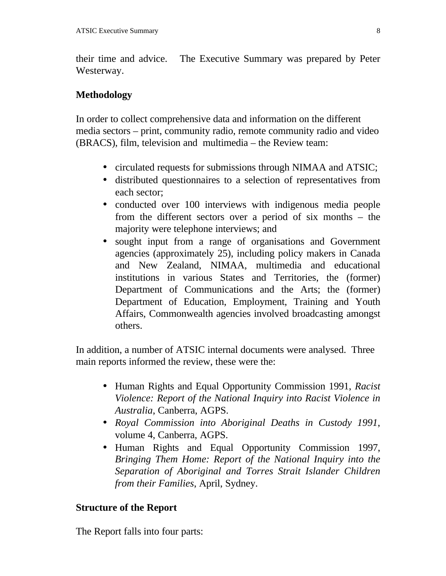their time and advice. The Executive Summary was prepared by Peter Westerway.

## **Methodology**

In order to collect comprehensive data and information on the different media sectors – print, community radio, remote community radio and video (BRACS), film, television and multimedia – the Review team:

- circulated requests for submissions through NIMAA and ATSIC;
- distributed questionnaires to a selection of representatives from each sector;
- conducted over 100 interviews with indigenous media people from the different sectors over a period of six months – the majority were telephone interviews; and
- sought input from a range of organisations and Government agencies (approximately 25), including policy makers in Canada and New Zealand, NIMAA, multimedia and educational institutions in various States and Territories, the (former) Department of Communications and the Arts; the (former) Department of Education, Employment, Training and Youth Affairs, Commonwealth agencies involved broadcasting amongst others.

In addition, a number of ATSIC internal documents were analysed. Three main reports informed the review, these were the:

- Human Rights and Equal Opportunity Commission 1991, *Racist Violence: Report of the National Inquiry into Racist Violence in Australia*, Canberra, AGPS.
- *Royal Commission into Aboriginal Deaths in Custody 1991*, volume 4, Canberra, AGPS.
- Human Rights and Equal Opportunity Commission 1997, *Bringing Them Home: Report of the National Inquiry into the Separation of Aboriginal and Torres Strait Islander Children from their Families*, April, Sydney.

# **Structure of the Report**

The Report falls into four parts: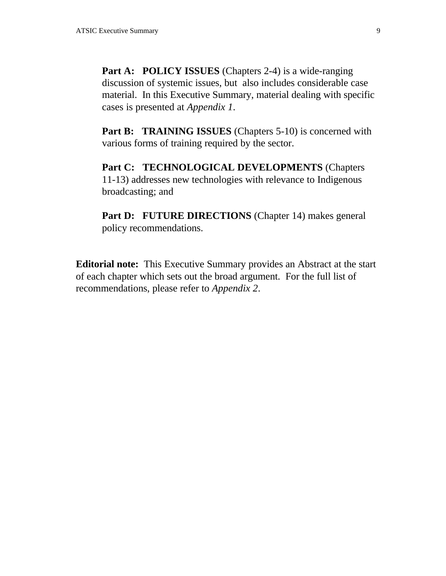**Part A: POLICY ISSUES** (Chapters 2-4) is a wide-ranging discussion of systemic issues, but also includes considerable case material. In this Executive Summary, material dealing with specific cases is presented at *Appendix 1*.

**Part B: TRAINING ISSUES** (Chapters 5-10) is concerned with various forms of training required by the sector.

**Part C: TECHNOLOGICAL DEVELOPMENTS** (Chapters 11-13) addresses new technologies with relevance to Indigenous broadcasting; and

Part D: FUTURE DIRECTIONS (Chapter 14) makes general policy recommendations.

**Editorial note:** This Executive Summary provides an Abstract at the start of each chapter which sets out the broad argument. For the full list of recommendations, please refer to *Appendix 2*.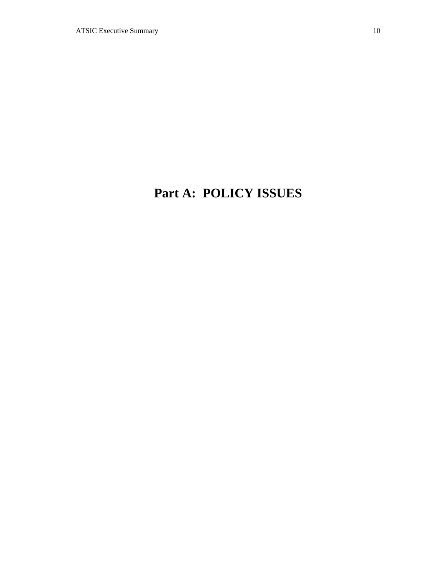# **Part A: POLICY ISSUES**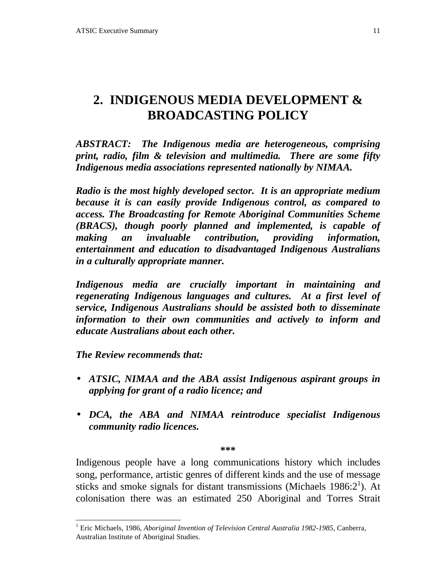# **2. INDIGENOUS MEDIA DEVELOPMENT & BROADCASTING POLICY**

*ABSTRACT: The Indigenous media are heterogeneous, comprising print, radio, film & television and multimedia. There are some fifty Indigenous media associations represented nationally by NIMAA.*

*Radio is the most highly developed sector. It is an appropriate medium because it is can easily provide Indigenous control, as compared to access. The Broadcasting for Remote Aboriginal Communities Scheme (BRACS), though poorly planned and implemented, is capable of making an invaluable contribution, providing information, entertainment and education to disadvantaged Indigenous Australians in a culturally appropriate manner.*

*Indigenous media are crucially important in maintaining and regenerating Indigenous languages and cultures. At a first level of service, Indigenous Australians should be assisted both to disseminate information to their own communities and actively to inform and educate Australians about each other.*

*The Review recommends that:*

1

- *ATSIC, NIMAA and the ABA assist Indigenous aspirant groups in applying for grant of a radio licence; and*
- *DCA, the ABA and NIMAA reintroduce specialist Indigenous community radio licences.*

**\*\*\***

Indigenous people have a long communications history which includes song, performance, artistic genres of different kinds and the use of message sticks and smoke signals for distant transmissions (Michaels 1986: $2<sup>1</sup>$ ). At colonisation there was an estimated 250 Aboriginal and Torres Strait

<sup>&</sup>lt;sup>1</sup> Eric Michaels, 1986, *Aboriginal Invention of Television Central Australia 1982-1985*, Canberra, Australian Institute of Aboriginal Studies.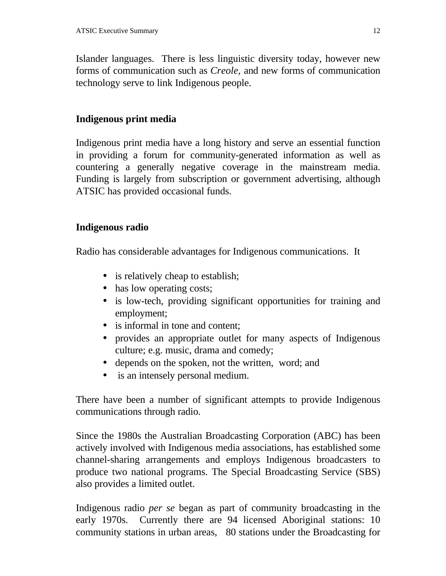Islander languages. There is less linguistic diversity today, however new forms of communication such as *Creole,* and new forms of communication technology serve to link Indigenous people.

## **Indigenous print media**

Indigenous print media have a long history and serve an essential function in providing a forum for community-generated information as well as countering a generally negative coverage in the mainstream media. Funding is largely from subscription or government advertising, although ATSIC has provided occasional funds.

### **Indigenous radio**

Radio has considerable advantages for Indigenous communications. It

- is relatively cheap to establish;
- has low operating costs;
- is low-tech, providing significant opportunities for training and employment;
- is informal in tone and content:
- provides an appropriate outlet for many aspects of Indigenous culture; e.g. music, drama and comedy;
- depends on the spoken, not the written, word; and
- is an intensely personal medium.

There have been a number of significant attempts to provide Indigenous communications through radio.

Since the 1980s the Australian Broadcasting Corporation (ABC) has been actively involved with Indigenous media associations, has established some channel-sharing arrangements and employs Indigenous broadcasters to produce two national programs. The Special Broadcasting Service (SBS) also provides a limited outlet.

Indigenous radio *per se* began as part of community broadcasting in the early 1970s. Currently there are 94 licensed Aboriginal stations: 10 community stations in urban areas, 80 stations under the Broadcasting for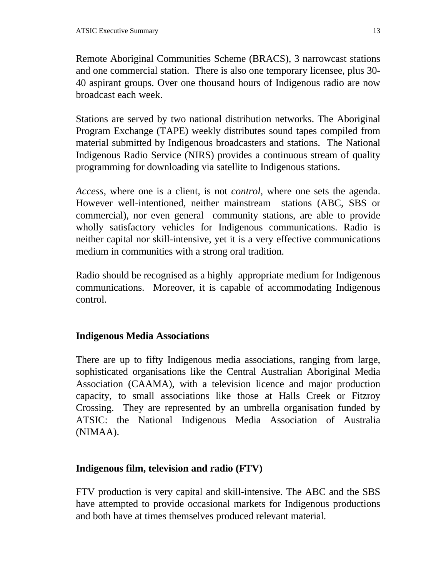Remote Aboriginal Communities Scheme (BRACS), 3 narrowcast stations and one commercial station. There is also one temporary licensee, plus 30- 40 aspirant groups. Over one thousand hours of Indigenous radio are now broadcast each week.

Stations are served by two national distribution networks. The Aboriginal Program Exchange (TAPE) weekly distributes sound tapes compiled from material submitted by Indigenous broadcasters and stations. The National Indigenous Radio Service (NIRS) provides a continuous stream of quality programming for downloading via satellite to Indigenous stations.

*Access*, where one is a client, is not *control*, where one sets the agenda. However well-intentioned, neither mainstream stations (ABC, SBS or commercial), nor even general community stations, are able to provide wholly satisfactory vehicles for Indigenous communications. Radio is neither capital nor skill-intensive, yet it is a very effective communications medium in communities with a strong oral tradition.

Radio should be recognised as a highly appropriate medium for Indigenous communications. Moreover, it is capable of accommodating Indigenous control.

#### **Indigenous Media Associations**

There are up to fifty Indigenous media associations, ranging from large, sophisticated organisations like the Central Australian Aboriginal Media Association (CAAMA), with a television licence and major production capacity, to small associations like those at Halls Creek or Fitzroy Crossing. They are represented by an umbrella organisation funded by ATSIC: the National Indigenous Media Association of Australia (NIMAA).

#### **Indigenous film, television and radio (FTV)**

FTV production is very capital and skill-intensive. The ABC and the SBS have attempted to provide occasional markets for Indigenous productions and both have at times themselves produced relevant material.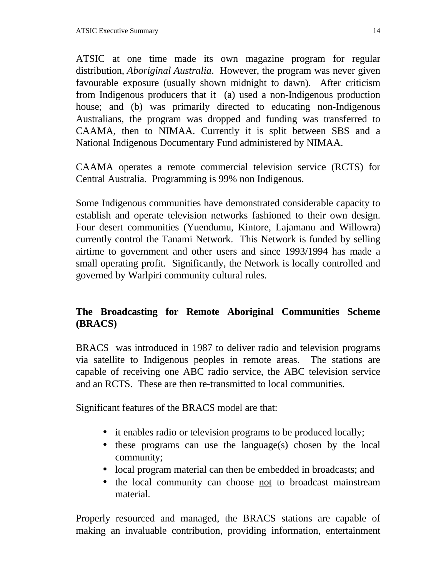ATSIC at one time made its own magazine program for regular distribution, *Aboriginal Australia*. However, the program was never given favourable exposure (usually shown midnight to dawn). After criticism from Indigenous producers that it (a) used a non-Indigenous production house; and (b) was primarily directed to educating non-Indigenous Australians, the program was dropped and funding was transferred to CAAMA, then to NIMAA. Currently it is split between SBS and a National Indigenous Documentary Fund administered by NIMAA.

CAAMA operates a remote commercial television service (RCTS) for Central Australia. Programming is 99% non Indigenous.

Some Indigenous communities have demonstrated considerable capacity to establish and operate television networks fashioned to their own design. Four desert communities (Yuendumu, Kintore, Lajamanu and Willowra) currently control the Tanami Network. This Network is funded by selling airtime to government and other users and since 1993/1994 has made a small operating profit. Significantly, the Network is locally controlled and governed by Warlpiri community cultural rules.

# **The Broadcasting for Remote Aboriginal Communities Scheme (BRACS)**

BRACS was introduced in 1987 to deliver radio and television programs via satellite to Indigenous peoples in remote areas. The stations are capable of receiving one ABC radio service, the ABC television service and an RCTS. These are then re-transmitted to local communities.

Significant features of the BRACS model are that:

- it enables radio or television programs to be produced locally;
- these programs can use the language(s) chosen by the local community;
- local program material can then be embedded in broadcasts; and
- the local community can choose not to broadcast mainstream material.

Properly resourced and managed, the BRACS stations are capable of making an invaluable contribution, providing information, entertainment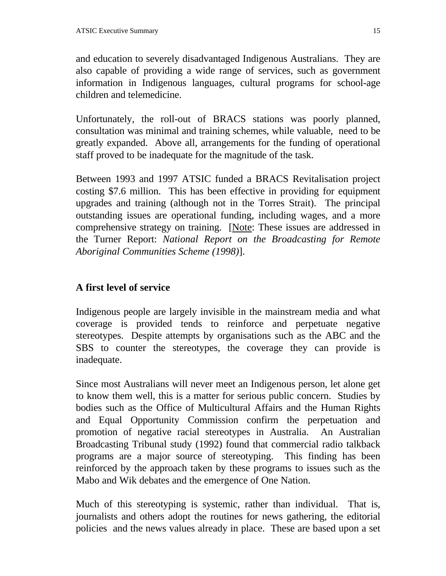and education to severely disadvantaged Indigenous Australians. They are also capable of providing a wide range of services, such as government information in Indigenous languages, cultural programs for school-age children and telemedicine.

Unfortunately, the roll-out of BRACS stations was poorly planned, consultation was minimal and training schemes, while valuable, need to be greatly expanded. Above all, arrangements for the funding of operational staff proved to be inadequate for the magnitude of the task.

Between 1993 and 1997 ATSIC funded a BRACS Revitalisation project costing \$7.6 million. This has been effective in providing for equipment upgrades and training (although not in the Torres Strait). The principal outstanding issues are operational funding, including wages, and a more comprehensive strategy on training. [Note: These issues are addressed in the Turner Report: *National Report on the Broadcasting for Remote Aboriginal Communities Scheme (1998)*].

# **A first level of service**

Indigenous people are largely invisible in the mainstream media and what coverage is provided tends to reinforce and perpetuate negative stereotypes. Despite attempts by organisations such as the ABC and the SBS to counter the stereotypes, the coverage they can provide is inadequate.

Since most Australians will never meet an Indigenous person, let alone get to know them well, this is a matter for serious public concern. Studies by bodies such as the Office of Multicultural Affairs and the Human Rights and Equal Opportunity Commission confirm the perpetuation and promotion of negative racial stereotypes in Australia. An Australian Broadcasting Tribunal study (1992) found that commercial radio talkback programs are a major source of stereotyping. This finding has been reinforced by the approach taken by these programs to issues such as the Mabo and Wik debates and the emergence of One Nation.

Much of this stereotyping is systemic, rather than individual. That is, journalists and others adopt the routines for news gathering, the editorial policies and the news values already in place. These are based upon a set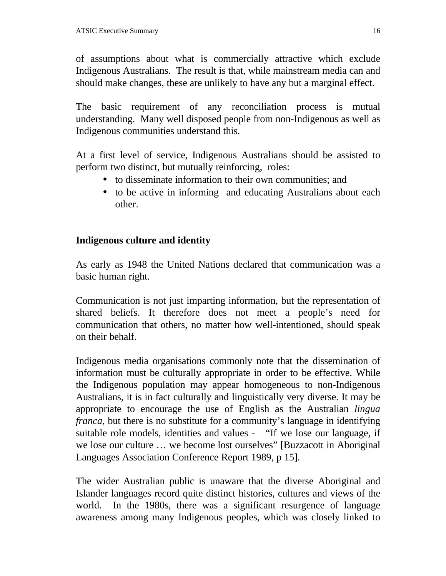of assumptions about what is commercially attractive which exclude Indigenous Australians. The result is that, while mainstream media can and should make changes, these are unlikely to have any but a marginal effect.

The basic requirement of any reconciliation process is mutual understanding. Many well disposed people from non-Indigenous as well as Indigenous communities understand this.

At a first level of service, Indigenous Australians should be assisted to perform two distinct, but mutually reinforcing, roles:

- to disseminate information to their own communities; and
- to be active in informing and educating Australians about each other.

### **Indigenous culture and identity**

As early as 1948 the United Nations declared that communication was a basic human right.

Communication is not just imparting information, but the representation of shared beliefs. It therefore does not meet a people's need for communication that others, no matter how well-intentioned, should speak on their behalf.

Indigenous media organisations commonly note that the dissemination of information must be culturally appropriate in order to be effective. While the Indigenous population may appear homogeneous to non-Indigenous Australians, it is in fact culturally and linguistically very diverse. It may be appropriate to encourage the use of English as the Australian *lingua franca*, but there is no substitute for a community's language in identifying suitable role models, identities and values - "If we lose our language, if we lose our culture … we become lost ourselves" [Buzzacott in Aboriginal Languages Association Conference Report 1989, p 15].

The wider Australian public is unaware that the diverse Aboriginal and Islander languages record quite distinct histories, cultures and views of the world. In the 1980s, there was a significant resurgence of language awareness among many Indigenous peoples, which was closely linked to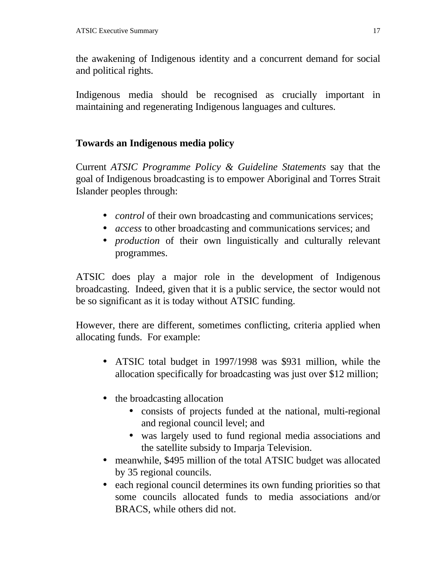the awakening of Indigenous identity and a concurrent demand for social and political rights.

Indigenous media should be recognised as crucially important in maintaining and regenerating Indigenous languages and cultures.

# **Towards an Indigenous media policy**

Current *ATSIC Programme Policy & Guideline Statements* say that the goal of Indigenous broadcasting is to empower Aboriginal and Torres Strait Islander peoples through:

- *control* of their own broadcasting and communications services;
- *access* to other broadcasting and communications services; and
- *production* of their own linguistically and culturally relevant programmes.

ATSIC does play a major role in the development of Indigenous broadcasting. Indeed, given that it is a public service, the sector would not be so significant as it is today without ATSIC funding.

However, there are different, sometimes conflicting, criteria applied when allocating funds. For example:

- ATSIC total budget in 1997/1998 was \$931 million, while the allocation specifically for broadcasting was just over \$12 million;
- the broadcasting allocation
	- consists of projects funded at the national, multi-regional and regional council level; and
	- was largely used to fund regional media associations and the satellite subsidy to Imparja Television.
- meanwhile, \$495 million of the total ATSIC budget was allocated by 35 regional councils.
- each regional council determines its own funding priorities so that some councils allocated funds to media associations and/or BRACS, while others did not.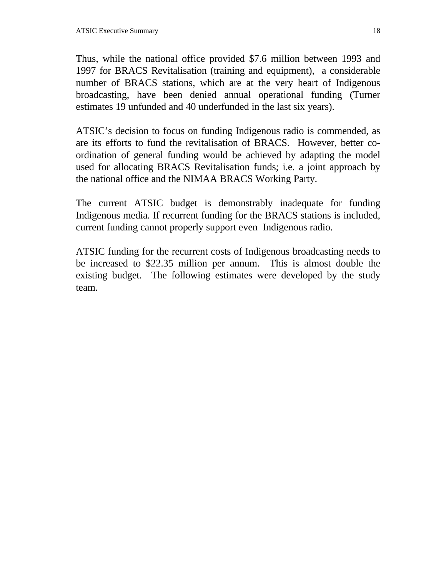Thus, while the national office provided \$7.6 million between 1993 and 1997 for BRACS Revitalisation (training and equipment), a considerable number of BRACS stations, which are at the very heart of Indigenous broadcasting, have been denied annual operational funding (Turner estimates 19 unfunded and 40 underfunded in the last six years).

ATSIC's decision to focus on funding Indigenous radio is commended, as are its efforts to fund the revitalisation of BRACS. However, better coordination of general funding would be achieved by adapting the model used for allocating BRACS Revitalisation funds; i.e. a joint approach by the national office and the NIMAA BRACS Working Party.

The current ATSIC budget is demonstrably inadequate for funding Indigenous media. If recurrent funding for the BRACS stations is included, current funding cannot properly support even Indigenous radio.

ATSIC funding for the recurrent costs of Indigenous broadcasting needs to be increased to \$22.35 million per annum. This is almost double the existing budget. The following estimates were developed by the study team.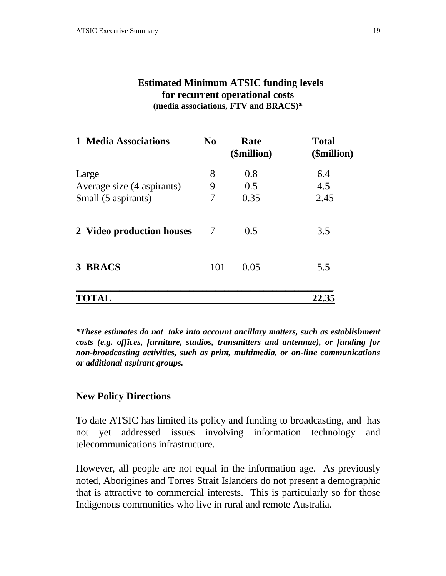## **Estimated Minimum ATSIC funding levels for recurrent operational costs (media associations, FTV and BRACS)\***

| 1 Media Associations       | N <sub>0</sub> | Rate<br>(\$million) | <b>Total</b><br>(\$million) |
|----------------------------|----------------|---------------------|-----------------------------|
| Large                      | 8              | 0.8                 | 6.4                         |
| Average size (4 aspirants) | 9              | 0.5                 | 4.5                         |
| Small (5 aspirants)        | 7              | 0.35                | 2.45                        |
| 2 Video production houses  | 7              | 0.5                 | 3.5                         |
| 3 BRACS                    | 101            | 0.05                | 5.5                         |
| TOTAL                      |                |                     | 22.35                       |

*\*These estimates do not take into account ancillary matters, such as establishment costs (e.g. offices, furniture, studios, transmitters and antennae), or funding for non-broadcasting activities, such as print, multimedia, or on-line communications or additional aspirant groups.*

### **New Policy Directions**

To date ATSIC has limited its policy and funding to broadcasting, and has not yet addressed issues involving information technology and telecommunications infrastructure.

However, all people are not equal in the information age. As previously noted, Aborigines and Torres Strait Islanders do not present a demographic that is attractive to commercial interests. This is particularly so for those Indigenous communities who live in rural and remote Australia.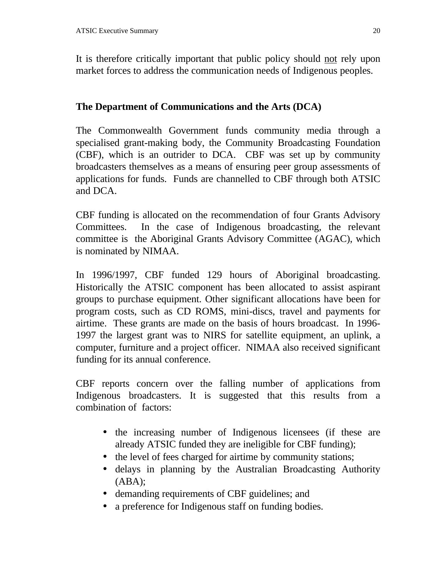It is therefore critically important that public policy should not rely upon market forces to address the communication needs of Indigenous peoples.

## **The Department of Communications and the Arts (DCA)**

The Commonwealth Government funds community media through a specialised grant-making body, the Community Broadcasting Foundation (CBF), which is an outrider to DCA. CBF was set up by community broadcasters themselves as a means of ensuring peer group assessments of applications for funds. Funds are channelled to CBF through both ATSIC and DCA.

CBF funding is allocated on the recommendation of four Grants Advisory Committees. In the case of Indigenous broadcasting, the relevant committee is the Aboriginal Grants Advisory Committee (AGAC), which is nominated by NIMAA.

In 1996/1997, CBF funded 129 hours of Aboriginal broadcasting. Historically the ATSIC component has been allocated to assist aspirant groups to purchase equipment. Other significant allocations have been for program costs, such as CD ROMS, mini-discs, travel and payments for airtime. These grants are made on the basis of hours broadcast. In 1996- 1997 the largest grant was to NIRS for satellite equipment, an uplink, a computer, furniture and a project officer. NIMAA also received significant funding for its annual conference.

CBF reports concern over the falling number of applications from Indigenous broadcasters. It is suggested that this results from a combination of factors:

- the increasing number of Indigenous licensees (if these are already ATSIC funded they are ineligible for CBF funding);
- the level of fees charged for airtime by community stations;
- delays in planning by the Australian Broadcasting Authority  $(ABA);$
- demanding requirements of CBF guidelines; and
- a preference for Indigenous staff on funding bodies.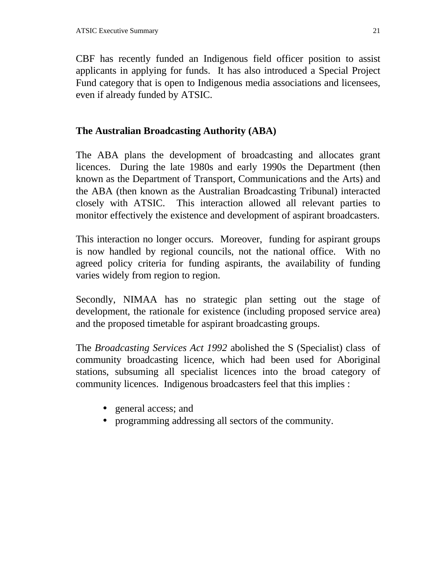CBF has recently funded an Indigenous field officer position to assist applicants in applying for funds. It has also introduced a Special Project Fund category that is open to Indigenous media associations and licensees, even if already funded by ATSIC.

#### **The Australian Broadcasting Authority (ABA)**

The ABA plans the development of broadcasting and allocates grant licences. During the late 1980s and early 1990s the Department (then known as the Department of Transport, Communications and the Arts) and the ABA (then known as the Australian Broadcasting Tribunal) interacted closely with ATSIC. This interaction allowed all relevant parties to monitor effectively the existence and development of aspirant broadcasters.

This interaction no longer occurs. Moreover, funding for aspirant groups is now handled by regional councils, not the national office. With no agreed policy criteria for funding aspirants, the availability of funding varies widely from region to region.

Secondly, NIMAA has no strategic plan setting out the stage of development, the rationale for existence (including proposed service area) and the proposed timetable for aspirant broadcasting groups.

The *Broadcasting Services Act 1992* abolished the S (Specialist) class of community broadcasting licence, which had been used for Aboriginal stations, subsuming all specialist licences into the broad category of community licences. Indigenous broadcasters feel that this implies :

- general access; and
- programming addressing all sectors of the community.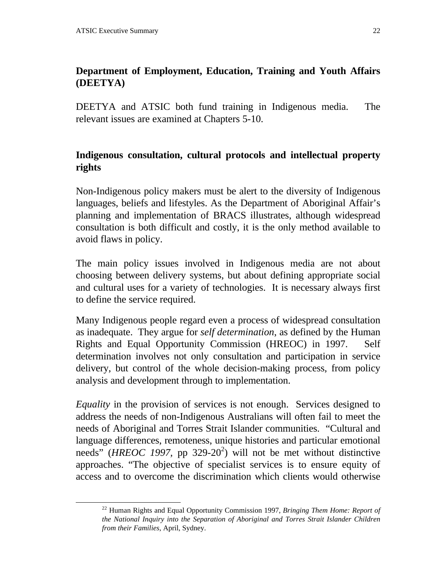1

# **Department of Employment, Education, Training and Youth Affairs (DEETYA)**

DEETYA and ATSIC both fund training in Indigenous media. The relevant issues are examined at Chapters 5-10.

# **Indigenous consultation, cultural protocols and intellectual property rights**

Non-Indigenous policy makers must be alert to the diversity of Indigenous languages, beliefs and lifestyles. As the Department of Aboriginal Affair's planning and implementation of BRACS illustrates, although widespread consultation is both difficult and costly, it is the only method available to avoid flaws in policy.

The main policy issues involved in Indigenous media are not about choosing between delivery systems, but about defining appropriate social and cultural uses for a variety of technologies. It is necessary always first to define the service required.

Many Indigenous people regard even a process of widespread consultation as inadequate. They argue for *self determination*, as defined by the Human Rights and Equal Opportunity Commission (HREOC) in 1997.Self determination involves not only consultation and participation in service delivery, but control of the whole decision-making process, from policy analysis and development through to implementation.

*Equality* in the provision of services is not enough. Services designed to address the needs of non-Indigenous Australians will often fail to meet the needs of Aboriginal and Torres Strait Islander communities. "Cultural and language differences, remoteness, unique histories and particular emotional needs" (*HREOC 1997*, pp 329-20<sup>2</sup>) will not be met without distinctive approaches. "The objective of specialist services is to ensure equity of access and to overcome the discrimination which clients would otherwise

<sup>22</sup> Human Rights and Equal Opportunity Commission 1997, *Bringing Them Home: Report of the National Inquiry into the Separation of Aboriginal and Torres Strait Islander Children from their Families*, April, Sydney.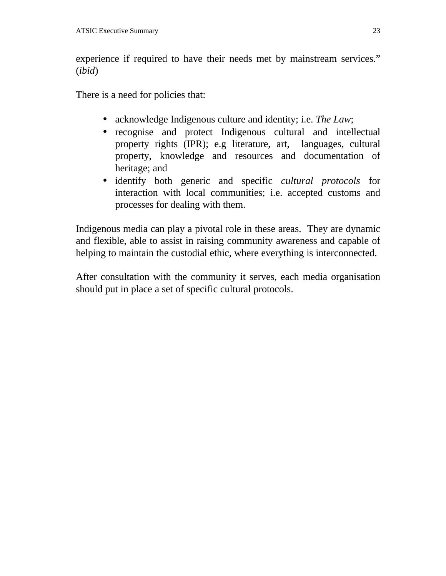experience if required to have their needs met by mainstream services." (*ibid*)

There is a need for policies that:

- acknowledge Indigenous culture and identity; i.e. *The Law*;
- recognise and protect Indigenous cultural and intellectual property rights (IPR); e.g literature, art, languages, cultural property, knowledge and resources and documentation of heritage; and
- identify both generic and specific *cultural protocols* for interaction with local communities; i.e. accepted customs and processes for dealing with them.

Indigenous media can play a pivotal role in these areas. They are dynamic and flexible, able to assist in raising community awareness and capable of helping to maintain the custodial ethic, where everything is interconnected.

After consultation with the community it serves, each media organisation should put in place a set of specific cultural protocols.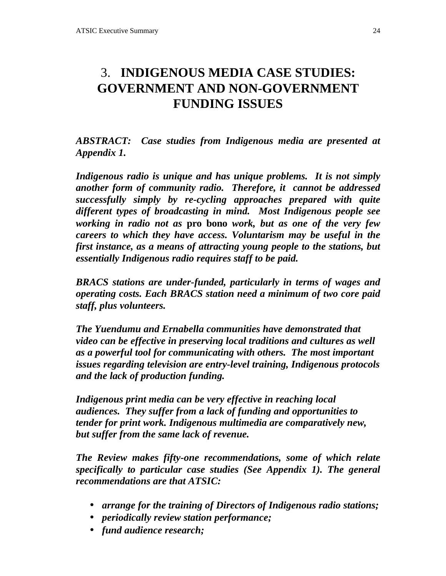# 3. **INDIGENOUS MEDIA CASE STUDIES: GOVERNMENT AND NON-GOVERNMENT FUNDING ISSUES**

*ABSTRACT: Case studies from Indigenous media are presented at Appendix 1.*

*Indigenous radio is unique and has unique problems. It is not simply another form of community radio. Therefore, it cannot be addressed successfully simply by re-cycling approaches prepared with quite different types of broadcasting in mind. Most Indigenous people see working in radio not as* **pro bono** *work, but as one of the very few careers to which they have access. Voluntarism may be useful in the first instance, as a means of attracting young people to the stations, but essentially Indigenous radio requires staff to be paid.*

*BRACS stations are under-funded, particularly in terms of wages and operating costs. Each BRACS station need a minimum of two core paid staff, plus volunteers.*

*The Yuendumu and Ernabella communities have demonstrated that video can be effective in preserving local traditions and cultures as well as a powerful tool for communicating with others. The most important issues regarding television are entry-level training, Indigenous protocols and the lack of production funding.*

*Indigenous print media can be very effective in reaching local audiences. They suffer from a lack of funding and opportunities to tender for print work. Indigenous multimedia are comparatively new, but suffer from the same lack of revenue.*

*The Review makes fifty-one recommendations, some of which relate specifically to particular case studies (See Appendix 1). The general recommendations are that ATSIC:*

- *arrange for the training of Directors of Indigenous radio stations;*
- *periodically review station performance;*
- *fund audience research;*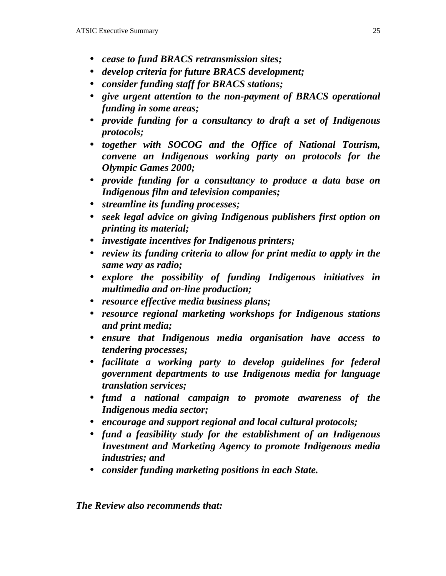- *cease to fund BRACS retransmission sites;*
- *develop criteria for future BRACS development;*
- *consider funding staff for BRACS stations;*
- *give urgent attention to the non-payment of BRACS operational funding in some areas;*
- *provide funding for a consultancy to draft a set of Indigenous protocols;*
- *together with SOCOG and the Office of National Tourism, convene an Indigenous working party on protocols for the Olympic Games 2000;*
- *provide funding for a consultancy to produce a data base on Indigenous film and television companies;*
- *streamline its funding processes;*
- *seek legal advice on giving Indigenous publishers first option on printing its material;*
- *investigate incentives for Indigenous printers;*
- *review its funding criteria to allow for print media to apply in the same way as radio;*
- *explore the possibility of funding Indigenous initiatives in multimedia and on-line production;*
- *resource effective media business plans;*
- *resource regional marketing workshops for Indigenous stations and print media;*
- *ensure that Indigenous media organisation have access to tendering processes;*
- *facilitate a working party to develop guidelines for federal government departments to use Indigenous media for language translation services;*
- *fund a national campaign to promote awareness of the Indigenous media sector;*
- *encourage and support regional and local cultural protocols;*
- *fund a feasibility study for the establishment of an Indigenous Investment and Marketing Agency to promote Indigenous media industries; and*
- *consider funding marketing positions in each State.*

*The Review also recommends that:*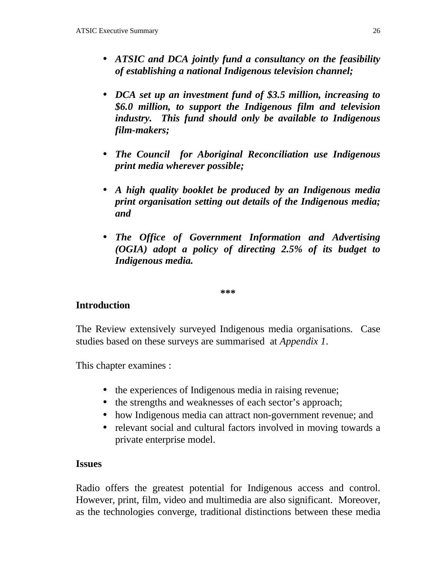- *ATSIC and DCA jointly fund a consultancy on the feasibility of establishing a national Indigenous television channel;*
- *DCA set up an investment fund of \$3.5 million, increasing to \$6.0 million, to support the Indigenous film and television industry. This fund should only be available to Indigenous film-makers;*
- *The Council for Aboriginal Reconciliation use Indigenous print media wherever possible;*
- *A high quality booklet be produced by an Indigenous media print organisation setting out details of the Indigenous media; and*
- *The Office of Government Information and Advertising (OGIA) adopt a policy of directing 2.5% of its budget to Indigenous media.*

**\*\*\***

### **Introduction**

The Review extensively surveyed Indigenous media organisations. Case studies based on these surveys are summarised at *Appendix 1*.

This chapter examines :

- the experiences of Indigenous media in raising revenue;
- the strengths and weaknesses of each sector's approach;
- how Indigenous media can attract non-government revenue; and
- relevant social and cultural factors involved in moving towards a private enterprise model.

#### **Issues**

Radio offers the greatest potential for Indigenous access and control. However, print, film, video and multimedia are also significant. Moreover, as the technologies converge, traditional distinctions between these media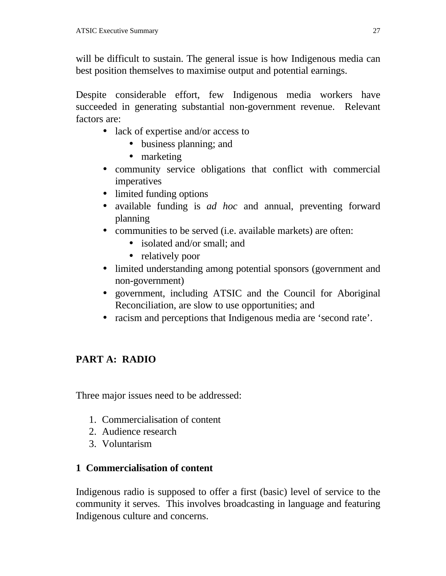will be difficult to sustain. The general issue is how Indigenous media can best position themselves to maximise output and potential earnings.

Despite considerable effort, few Indigenous media workers have succeeded in generating substantial non-government revenue. Relevant factors are:

- lack of expertise and/or access to
	- business planning; and
	- marketing
- community service obligations that conflict with commercial imperatives
- limited funding options
- available funding is *ad hoc* and annual, preventing forward planning
- communities to be served (i.e. available markets) are often:
	- isolated and/or small; and
	- relatively poor
- limited understanding among potential sponsors (government and non-government)
- government, including ATSIC and the Council for Aboriginal Reconciliation, are slow to use opportunities; and
- racism and perceptions that Indigenous media are 'second rate'.

# **PART A: RADIO**

Three major issues need to be addressed:

- 1. Commercialisation of content
- 2. Audience research
- 3. Voluntarism

# **1 Commercialisation of content**

Indigenous radio is supposed to offer a first (basic) level of service to the community it serves. This involves broadcasting in language and featuring Indigenous culture and concerns.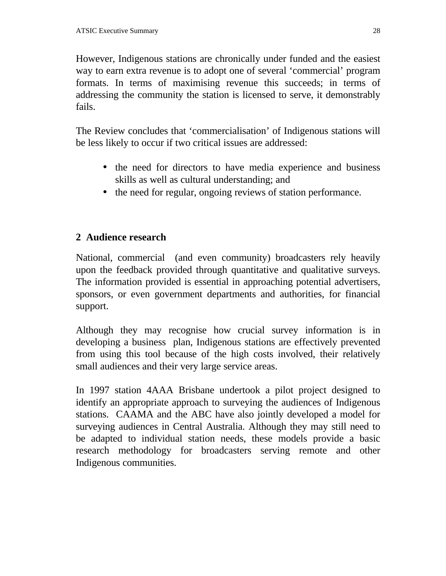However, Indigenous stations are chronically under funded and the easiest way to earn extra revenue is to adopt one of several 'commercial' program formats. In terms of maximising revenue this succeeds; in terms of addressing the community the station is licensed to serve, it demonstrably fails.

The Review concludes that 'commercialisation' of Indigenous stations will be less likely to occur if two critical issues are addressed:

- the need for directors to have media experience and business skills as well as cultural understanding; and
- the need for regular, ongoing reviews of station performance.

# **2 Audience research**

National, commercial (and even community) broadcasters rely heavily upon the feedback provided through quantitative and qualitative surveys. The information provided is essential in approaching potential advertisers, sponsors, or even government departments and authorities, for financial support.

Although they may recognise how crucial survey information is in developing a business plan, Indigenous stations are effectively prevented from using this tool because of the high costs involved, their relatively small audiences and their very large service areas.

In 1997 station 4AAA Brisbane undertook a pilot project designed to identify an appropriate approach to surveying the audiences of Indigenous stations. CAAMA and the ABC have also jointly developed a model for surveying audiences in Central Australia. Although they may still need to be adapted to individual station needs, these models provide a basic research methodology for broadcasters serving remote and other Indigenous communities.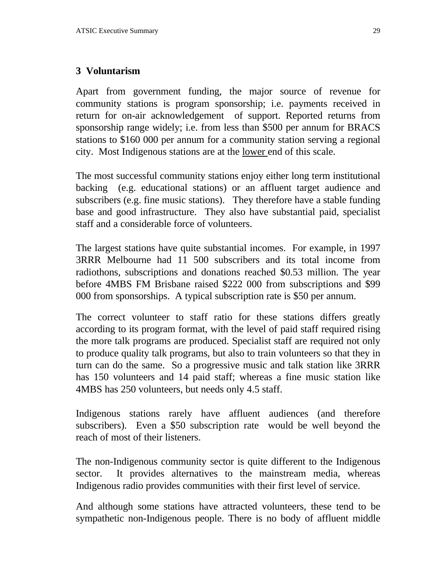### **3 Voluntarism**

Apart from government funding, the major source of revenue for community stations is program sponsorship; i.e. payments received in return for on-air acknowledgement of support. Reported returns from sponsorship range widely; i.e. from less than \$500 per annum for BRACS stations to \$160 000 per annum for a community station serving a regional city. Most Indigenous stations are at the lower end of this scale.

The most successful community stations enjoy either long term institutional backing (e.g. educational stations) or an affluent target audience and subscribers (e.g. fine music stations). They therefore have a stable funding base and good infrastructure. They also have substantial paid, specialist staff and a considerable force of volunteers.

The largest stations have quite substantial incomes. For example, in 1997 3RRR Melbourne had 11 500 subscribers and its total income from radiothons, subscriptions and donations reached \$0.53 million. The year before 4MBS FM Brisbane raised \$222 000 from subscriptions and \$99 000 from sponsorships. A typical subscription rate is \$50 per annum.

The correct volunteer to staff ratio for these stations differs greatly according to its program format, with the level of paid staff required rising the more talk programs are produced. Specialist staff are required not only to produce quality talk programs, but also to train volunteers so that they in turn can do the same. So a progressive music and talk station like 3RRR has 150 volunteers and 14 paid staff; whereas a fine music station like 4MBS has 250 volunteers, but needs only 4.5 staff.

Indigenous stations rarely have affluent audiences (and therefore subscribers). Even a \$50 subscription rate would be well beyond the reach of most of their listeners.

The non-Indigenous community sector is quite different to the Indigenous sector. It provides alternatives to the mainstream media, whereas Indigenous radio provides communities with their first level of service.

And although some stations have attracted volunteers, these tend to be sympathetic non-Indigenous people. There is no body of affluent middle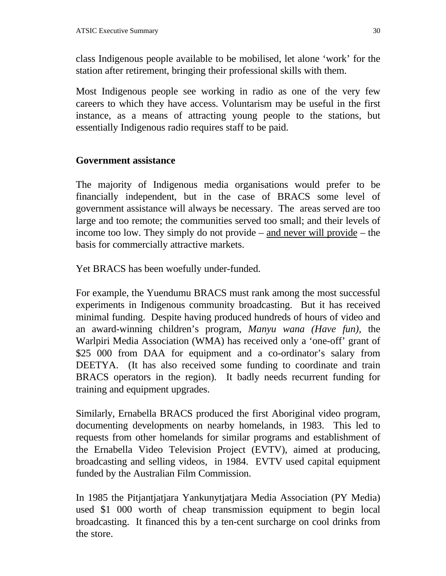class Indigenous people available to be mobilised, let alone 'work' for the station after retirement, bringing their professional skills with them.

Most Indigenous people see working in radio as one of the very few careers to which they have access. Voluntarism may be useful in the first instance, as a means of attracting young people to the stations, but essentially Indigenous radio requires staff to be paid.

### **Government assistance**

The majority of Indigenous media organisations would prefer to be financially independent, but in the case of BRACS some level of government assistance will always be necessary. The areas served are too large and too remote; the communities served too small; and their levels of income too low. They simply do not provide – and never will provide – the basis for commercially attractive markets.

Yet BRACS has been woefully under-funded.

For example, the Yuendumu BRACS must rank among the most successful experiments in Indigenous community broadcasting. But it has received minimal funding. Despite having produced hundreds of hours of video and an award-winning children's program, *Manyu wana (Have fun),* the Warlpiri Media Association (WMA) has received only a 'one-off' grant of \$25 000 from DAA for equipment and a co-ordinator's salary from DEETYA. (It has also received some funding to coordinate and train BRACS operators in the region). It badly needs recurrent funding for training and equipment upgrades.

Similarly, Ernabella BRACS produced the first Aboriginal video program, documenting developments on nearby homelands, in 1983. This led to requests from other homelands for similar programs and establishment of the Ernabella Video Television Project (EVTV), aimed at producing, broadcasting and selling videos, in 1984. EVTV used capital equipment funded by the Australian Film Commission.

In 1985 the Pitjantjatjara Yankunytjatjara Media Association (PY Media) used \$1 000 worth of cheap transmission equipment to begin local broadcasting. It financed this by a ten-cent surcharge on cool drinks from the store.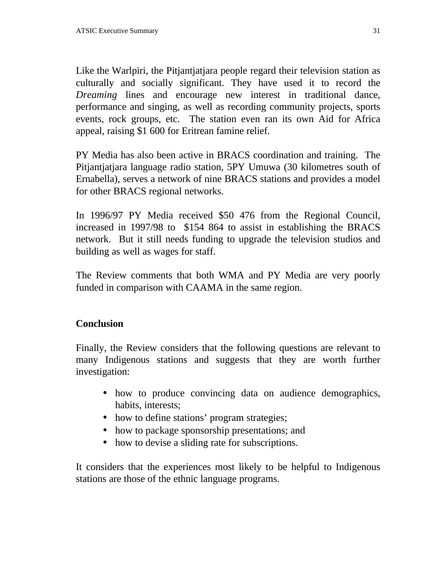Like the Warlpiri, the Pitjantjatjara people regard their television station as culturally and socially significant. They have used it to record the *Dreaming* lines and encourage new interest in traditional dance, performance and singing, as well as recording community projects, sports events, rock groups, etc. The station even ran its own Aid for Africa appeal, raising \$1 600 for Eritrean famine relief.

PY Media has also been active in BRACS coordination and training. The Pitjantjatjara language radio station, 5PY Umuwa (30 kilometres south of Ernabella), serves a network of nine BRACS stations and provides a model for other BRACS regional networks.

In 1996/97 PY Media received \$50 476 from the Regional Council, increased in 1997/98 to \$154 864 to assist in establishing the BRACS network. But it still needs funding to upgrade the television studios and building as well as wages for staff.

The Review comments that both WMA and PY Media are very poorly funded in comparison with CAAMA in the same region.

# **Conclusion**

Finally, the Review considers that the following questions are relevant to many Indigenous stations and suggests that they are worth further investigation:

- how to produce convincing data on audience demographics, habits, interests;
- how to define stations' program strategies;
- how to package sponsorship presentations; and
- how to devise a sliding rate for subscriptions.

It considers that the experiences most likely to be helpful to Indigenous stations are those of the ethnic language programs.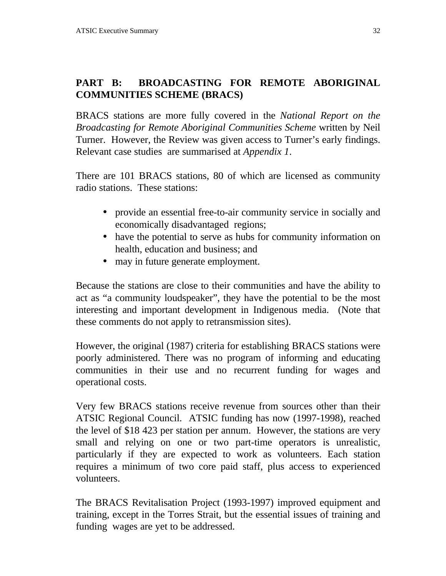# **PART B: BROADCASTING FOR REMOTE ABORIGINAL COMMUNITIES SCHEME (BRACS)**

BRACS stations are more fully covered in the *National Report on the Broadcasting for Remote Aboriginal Communities Scheme* written by Neil Turner. However, the Review was given access to Turner's early findings. Relevant case studies are summarised at *Appendix 1*.

There are 101 BRACS stations, 80 of which are licensed as community radio stations. These stations:

- provide an essential free-to-air community service in socially and economically disadvantaged regions;
- have the potential to serve as hubs for community information on health, education and business; and
- may in future generate employment.

Because the stations are close to their communities and have the ability to act as "a community loudspeaker", they have the potential to be the most interesting and important development in Indigenous media. (Note that these comments do not apply to retransmission sites).

However, the original (1987) criteria for establishing BRACS stations were poorly administered. There was no program of informing and educating communities in their use and no recurrent funding for wages and operational costs.

Very few BRACS stations receive revenue from sources other than their ATSIC Regional Council. ATSIC funding has now (1997-1998), reached the level of \$18 423 per station per annum. However, the stations are very small and relying on one or two part-time operators is unrealistic, particularly if they are expected to work as volunteers. Each station requires a minimum of two core paid staff, plus access to experienced volunteers.

The BRACS Revitalisation Project (1993-1997) improved equipment and training, except in the Torres Strait, but the essential issues of training and funding wages are yet to be addressed.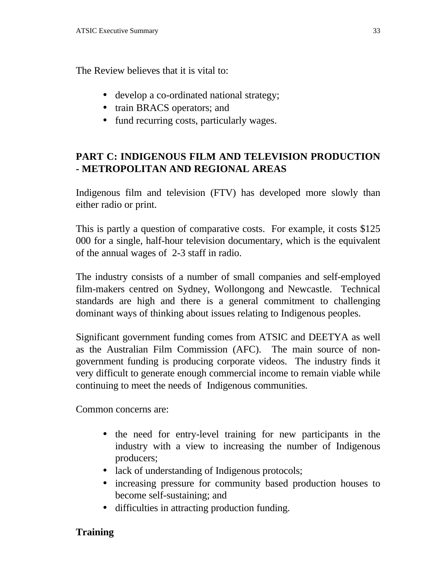The Review believes that it is vital to:

- develop a co-ordinated national strategy;
- train BRACS operators; and
- fund recurring costs, particularly wages.

# **PART C: INDIGENOUS FILM AND TELEVISION PRODUCTION - METROPOLITAN AND REGIONAL AREAS**

Indigenous film and television (FTV) has developed more slowly than either radio or print.

This is partly a question of comparative costs. For example, it costs \$125 000 for a single, half-hour television documentary, which is the equivalent of the annual wages of 2-3 staff in radio.

The industry consists of a number of small companies and self-employed film-makers centred on Sydney, Wollongong and Newcastle. Technical standards are high and there is a general commitment to challenging dominant ways of thinking about issues relating to Indigenous peoples.

Significant government funding comes from ATSIC and DEETYA as well as the Australian Film Commission (AFC). The main source of nongovernment funding is producing corporate videos. The industry finds it very difficult to generate enough commercial income to remain viable while continuing to meet the needs of Indigenous communities.

Common concerns are:

- the need for entry-level training for new participants in the industry with a view to increasing the number of Indigenous producers;
- lack of understanding of Indigenous protocols;
- increasing pressure for community based production houses to become self-sustaining; and
- difficulties in attracting production funding.

### **Training**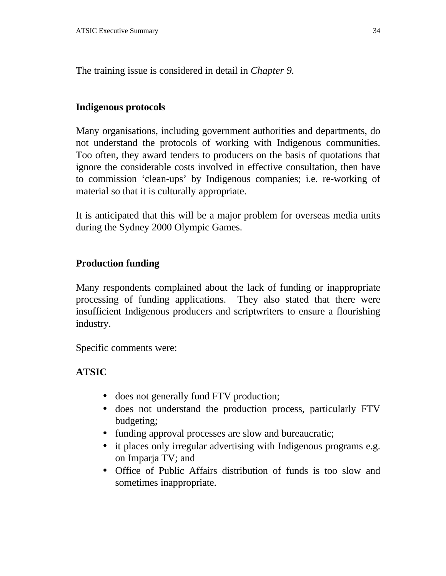The training issue is considered in detail in *Chapter 9.*

### **Indigenous protocols**

Many organisations, including government authorities and departments, do not understand the protocols of working with Indigenous communities. Too often, they award tenders to producers on the basis of quotations that ignore the considerable costs involved in effective consultation, then have to commission 'clean-ups' by Indigenous companies; i.e. re-working of material so that it is culturally appropriate.

It is anticipated that this will be a major problem for overseas media units during the Sydney 2000 Olympic Games.

### **Production funding**

Many respondents complained about the lack of funding or inappropriate processing of funding applications. They also stated that there were insufficient Indigenous producers and scriptwriters to ensure a flourishing industry.

Specific comments were:

### **ATSIC**

- does not generally fund FTV production;
- does not understand the production process, particularly FTV budgeting;
- funding approval processes are slow and bureaucratic;
- it places only irregular advertising with Indigenous programs e.g. on Imparja TV; and
- Office of Public Affairs distribution of funds is too slow and sometimes inappropriate.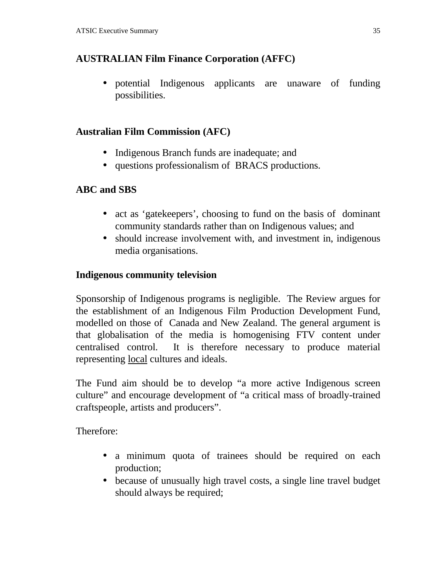# **AUSTRALIAN Film Finance Corporation (AFFC)**

• potential Indigenous applicants are unaware of funding possibilities.

### **Australian Film Commission (AFC)**

- Indigenous Branch funds are inadequate; and
- questions professionalism of BRACS productions.

### **ABC and SBS**

- act as 'gatekeepers', choosing to fund on the basis of dominant community standards rather than on Indigenous values; and
- should increase involvement with, and investment in, indigenous media organisations.

### **Indigenous community television**

Sponsorship of Indigenous programs is negligible. The Review argues for the establishment of an Indigenous Film Production Development Fund, modelled on those of Canada and New Zealand. The general argument is that globalisation of the media is homogenising FTV content under centralised control. It is therefore necessary to produce material representing local cultures and ideals.

The Fund aim should be to develop "a more active Indigenous screen culture" and encourage development of "a critical mass of broadly-trained craftspeople, artists and producers".

Therefore:

- a minimum quota of trainees should be required on each production;
- because of unusually high travel costs, a single line travel budget should always be required;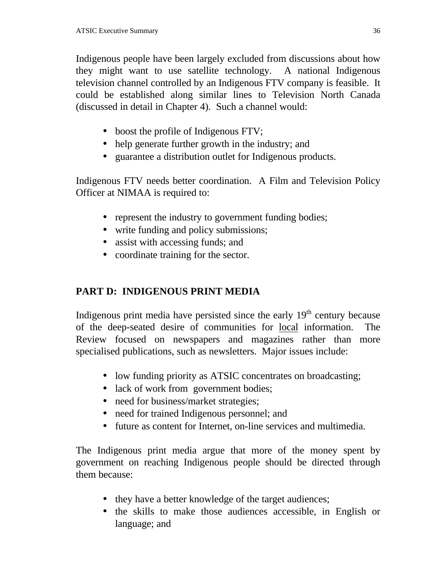Indigenous people have been largely excluded from discussions about how they might want to use satellite technology. A national Indigenous television channel controlled by an Indigenous FTV company is feasible. It could be established along similar lines to Television North Canada (discussed in detail in Chapter 4). Such a channel would:

- boost the profile of Indigenous FTV;
- help generate further growth in the industry; and
- guarantee a distribution outlet for Indigenous products.

Indigenous FTV needs better coordination. A Film and Television Policy Officer at NIMAA is required to:

- represent the industry to government funding bodies;
- write funding and policy submissions;
- assist with accessing funds; and
- coordinate training for the sector.

# **PART D: INDIGENOUS PRINT MEDIA**

Indigenous print media have persisted since the early  $19<sup>th</sup>$  century because of the deep-seated desire of communities for local information. The Review focused on newspapers and magazines rather than more specialised publications, such as newsletters. Major issues include:

- low funding priority as ATSIC concentrates on broadcasting;
- lack of work from government bodies;
- need for business/market strategies;
- need for trained Indigenous personnel; and
- future as content for Internet, on-line services and multimedia.

The Indigenous print media argue that more of the money spent by government on reaching Indigenous people should be directed through them because:

- they have a better knowledge of the target audiences;
- the skills to make those audiences accessible, in English or language; and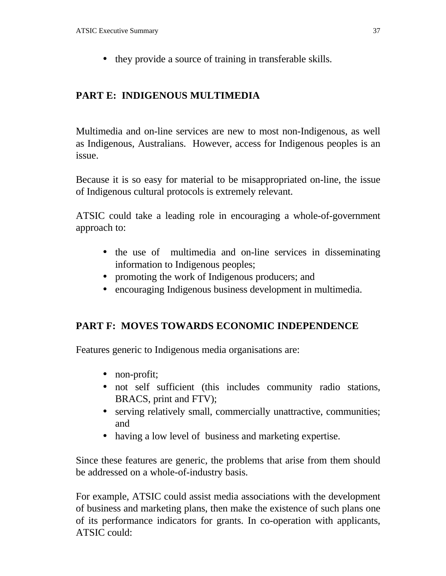• they provide a source of training in transferable skills.

# **PART E: INDIGENOUS MULTIMEDIA**

Multimedia and on-line services are new to most non-Indigenous, as well as Indigenous, Australians. However, access for Indigenous peoples is an issue.

Because it is so easy for material to be misappropriated on-line, the issue of Indigenous cultural protocols is extremely relevant.

ATSIC could take a leading role in encouraging a whole-of-government approach to:

- the use of multimedia and on-line services in disseminating information to Indigenous peoples;
- promoting the work of Indigenous producers; and
- encouraging Indigenous business development in multimedia.

# **PART F: MOVES TOWARDS ECONOMIC INDEPENDENCE**

Features generic to Indigenous media organisations are:

- non-profit;
- not self sufficient (this includes community radio stations, BRACS, print and FTV);
- serving relatively small, commercially unattractive, communities; and
- having a low level of business and marketing expertise.

Since these features are generic, the problems that arise from them should be addressed on a whole-of-industry basis.

For example, ATSIC could assist media associations with the development of business and marketing plans, then make the existence of such plans one of its performance indicators for grants. In co-operation with applicants, ATSIC could: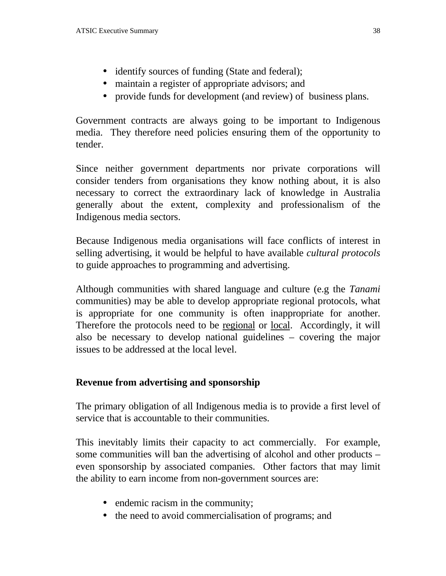- identify sources of funding (State and federal);
- maintain a register of appropriate advisors; and
- provide funds for development (and review) of business plans.

Government contracts are always going to be important to Indigenous media. They therefore need policies ensuring them of the opportunity to tender.

Since neither government departments nor private corporations will consider tenders from organisations they know nothing about, it is also necessary to correct the extraordinary lack of knowledge in Australia generally about the extent, complexity and professionalism of the Indigenous media sectors.

Because Indigenous media organisations will face conflicts of interest in selling advertising, it would be helpful to have available *cultural protocols* to guide approaches to programming and advertising.

Although communities with shared language and culture (e.g the *Tanami* communities) may be able to develop appropriate regional protocols, what is appropriate for one community is often inappropriate for another. Therefore the protocols need to be regional or local. Accordingly, it will also be necessary to develop national guidelines – covering the major issues to be addressed at the local level.

#### **Revenue from advertising and sponsorship**

The primary obligation of all Indigenous media is to provide a first level of service that is accountable to their communities.

This inevitably limits their capacity to act commercially. For example, some communities will ban the advertising of alcohol and other products – even sponsorship by associated companies. Other factors that may limit the ability to earn income from non-government sources are:

- endemic racism in the community;
- the need to avoid commercialisation of programs; and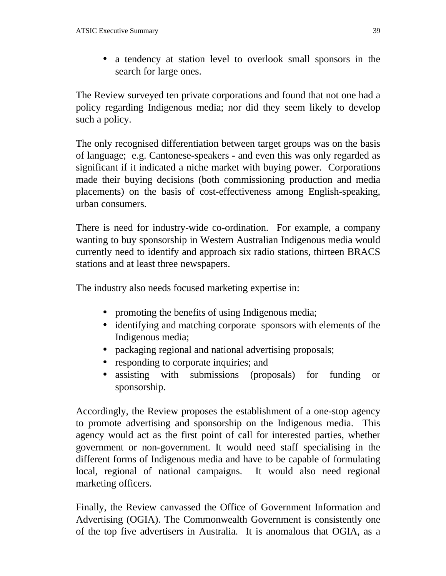• a tendency at station level to overlook small sponsors in the search for large ones.

The Review surveyed ten private corporations and found that not one had a policy regarding Indigenous media; nor did they seem likely to develop such a policy.

The only recognised differentiation between target groups was on the basis of language; e.g. Cantonese-speakers - and even this was only regarded as significant if it indicated a niche market with buying power. Corporations made their buying decisions (both commissioning production and media placements) on the basis of cost-effectiveness among English-speaking, urban consumers.

There is need for industry-wide co-ordination. For example, a company wanting to buy sponsorship in Western Australian Indigenous media would currently need to identify and approach six radio stations, thirteen BRACS stations and at least three newspapers.

The industry also needs focused marketing expertise in:

- promoting the benefits of using Indigenous media;
- identifying and matching corporate sponsors with elements of the Indigenous media;
- packaging regional and national advertising proposals;
- responding to corporate inquiries; and
- assisting with submissions (proposals) for funding or sponsorship.

Accordingly, the Review proposes the establishment of a one-stop agency to promote advertising and sponsorship on the Indigenous media. This agency would act as the first point of call for interested parties, whether government or non-government. It would need staff specialising in the different forms of Indigenous media and have to be capable of formulating local, regional of national campaigns. It would also need regional marketing officers.

Finally, the Review canvassed the Office of Government Information and Advertising (OGIA). The Commonwealth Government is consistently one of the top five advertisers in Australia. It is anomalous that OGIA, as a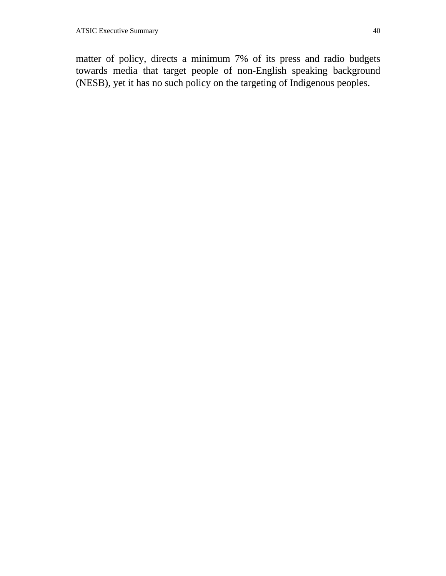matter of policy, directs a minimum 7% of its press and radio budgets towards media that target people of non-English speaking background (NESB), yet it has no such policy on the targeting of Indigenous peoples.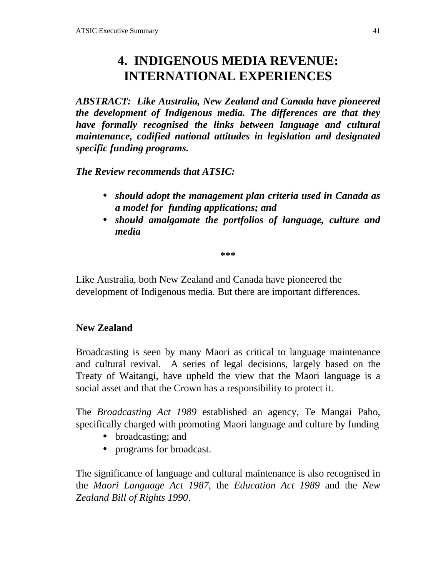# **4. INDIGENOUS MEDIA REVENUE: INTERNATIONAL EXPERIENCES**

*ABSTRACT: Like Australia, New Zealand and Canada have pioneered the development of Indigenous media. The differences are that they have formally recognised the links between language and cultural maintenance, codified national attitudes in legislation and designated specific funding programs.*

*The Review recommends that ATSIC:*

- *should adopt the management plan criteria used in Canada as a model for funding applications; and*
- *should amalgamate the portfolios of language, culture and media*

**\*\*\***

Like Australia, both New Zealand and Canada have pioneered the development of Indigenous media. But there are important differences.

#### **New Zealand**

Broadcasting is seen by many Maori as critical to language maintenance and cultural revival. A series of legal decisions, largely based on the Treaty of Waitangi, have upheld the view that the Maori language is a social asset and that the Crown has a responsibility to protect it.

The *Broadcasting Act 1989* established an agency, Te Mangai Paho, specifically charged with promoting Maori language and culture by funding

- broadcasting; and
- programs for broadcast.

The significance of language and cultural maintenance is also recognised in the *Maori Language Act 1987*, the *Education Act 1989* and the *New Zealand Bill of Rights 1990*.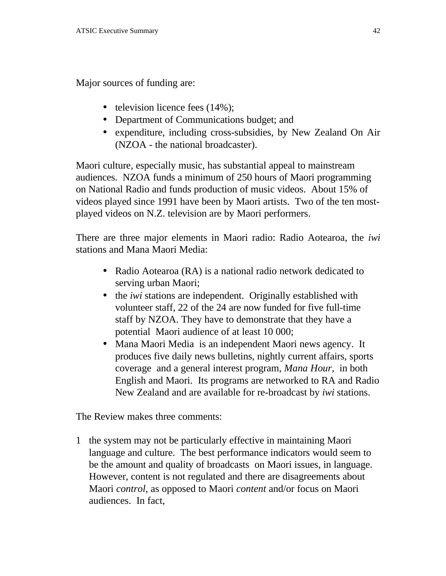Major sources of funding are:

- television licence fees (14%);
- Department of Communications budget; and
- expenditure, including cross-subsidies, by New Zealand On Air (NZOA - the national broadcaster).

Maori culture, especially music, has substantial appeal to mainstream audiences. NZOA funds a minimum of 250 hours of Maori programming on National Radio and funds production of music videos. About 15% of videos played since 1991 have been by Maori artists. Two of the ten mostplayed videos on N.Z. television are by Maori performers.

There are three major elements in Maori radio: Radio Aotearoa*,* the *iwi* stations and Mana Maori Media:

- Radio Aotearoa (RA) is a national radio network dedicated to serving urban Maori;
- the *iwi* stations are independent. Originally established with volunteer staff, 22 of the 24 are now funded for five full-time staff by NZOA. They have to demonstrate that they have a potential Maori audience of at least 10 000;
- Mana Maori Mediais an independent Maori news agency. It produces five daily news bulletins, nightly current affairs, sports coverage and a general interest program, *Mana Hour*, in both English and Maori. Its programs are networked to RA and Radio New Zealand and are available for re-broadcast by *iwi* stations.

The Review makes three comments:

1 the system may not be particularly effective in maintaining Maori language and culture. The best performance indicators would seem to be the amount and quality of broadcasts on Maori issues, in language. However, content is not regulated and there are disagreements about Maori *control*, as opposed to Maori *content* and/or focus on Maori audiences. In fact,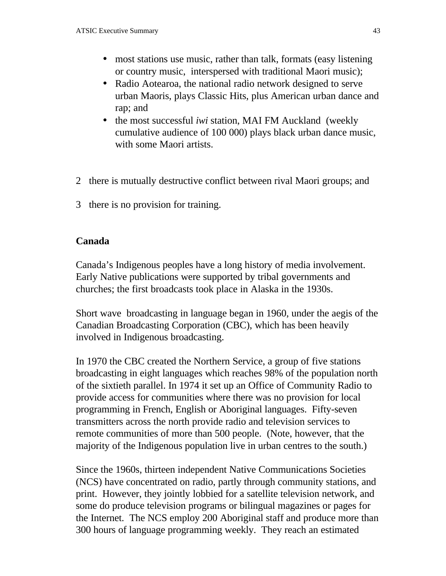- most stations use music, rather than talk, formats (easy listening or country music, interspersed with traditional Maori music);
- Radio Aotearoa, the national radio network designed to serve urban Maoris, plays Classic Hits, plus American urban dance and rap; and
- the most successful *iwi* station, MAI FM Auckland (weekly cumulative audience of 100 000) plays black urban dance music, with some Maori artists.
- 2 there is mutually destructive conflict between rival Maori groups; and
- 3 there is no provision for training.

#### **Canada**

Canada's Indigenous peoples have a long history of media involvement. Early Native publications were supported by tribal governments and churches; the first broadcasts took place in Alaska in the 1930s.

Short wave broadcasting in language began in 1960, under the aegis of the Canadian Broadcasting Corporation (CBC), which has been heavily involved in Indigenous broadcasting.

In 1970 the CBC created the Northern Service, a group of five stations broadcasting in eight languages which reaches 98% of the population north of the sixtieth parallel. In 1974 it set up an Office of Community Radio to provide access for communities where there was no provision for local programming in French, English or Aboriginal languages. Fifty-seven transmitters across the north provide radio and television services to remote communities of more than 500 people. (Note, however, that the majority of the Indigenous population live in urban centres to the south.)

Since the 1960s, thirteen independent Native Communications Societies (NCS) have concentrated on radio, partly through community stations, and print. However, they jointly lobbied for a satellite television network, and some do produce television programs or bilingual magazines or pages for the Internet. The NCS employ 200 Aboriginal staff and produce more than 300 hours of language programming weekly. They reach an estimated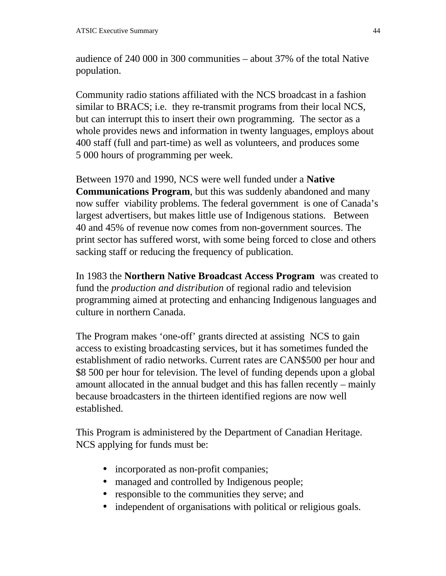audience of 240 000 in 300 communities – about 37% of the total Native population.

Community radio stations affiliated with the NCS broadcast in a fashion similar to BRACS; i.e. they re-transmit programs from their local NCS, but can interrupt this to insert their own programming. The sector as a whole provides news and information in twenty languages, employs about 400 staff (full and part-time) as well as volunteers, and produces some 5 000 hours of programming per week.

Between 1970 and 1990, NCS were well funded under a **Native Communications Program**, but this was suddenly abandoned and many now suffer viability problems. The federal government is one of Canada's largest advertisers, but makes little use of Indigenous stations. Between 40 and 45% of revenue now comes from non-government sources. The print sector has suffered worst, with some being forced to close and others sacking staff or reducing the frequency of publication.

In 1983 the **Northern Native Broadcast Access Program** was created to fund the *production and distribution* of regional radio and television programming aimed at protecting and enhancing Indigenous languages and culture in northern Canada.

The Program makes 'one-off' grants directed at assisting NCS to gain access to existing broadcasting services, but it has sometimes funded the establishment of radio networks. Current rates are CAN\$500 per hour and \$8 500 per hour for television. The level of funding depends upon a global amount allocated in the annual budget and this has fallen recently – mainly because broadcasters in the thirteen identified regions are now well established.

This Program is administered by the Department of Canadian Heritage. NCS applying for funds must be:

- incorporated as non-profit companies;
- managed and controlled by Indigenous people;
- responsible to the communities they serve; and
- independent of organisations with political or religious goals.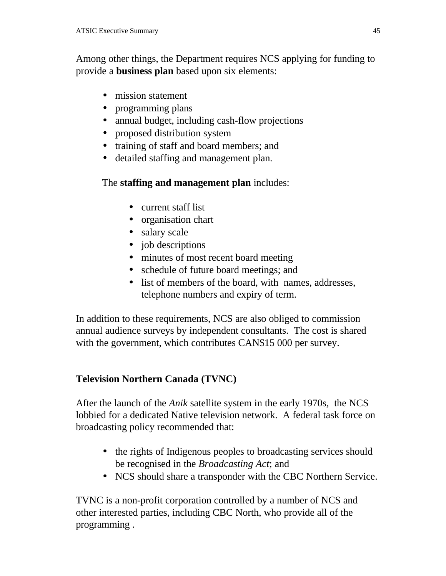Among other things, the Department requires NCS applying for funding to provide a **business plan** based upon six elements:

- mission statement
- programming plans
- annual budget, including cash-flow projections
- proposed distribution system
- training of staff and board members; and
- detailed staffing and management plan.

#### The **staffing and management plan** includes:

- current staff list
- organisation chart
- salary scale
- job descriptions
- minutes of most recent board meeting
- schedule of future board meetings; and
- list of members of the board, with names, addresses, telephone numbers and expiry of term.

In addition to these requirements, NCS are also obliged to commission annual audience surveys by independent consultants. The cost is shared with the government, which contributes CAN\$15 000 per survey.

# **Television Northern Canada (TVNC)**

After the launch of the *Anik* satellite system in the early 1970s, the NCS lobbied for a dedicated Native television network. A federal task force on broadcasting policy recommended that:

- the rights of Indigenous peoples to broadcasting services should be recognised in the *Broadcasting Act*; and
- NCS should share a transponder with the CBC Northern Service.

TVNC is a non-profit corporation controlled by a number of NCS and other interested parties, including CBC North, who provide all of the programming .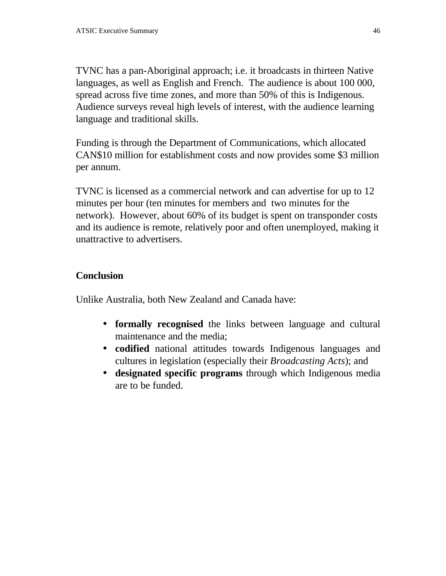TVNC has a pan-Aboriginal approach; i.e. it broadcasts in thirteen Native languages, as well as English and French. The audience is about 100 000, spread across five time zones, and more than 50% of this is Indigenous. Audience surveys reveal high levels of interest, with the audience learning language and traditional skills.

Funding is through the Department of Communications, which allocated CAN\$10 million for establishment costs and now provides some \$3 million per annum.

TVNC is licensed as a commercial network and can advertise for up to 12 minutes per hour (ten minutes for members and two minutes for the network). However, about 60% of its budget is spent on transponder costs and its audience is remote, relatively poor and often unemployed, making it unattractive to advertisers.

# **Conclusion**

Unlike Australia, both New Zealand and Canada have:

- **formally recognised** the links between language and cultural maintenance and the media;
- **codified** national attitudes towards Indigenous languages and cultures in legislation (especially their *Broadcasting Acts*); and
- **designated specific programs** through which Indigenous media are to be funded.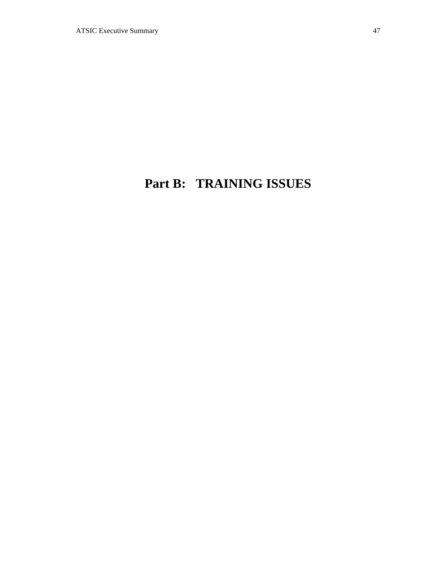# **Part B: TRAINING ISSUES**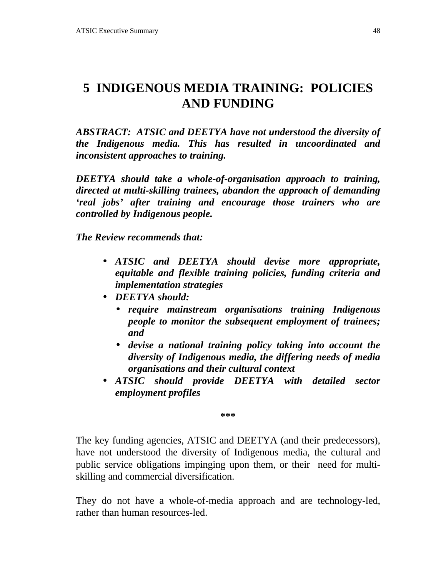# **5 INDIGENOUS MEDIA TRAINING: POLICIES AND FUNDING**

*ABSTRACT: ATSIC and DEETYA have not understood the diversity of the Indigenous media. This has resulted in uncoordinated and inconsistent approaches to training.*

*DEETYA should take a whole-of-organisation approach to training, directed at multi-skilling trainees, abandon the approach of demanding 'real jobs' after training and encourage those trainers who are controlled by Indigenous people.*

*The Review recommends that:*

- *ATSIC and DEETYA should devise more appropriate, equitable and flexible training policies, funding criteria and implementation strategies*
- *DEETYA should:*
	- *require mainstream organisations training Indigenous people to monitor the subsequent employment of trainees; and*
	- *devise a national training policy taking into account the diversity of Indigenous media, the differing needs of media organisations and their cultural context*
- *ATSIC should provide DEETYA with detailed sector employment profiles*

**\*\*\***

The key funding agencies, ATSIC and DEETYA (and their predecessors), have not understood the diversity of Indigenous media, the cultural and public service obligations impinging upon them, or their need for multiskilling and commercial diversification.

They do not have a whole-of-media approach and are technology-led, rather than human resources-led.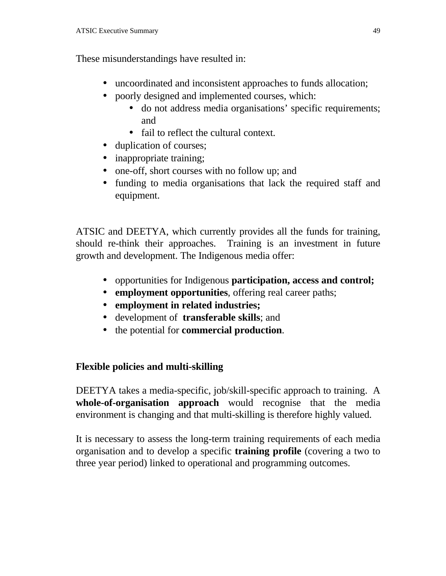These misunderstandings have resulted in:

- uncoordinated and inconsistent approaches to funds allocation;
- poorly designed and implemented courses, which:
	- do not address media organisations' specific requirements; and
	- fail to reflect the cultural context.
- duplication of courses:
- inappropriate training;
- one-off, short courses with no follow up; and
- funding to media organisations that lack the required staff and equipment.

ATSIC and DEETYA, which currently provides all the funds for training, should re-think their approaches. Training is an investment in future growth and development. The Indigenous media offer:

- opportunities for Indigenous **participation, access and control;**
- **employment opportunities**, offering real career paths;
- **employment in related industries;**
- development of **transferable skills**; and
- the potential for **commercial production**.

# **Flexible policies and multi-skilling**

DEETYA takes a media-specific, job/skill-specific approach to training. A **whole-of-organisation approach** would recognise that the media environment is changing and that multi-skilling is therefore highly valued.

It is necessary to assess the long-term training requirements of each media organisation and to develop a specific **training profile** (covering a two to three year period) linked to operational and programming outcomes.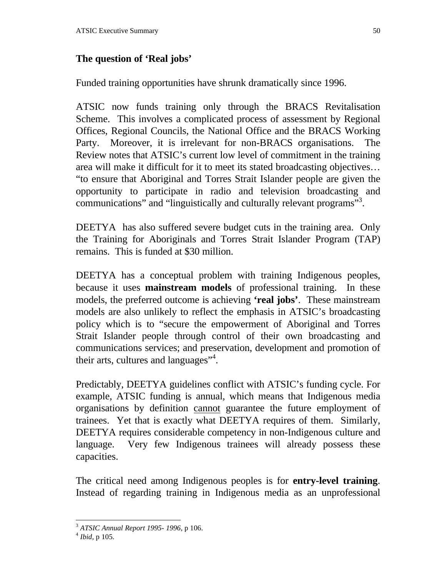#### **The question of 'Real jobs'**

Funded training opportunities have shrunk dramatically since 1996.

ATSIC now funds training only through the BRACS Revitalisation Scheme. This involves a complicated process of assessment by Regional Offices, Regional Councils, the National Office and the BRACS Working Party. Moreover, it is irrelevant for non-BRACS organisations. The Review notes that ATSIC's current low level of commitment in the training area will make it difficult for it to meet its stated broadcasting objectives… "to ensure that Aboriginal and Torres Strait Islander people are given the opportunity to participate in radio and television broadcasting and communications" and "linguistically and culturally relevant programs"<sup>3</sup>.

DEETYA has also suffered severe budget cuts in the training area. Only the Training for Aboriginals and Torres Strait Islander Program (TAP) remains. This is funded at \$30 million.

DEETYA has a conceptual problem with training Indigenous peoples, because it uses **mainstream models** of professional training. In these models, the preferred outcome is achieving **'real jobs'**. These mainstream models are also unlikely to reflect the emphasis in ATSIC's broadcasting policy which is to "secure the empowerment of Aboriginal and Torres Strait Islander people through control of their own broadcasting and communications services; and preservation, development and promotion of their arts, cultures and languages"<sup>4</sup>.

Predictably, DEETYA guidelines conflict with ATSIC's funding cycle. For example, ATSIC funding is annual, which means that Indigenous media organisations by definition cannot guarantee the future employment of trainees. Yet that is exactly what DEETYA requires of them. Similarly, DEETYA requires considerable competency in non-Indigenous culture and language. Very few Indigenous trainees will already possess these capacities.

The critical need among Indigenous peoples is for **entry-level training**. Instead of regarding training in Indigenous media as an unprofessional

<sup>1</sup> <sup>3</sup> *ATSIC Annual Report 1995- 1996*, p 106.

<sup>4</sup> *Ibid*, p 105.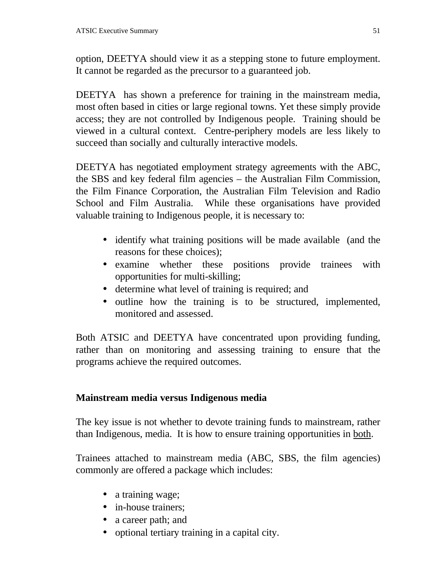option, DEETYA should view it as a stepping stone to future employment. It cannot be regarded as the precursor to a guaranteed job.

DEETYA has shown a preference for training in the mainstream media, most often based in cities or large regional towns. Yet these simply provide access; they are not controlled by Indigenous people. Training should be viewed in a cultural context. Centre-periphery models are less likely to succeed than socially and culturally interactive models.

DEETYA has negotiated employment strategy agreements with the ABC, the SBS and key federal film agencies – the Australian Film Commission, the Film Finance Corporation, the Australian Film Television and Radio School and Film Australia. While these organisations have provided valuable training to Indigenous people, it is necessary to:

- identify what training positions will be made available (and the reasons for these choices);
- examine whether these positions provide trainees with opportunities for multi-skilling;
- determine what level of training is required; and
- outline how the training is to be structured, implemented, monitored and assessed.

Both ATSIC and DEETYA have concentrated upon providing funding, rather than on monitoring and assessing training to ensure that the programs achieve the required outcomes.

# **Mainstream media versus Indigenous media**

The key issue is not whether to devote training funds to mainstream, rather than Indigenous, media. It is how to ensure training opportunities in both.

Trainees attached to mainstream media (ABC, SBS, the film agencies) commonly are offered a package which includes:

- a training wage;
- in-house trainers;
- a career path; and
- optional tertiary training in a capital city.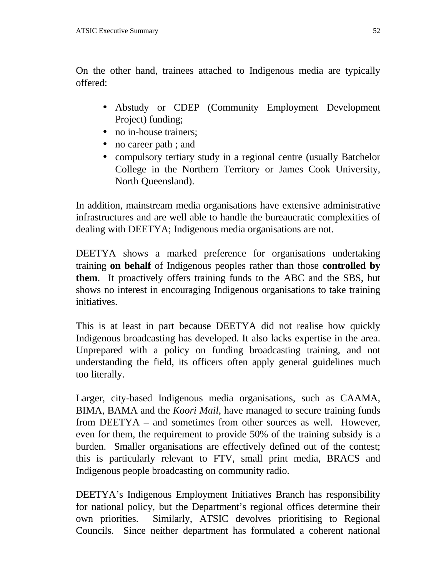On the other hand, trainees attached to Indigenous media are typically offered:

- Abstudy or CDEP (Community Employment Development Project) funding;
- no in-house trainers;
- no career path ; and
- compulsory tertiary study in a regional centre (usually Batchelor College in the Northern Territory or James Cook University, North Queensland).

In addition, mainstream media organisations have extensive administrative infrastructures and are well able to handle the bureaucratic complexities of dealing with DEETYA; Indigenous media organisations are not.

DEETYA shows a marked preference for organisations undertaking training **on behalf** of Indigenous peoples rather than those **controlled by them**. It proactively offers training funds to the ABC and the SBS, but shows no interest in encouraging Indigenous organisations to take training initiatives.

This is at least in part because DEETYA did not realise how quickly Indigenous broadcasting has developed. It also lacks expertise in the area. Unprepared with a policy on funding broadcasting training, and not understanding the field, its officers often apply general guidelines much too literally.

Larger, city-based Indigenous media organisations, such as CAAMA, BIMA, BAMA and the *Koori Mail*, have managed to secure training funds from DEETYA – and sometimes from other sources as well. However, even for them, the requirement to provide 50% of the training subsidy is a burden. Smaller organisations are effectively defined out of the contest; this is particularly relevant to FTV, small print media, BRACS and Indigenous people broadcasting on community radio.

DEETYA's Indigenous Employment Initiatives Branch has responsibility for national policy, but the Department's regional offices determine their own priorities. Similarly, ATSIC devolves prioritising to Regional Councils. Since neither department has formulated a coherent national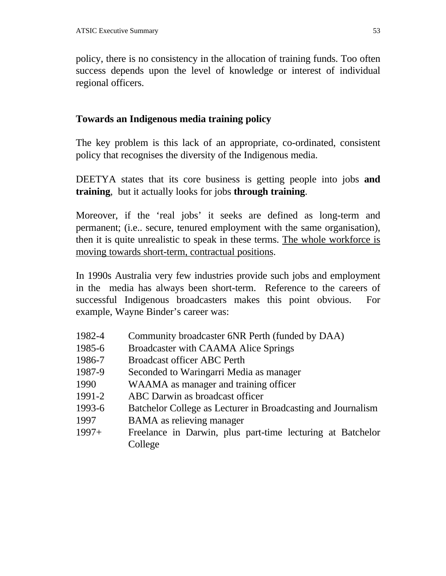policy, there is no consistency in the allocation of training funds. Too often success depends upon the level of knowledge or interest of individual regional officers.

#### **Towards an Indigenous media training policy**

The key problem is this lack of an appropriate, co-ordinated, consistent policy that recognises the diversity of the Indigenous media.

DEETYA states that its core business is getting people into jobs **and training**, but it actually looks for jobs **through training**.

Moreover, if the 'real jobs' it seeks are defined as long-term and permanent; (i.e.. secure, tenured employment with the same organisation), then it is quite unrealistic to speak in these terms. The whole workforce is moving towards short-term, contractual positions.

In 1990s Australia very few industries provide such jobs and employment in the media has always been short-term. Reference to the careers of successful Indigenous broadcasters makes this point obvious. For example, Wayne Binder's career was:

- 1982-4 Community broadcaster 6NR Perth (funded by DAA)
- 1985-6 Broadcaster with CAAMA Alice Springs
- 1986-7 Broadcast officer ABC Perth
- 1987-9 Seconded to Waringarri Media as manager
- 1990 WAAMA as manager and training officer
- 1991-2 ABC Darwin as broadcast officer
- 1993-6 Batchelor College as Lecturer in Broadcasting and Journalism
- 1997 BAMA as relieving manager
- 1997+ Freelance in Darwin, plus part-time lecturing at Batchelor College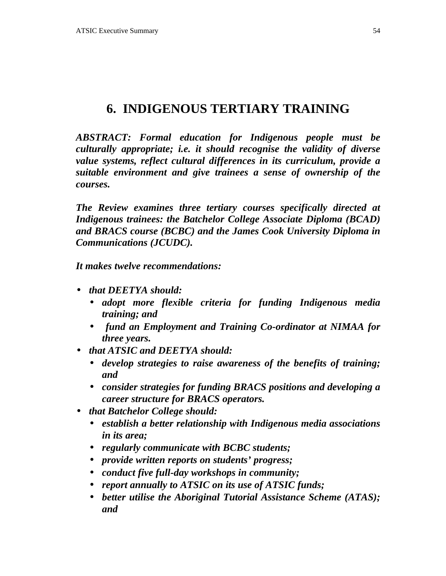# **6. INDIGENOUS TERTIARY TRAINING**

*ABSTRACT: Formal education for Indigenous people must be culturally appropriate; i.e. it should recognise the validity of diverse value systems, reflect cultural differences in its curriculum, provide a suitable environment and give trainees a sense of ownership of the courses.*

*The Review examines three tertiary courses specifically directed at Indigenous trainees: the Batchelor College Associate Diploma (BCAD) and BRACS course (BCBC) and the James Cook University Diploma in Communications (JCUDC).*

*It makes twelve recommendations:*

- *that DEETYA should:*
	- *adopt more flexible criteria for funding Indigenous media training; and*
	- • *fund an Employment and Training Co-ordinator at NIMAA for three years.*
- *that ATSIC and DEETYA should:*
	- *develop strategies to raise awareness of the benefits of training; and*
	- *consider strategies for funding BRACS positions and developing a career structure for BRACS operators.*
- *that Batchelor College should:*
	- *establish a better relationship with Indigenous media associations in its area;*
	- *regularly communicate with BCBC students;*
	- *provide written reports on students' progress;*
	- *conduct five full-day workshops in community;*
	- *report annually to ATSIC on its use of ATSIC funds;*
	- *better utilise the Aboriginal Tutorial Assistance Scheme (ATAS); and*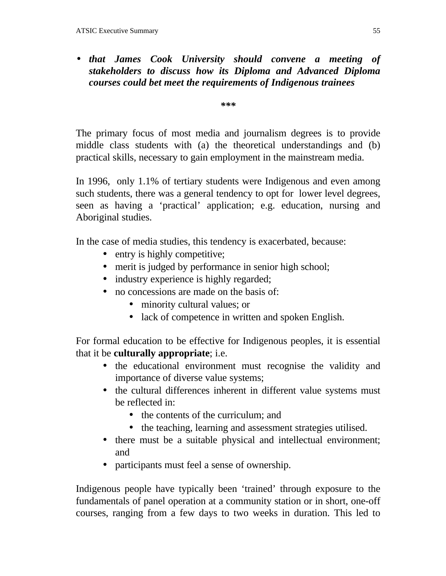# • *that James Cook University should convene a meeting of stakeholders to discuss how its Diploma and Advanced Diploma courses could bet meet the requirements of Indigenous trainees*

*\*\*\**

The primary focus of most media and journalism degrees is to provide middle class students with (a) the theoretical understandings and (b) practical skills, necessary to gain employment in the mainstream media.

In 1996, only 1.1% of tertiary students were Indigenous and even among such students, there was a general tendency to opt for lower level degrees, seen as having a 'practical' application; e.g. education, nursing and Aboriginal studies.

In the case of media studies, this tendency is exacerbated, because:

- entry is highly competitive;
- merit is judged by performance in senior high school;
- industry experience is highly regarded;
- no concessions are made on the basis of:
	- minority cultural values; or
	- lack of competence in written and spoken English.

For formal education to be effective for Indigenous peoples, it is essential that it be **culturally appropriate**; i.e.

- the educational environment must recognise the validity and importance of diverse value systems;
- the cultural differences inherent in different value systems must be reflected in:
	- the contents of the curriculum; and
	- the teaching, learning and assessment strategies utilised.
- there must be a suitable physical and intellectual environment; and
- participants must feel a sense of ownership.

Indigenous people have typically been 'trained' through exposure to the fundamentals of panel operation at a community station or in short, one-off courses, ranging from a few days to two weeks in duration. This led to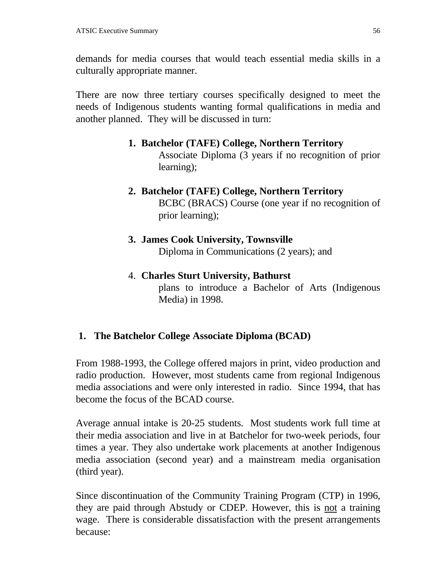demands for media courses that would teach essential media skills in a culturally appropriate manner.

There are now three tertiary courses specifically designed to meet the needs of Indigenous students wanting formal qualifications in media and another planned. They will be discussed in turn:

**1. Batchelor (TAFE) College, Northern Territory**

Associate Diploma (3 years if no recognition of prior learning);

**2. Batchelor (TAFE) College, Northern Territory** BCBC (BRACS) Course (one year if no recognition of prior learning);

# **3. James Cook University, Townsville** Diploma in Communications (2 years); and

4. **Charles Sturt University, Bathurst** plans to introduce a Bachelor of Arts (Indigenous Media) in 1998.

# **1. The Batchelor College Associate Diploma (BCAD)**

From 1988-1993, the College offered majors in print, video production and radio production. However, most students came from regional Indigenous media associations and were only interested in radio. Since 1994, that has become the focus of the BCAD course.

Average annual intake is 20-25 students. Most students work full time at their media association and live in at Batchelor for two-week periods, four times a year. They also undertake work placements at another Indigenous media association (second year) and a mainstream media organisation (third year).

Since discontinuation of the Community Training Program (CTP) in 1996, they are paid through Abstudy or CDEP. However, this is not a training wage. There is considerable dissatisfaction with the present arrangements because: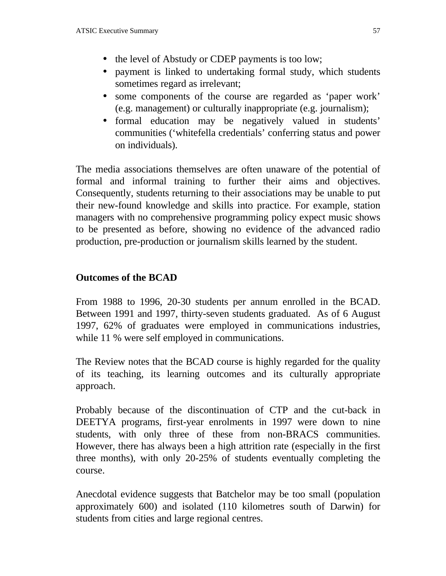- the level of Abstudy or CDEP payments is too low;
- payment is linked to undertaking formal study, which students sometimes regard as irrelevant;
- some components of the course are regarded as 'paper work' (e.g. management) or culturally inappropriate (e.g. journalism);
- formal education may be negatively valued in students' communities ('whitefella credentials' conferring status and power on individuals).

The media associations themselves are often unaware of the potential of formal and informal training to further their aims and objectives. Consequently, students returning to their associations may be unable to put their new-found knowledge and skills into practice. For example, station managers with no comprehensive programming policy expect music shows to be presented as before, showing no evidence of the advanced radio production, pre-production or journalism skills learned by the student.

#### **Outcomes of the BCAD**

From 1988 to 1996, 20-30 students per annum enrolled in the BCAD. Between 1991 and 1997, thirty-seven students graduated. As of 6 August 1997, 62% of graduates were employed in communications industries, while 11 % were self employed in communications.

The Review notes that the BCAD course is highly regarded for the quality of its teaching, its learning outcomes and its culturally appropriate approach.

Probably because of the discontinuation of CTP and the cut-back in DEETYA programs, first-year enrolments in 1997 were down to nine students, with only three of these from non-BRACS communities. However, there has always been a high attrition rate (especially in the first three months), with only 20-25% of students eventually completing the course.

Anecdotal evidence suggests that Batchelor may be too small (population approximately 600) and isolated (110 kilometres south of Darwin) for students from cities and large regional centres.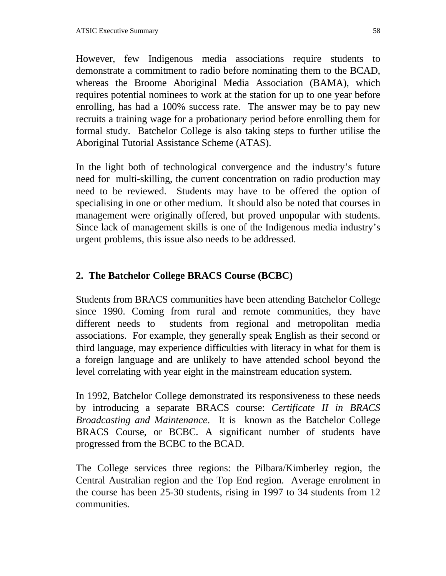However, few Indigenous media associations require students to demonstrate a commitment to radio before nominating them to the BCAD, whereas the Broome Aboriginal Media Association (BAMA), which requires potential nominees to work at the station for up to one year before enrolling, has had a 100% success rate. The answer may be to pay new recruits a training wage for a probationary period before enrolling them for formal study. Batchelor College is also taking steps to further utilise the Aboriginal Tutorial Assistance Scheme (ATAS).

In the light both of technological convergence and the industry's future need for multi-skilling, the current concentration on radio production may need to be reviewed. Students may have to be offered the option of specialising in one or other medium. It should also be noted that courses in management were originally offered, but proved unpopular with students. Since lack of management skills is one of the Indigenous media industry's urgent problems, this issue also needs to be addressed.

# **2. The Batchelor College BRACS Course (BCBC)**

Students from BRACS communities have been attending Batchelor College since 1990. Coming from rural and remote communities, they have different needs to students from regional and metropolitan media associations. For example, they generally speak English as their second or third language, may experience difficulties with literacy in what for them is a foreign language and are unlikely to have attended school beyond the level correlating with year eight in the mainstream education system.

In 1992, Batchelor College demonstrated its responsiveness to these needs by introducing a separate BRACS course: *Certificate II in BRACS Broadcasting and Maintenance*. It is known as the Batchelor College BRACS Course, or BCBC. A significant number of students have progressed from the BCBC to the BCAD.

The College services three regions: the Pilbara/Kimberley region, the Central Australian region and the Top End region. Average enrolment in the course has been 25-30 students, rising in 1997 to 34 students from 12 communities.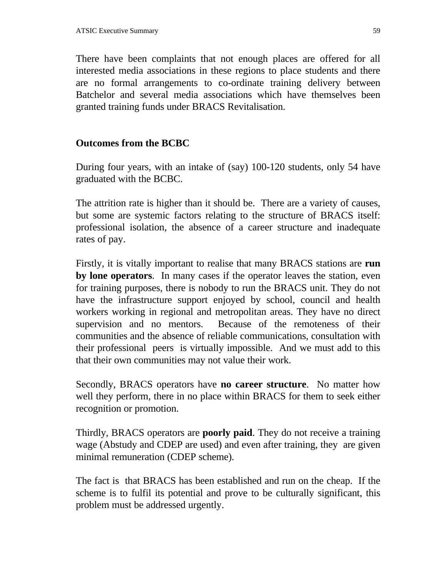There have been complaints that not enough places are offered for all interested media associations in these regions to place students and there are no formal arrangements to co-ordinate training delivery between Batchelor and several media associations which have themselves been granted training funds under BRACS Revitalisation.

#### **Outcomes from the BCBC**

During four years, with an intake of (say) 100-120 students, only 54 have graduated with the BCBC.

The attrition rate is higher than it should be. There are a variety of causes, but some are systemic factors relating to the structure of BRACS itself: professional isolation, the absence of a career structure and inadequate rates of pay.

Firstly, it is vitally important to realise that many BRACS stations are **run by lone operators**. In many cases if the operator leaves the station, even for training purposes, there is nobody to run the BRACS unit. They do not have the infrastructure support enjoyed by school, council and health workers working in regional and metropolitan areas. They have no direct supervision and no mentors. Because of the remoteness of their communities and the absence of reliable communications, consultation with their professional peers is virtually impossible. And we must add to this that their own communities may not value their work.

Secondly, BRACS operators have **no career structure**. No matter how well they perform, there in no place within BRACS for them to seek either recognition or promotion.

Thirdly, BRACS operators are **poorly paid**. They do not receive a training wage (Abstudy and CDEP are used) and even after training, they are given minimal remuneration (CDEP scheme).

The fact is that BRACS has been established and run on the cheap. If the scheme is to fulfil its potential and prove to be culturally significant, this problem must be addressed urgently.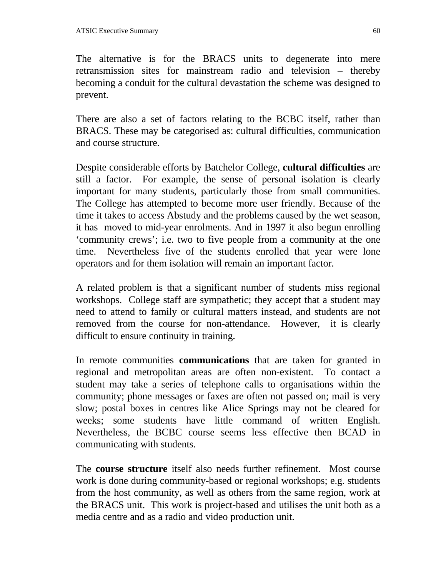The alternative is for the BRACS units to degenerate into mere retransmission sites for mainstream radio and television – thereby becoming a conduit for the cultural devastation the scheme was designed to prevent.

There are also a set of factors relating to the BCBC itself, rather than BRACS. These may be categorised as: cultural difficulties, communication and course structure.

Despite considerable efforts by Batchelor College, **cultural difficulties** are still a factor. For example, the sense of personal isolation is clearly important for many students, particularly those from small communities. The College has attempted to become more user friendly. Because of the time it takes to access Abstudy and the problems caused by the wet season, it has moved to mid-year enrolments. And in 1997 it also begun enrolling 'community crews'; i.e. two to five people from a community at the one time. Nevertheless five of the students enrolled that year were lone operators and for them isolation will remain an important factor.

A related problem is that a significant number of students miss regional workshops. College staff are sympathetic; they accept that a student may need to attend to family or cultural matters instead, and students are not removed from the course for non-attendance. However, it is clearly difficult to ensure continuity in training.

In remote communities **communications** that are taken for granted in regional and metropolitan areas are often non-existent. To contact a student may take a series of telephone calls to organisations within the community; phone messages or faxes are often not passed on; mail is very slow; postal boxes in centres like Alice Springs may not be cleared for weeks; some students have little command of written English. Nevertheless, the BCBC course seems less effective then BCAD in communicating with students.

The **course structure** itself also needs further refinement. Most course work is done during community-based or regional workshops; e.g. students from the host community, as well as others from the same region, work at the BRACS unit. This work is project-based and utilises the unit both as a media centre and as a radio and video production unit.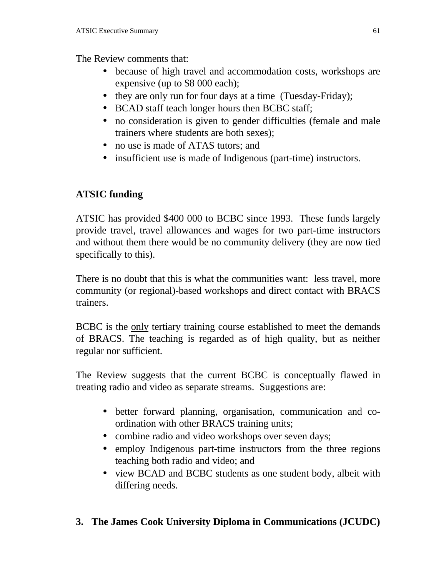The Review comments that:

- because of high travel and accommodation costs, workshops are expensive (up to \$8 000 each);
- they are only run for four days at a time (Tuesday-Friday);
- BCAD staff teach longer hours then BCBC staff;
- no consideration is given to gender difficulties (female and male trainers where students are both sexes);
- no use is made of ATAS tutors; and
- insufficient use is made of Indigenous (part-time) instructors.

# **ATSIC funding**

ATSIC has provided \$400 000 to BCBC since 1993. These funds largely provide travel, travel allowances and wages for two part-time instructors and without them there would be no community delivery (they are now tied specifically to this).

There is no doubt that this is what the communities want: less travel, more community (or regional)-based workshops and direct contact with BRACS trainers.

BCBC is the only tertiary training course established to meet the demands of BRACS. The teaching is regarded as of high quality, but as neither regular nor sufficient.

The Review suggests that the current BCBC is conceptually flawed in treating radio and video as separate streams. Suggestions are:

- better forward planning, organisation, communication and coordination with other BRACS training units;
- combine radio and video workshops over seven days;
- employ Indigenous part-time instructors from the three regions teaching both radio and video; and
- view BCAD and BCBC students as one student body, albeit with differing needs.

# **3. The James Cook University Diploma in Communications (JCUDC)**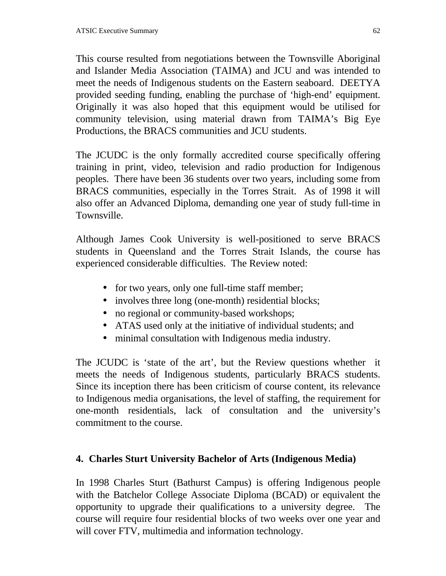This course resulted from negotiations between the Townsville Aboriginal and Islander Media Association (TAIMA) and JCU and was intended to meet the needs of Indigenous students on the Eastern seaboard. DEETYA provided seeding funding, enabling the purchase of 'high-end' equipment. Originally it was also hoped that this equipment would be utilised for community television, using material drawn from TAIMA's Big Eye Productions, the BRACS communities and JCU students.

The JCUDC is the only formally accredited course specifically offering training in print, video, television and radio production for Indigenous peoples. There have been 36 students over two years, including some from BRACS communities, especially in the Torres Strait. As of 1998 it will also offer an Advanced Diploma, demanding one year of study full-time in Townsville.

Although James Cook University is well-positioned to serve BRACS students in Queensland and the Torres Strait Islands, the course has experienced considerable difficulties. The Review noted:

- for two years, only one full-time staff member;
- involves three long (one-month) residential blocks;
- no regional or community-based workshops;
- ATAS used only at the initiative of individual students; and
- minimal consultation with Indigenous media industry.

The JCUDC is 'state of the art', but the Review questions whether it meets the needs of Indigenous students, particularly BRACS students. Since its inception there has been criticism of course content, its relevance to Indigenous media organisations, the level of staffing, the requirement for one-month residentials, lack of consultation and the university's commitment to the course.

#### **4. Charles Sturt University Bachelor of Arts (Indigenous Media)**

In 1998 Charles Sturt (Bathurst Campus) is offering Indigenous people with the Batchelor College Associate Diploma (BCAD) or equivalent the opportunity to upgrade their qualifications to a university degree. The course will require four residential blocks of two weeks over one year and will cover FTV, multimedia and information technology.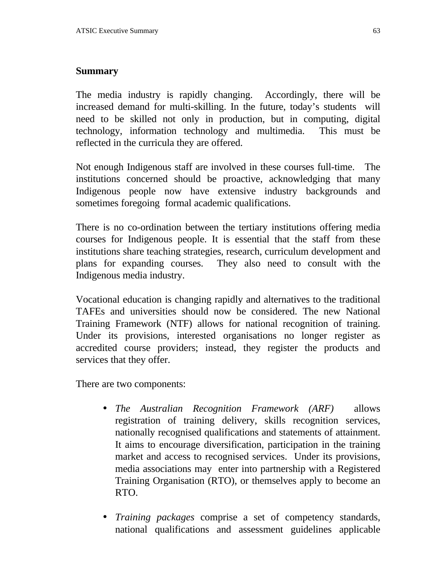#### **Summary**

The media industry is rapidly changing. Accordingly, there will be increased demand for multi-skilling. In the future, today's students will need to be skilled not only in production, but in computing, digital technology, information technology and multimedia. This must be reflected in the curricula they are offered.

Not enough Indigenous staff are involved in these courses full-time. The institutions concerned should be proactive, acknowledging that many Indigenous people now have extensive industry backgrounds and sometimes foregoing formal academic qualifications.

There is no co-ordination between the tertiary institutions offering media courses for Indigenous people. It is essential that the staff from these institutions share teaching strategies, research, curriculum development and plans for expanding courses. They also need to consult with the Indigenous media industry.

Vocational education is changing rapidly and alternatives to the traditional TAFEs and universities should now be considered. The new National Training Framework (NTF) allows for national recognition of training. Under its provisions, interested organisations no longer register as accredited course providers; instead, they register the products and services that they offer.

There are two components:

- *The Australian Recognition Framework (ARF)* allows registration of training delivery, skills recognition services, nationally recognised qualifications and statements of attainment. It aims to encourage diversification, participation in the training market and access to recognised services. Under its provisions, media associations may enter into partnership with a Registered Training Organisation (RTO), or themselves apply to become an RTO.
- *Training packages* comprise a set of competency standards, national qualifications and assessment guidelines applicable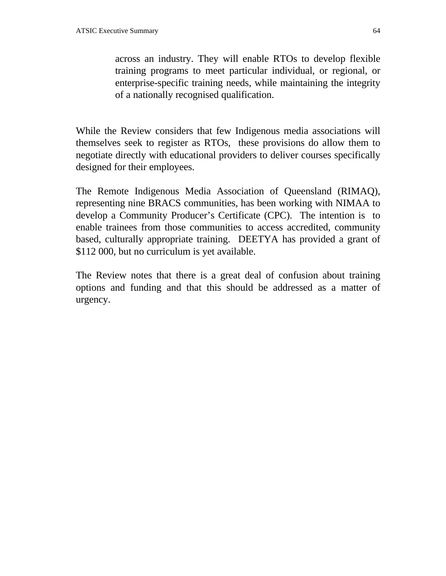across an industry. They will enable RTOs to develop flexible training programs to meet particular individual, or regional, or enterprise-specific training needs, while maintaining the integrity of a nationally recognised qualification.

While the Review considers that few Indigenous media associations will themselves seek to register as RTOs, these provisions do allow them to negotiate directly with educational providers to deliver courses specifically designed for their employees.

The Remote Indigenous Media Association of Queensland (RIMAQ), representing nine BRACS communities, has been working with NIMAA to develop a Community Producer's Certificate (CPC). The intention is to enable trainees from those communities to access accredited, community based, culturally appropriate training. DEETYA has provided a grant of \$112 000, but no curriculum is yet available.

The Review notes that there is a great deal of confusion about training options and funding and that this should be addressed as a matter of urgency.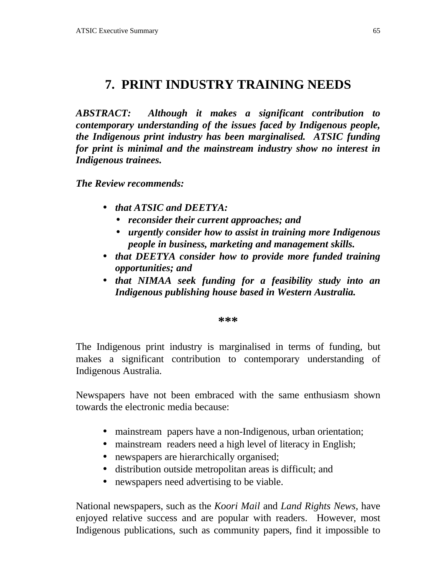# **7. PRINT INDUSTRY TRAINING NEEDS**

*ABSTRACT: Although it makes a significant contribution to contemporary understanding of the issues faced by Indigenous people, the Indigenous print industry has been marginalised. ATSIC funding for print is minimal and the mainstream industry show no interest in Indigenous trainees.*

*The Review recommends:*

- *that ATSIC and DEETYA:*
	- *reconsider their current approaches; and*
	- *urgently consider how to assist in training more Indigenous people in business, marketing and management skills.*
- *that DEETYA consider how to provide more funded training opportunities; and*
- *that NIMAA seek funding for a feasibility study into an Indigenous publishing house based in Western Australia.*

**\*\*\***

The Indigenous print industry is marginalised in terms of funding, but makes a significant contribution to contemporary understanding of Indigenous Australia.

Newspapers have not been embraced with the same enthusiasm shown towards the electronic media because:

- mainstream papers have a non-Indigenous, urban orientation;
- mainstream readers need a high level of literacy in English;
- newspapers are hierarchically organised;
- distribution outside metropolitan areas is difficult; and
- newspapers need advertising to be viable.

National newspapers, such as the *Koori Mail* and *Land Rights News*, have enjoyed relative success and are popular with readers. However, most Indigenous publications, such as community papers, find it impossible to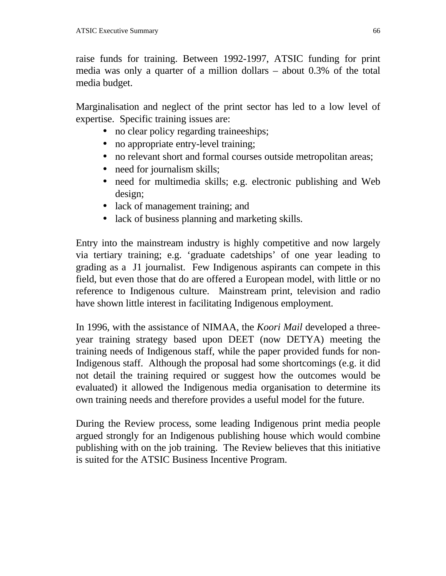raise funds for training. Between 1992-1997, ATSIC funding for print media was only a quarter of a million dollars – about 0.3% of the total media budget.

Marginalisation and neglect of the print sector has led to a low level of expertise. Specific training issues are:

- no clear policy regarding traineeships;
- no appropriate entry-level training;
- no relevant short and formal courses outside metropolitan areas;
- need for journalism skills;
- need for multimedia skills; e.g. electronic publishing and Web design;
- lack of management training; and
- lack of business planning and marketing skills.

Entry into the mainstream industry is highly competitive and now largely via tertiary training; e.g. 'graduate cadetships' of one year leading to grading as a J1 journalist. Few Indigenous aspirants can compete in this field, but even those that do are offered a European model, with little or no reference to Indigenous culture. Mainstream print, television and radio have shown little interest in facilitating Indigenous employment.

In 1996, with the assistance of NIMAA, the *Koori Mail* developed a threeyear training strategy based upon DEET (now DETYA) meeting the training needs of Indigenous staff, while the paper provided funds for non-Indigenous staff. Although the proposal had some shortcomings (e.g. it did not detail the training required or suggest how the outcomes would be evaluated) it allowed the Indigenous media organisation to determine its own training needs and therefore provides a useful model for the future.

During the Review process, some leading Indigenous print media people argued strongly for an Indigenous publishing house which would combine publishing with on the job training. The Review believes that this initiative is suited for the ATSIC Business Incentive Program.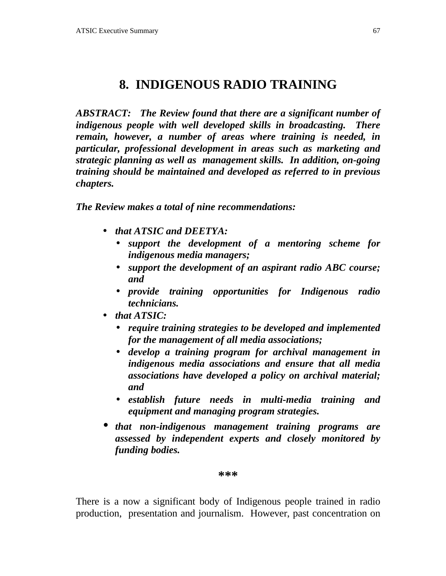# **8. INDIGENOUS RADIO TRAINING**

*ABSTRACT: The Review found that there are a significant number of indigenous people with well developed skills in broadcasting. There remain, however, a number of areas where training is needed, in particular, professional development in areas such as marketing and strategic planning as well as management skills. In addition, on-going training should be maintained and developed as referred to in previous chapters.*

*The Review makes a total of nine recommendations:*

- *that ATSIC and DEETYA:*
	- *support the development of a mentoring scheme for indigenous media managers;*
	- *support the development of an aspirant radio ABC course; and*
	- *provide training opportunities for Indigenous radio technicians.*
- *that ATSIC:*
	- *require training strategies to be developed and implemented for the management of all media associations;*
	- *develop a training program for archival management in indigenous media associations and ensure that all media associations have developed a policy on archival material; and*
	- *establish future needs in multi-media training and equipment and managing program strategies.*
- *that non-indigenous management training programs are assessed by independent experts and closely monitored by funding bodies.*

#### **\*\*\***

There is a now a significant body of Indigenous people trained in radio production, presentation and journalism. However, past concentration on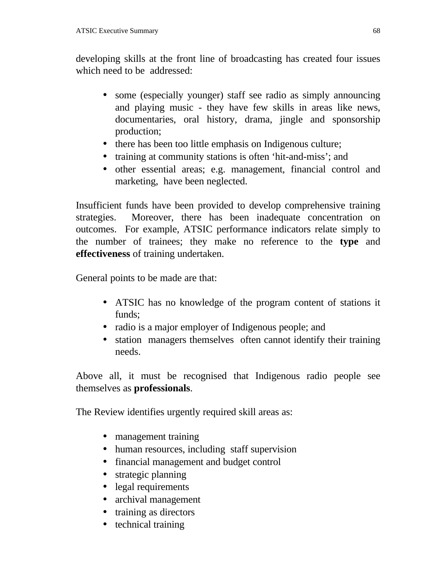developing skills at the front line of broadcasting has created four issues which need to be addressed:

- some (especially younger) staff see radio as simply announcing and playing music - they have few skills in areas like news, documentaries, oral history, drama, jingle and sponsorship production;
- there has been too little emphasis on Indigenous culture;
- training at community stations is often 'hit-and-miss'; and
- other essential areas; e.g. management, financial control and marketing, have been neglected.

Insufficient funds have been provided to develop comprehensive training strategies. Moreover, there has been inadequate concentration on outcomes. For example, ATSIC performance indicators relate simply to the number of trainees; they make no reference to the **type** and **effectiveness** of training undertaken.

General points to be made are that:

- ATSIC has no knowledge of the program content of stations it funds;
- radio is a major employer of Indigenous people; and
- station managers themselves often cannot identify their training needs.

Above all, it must be recognised that Indigenous radio people see themselves as **professionals**.

The Review identifies urgently required skill areas as:

- management training
- human resources, including staff supervision
- financial management and budget control
- strategic planning
- legal requirements
- archival management
- training as directors
- technical training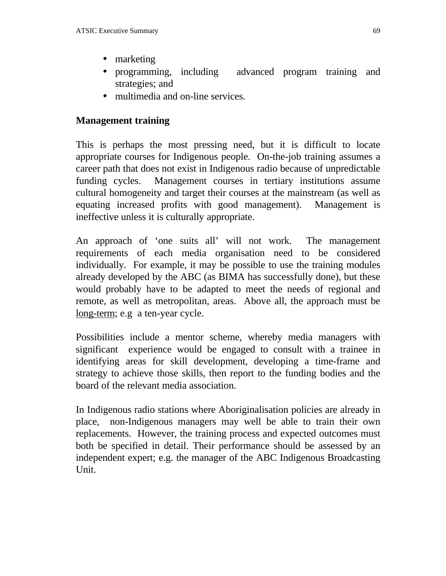- marketing
- programming, including advanced program training and strategies; and
- multimedia and on-line services.

# **Management training**

This is perhaps the most pressing need, but it is difficult to locate appropriate courses for Indigenous people. On-the-job training assumes a career path that does not exist in Indigenous radio because of unpredictable funding cycles. Management courses in tertiary institutions assume cultural homogeneity and target their courses at the mainstream (as well as equating increased profits with good management). Management is ineffective unless it is culturally appropriate.

An approach of 'one suits all' will not work. The management requirements of each media organisation need to be considered individually. For example, it may be possible to use the training modules already developed by the ABC (as BIMA has successfully done), but these would probably have to be adapted to meet the needs of regional and remote, as well as metropolitan, areas. Above all, the approach must be long-term; e.g a ten-year cycle.

Possibilities include a mentor scheme, whereby media managers with significant experience would be engaged to consult with a trainee in identifying areas for skill development, developing a time-frame and strategy to achieve those skills, then report to the funding bodies and the board of the relevant media association.

In Indigenous radio stations where Aboriginalisation policies are already in place, non-Indigenous managers may well be able to train their own replacements. However, the training process and expected outcomes must both be specified in detail. Their performance should be assessed by an independent expert; e.g. the manager of the ABC Indigenous Broadcasting Unit.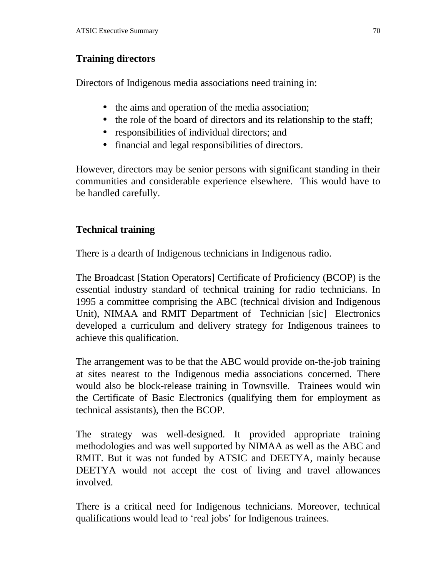# **Training directors**

Directors of Indigenous media associations need training in:

- the aims and operation of the media association;
- the role of the board of directors and its relationship to the staff;
- responsibilities of individual directors; and
- financial and legal responsibilities of directors.

However, directors may be senior persons with significant standing in their communities and considerable experience elsewhere. This would have to be handled carefully.

# **Technical training**

There is a dearth of Indigenous technicians in Indigenous radio.

The Broadcast [Station Operators] Certificate of Proficiency (BCOP) is the essential industry standard of technical training for radio technicians. In 1995 a committee comprising the ABC (technical division and Indigenous Unit), NIMAA and RMIT Department of Technician [sic] Electronics developed a curriculum and delivery strategy for Indigenous trainees to achieve this qualification.

The arrangement was to be that the ABC would provide on-the-job training at sites nearest to the Indigenous media associations concerned. There would also be block-release training in Townsville. Trainees would win the Certificate of Basic Electronics (qualifying them for employment as technical assistants), then the BCOP.

The strategy was well-designed. It provided appropriate training methodologies and was well supported by NIMAA as well as the ABC and RMIT. But it was not funded by ATSIC and DEETYA, mainly because DEETYA would not accept the cost of living and travel allowances involved.

There is a critical need for Indigenous technicians. Moreover, technical qualifications would lead to 'real jobs' for Indigenous trainees.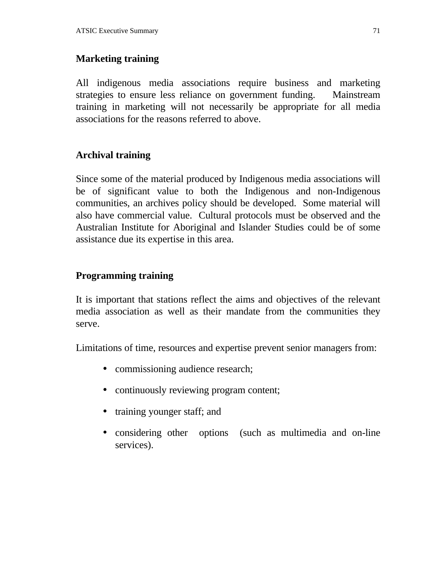### **Marketing training**

All indigenous media associations require business and marketing strategies to ensure less reliance on government funding. Mainstream training in marketing will not necessarily be appropriate for all media associations for the reasons referred to above.

#### **Archival training**

Since some of the material produced by Indigenous media associations will be of significant value to both the Indigenous and non-Indigenous communities, an archives policy should be developed. Some material will also have commercial value. Cultural protocols must be observed and the Australian Institute for Aboriginal and Islander Studies could be of some assistance due its expertise in this area.

#### **Programming training**

It is important that stations reflect the aims and objectives of the relevant media association as well as their mandate from the communities they serve.

Limitations of time, resources and expertise prevent senior managers from:

- commissioning audience research;
- continuously reviewing program content;
- training younger staff; and
- considering other options (such as multimedia and on-line services).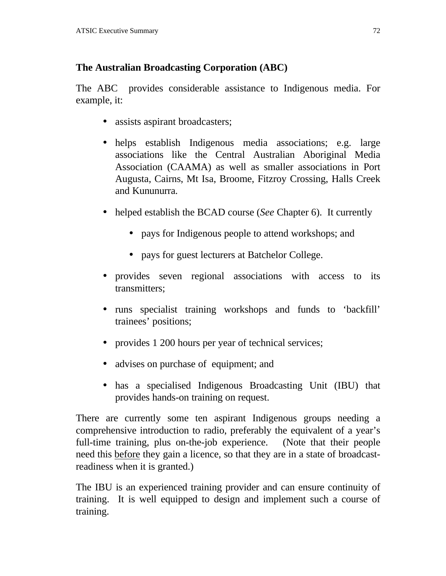# **The Australian Broadcasting Corporation (ABC)**

The ABC provides considerable assistance to Indigenous media. For example, it:

- assists aspirant broadcasters;
- helps establish Indigenous media associations; e.g. large associations like the Central Australian Aboriginal Media Association (CAAMA) as well as smaller associations in Port Augusta, Cairns, Mt Isa, Broome, Fitzroy Crossing, Halls Creek and Kununurra.
- helped establish the BCAD course (*See* Chapter 6). It currently
	- pays for Indigenous people to attend workshops; and
	- pays for guest lecturers at Batchelor College.
- provides seven regional associations with access to its transmitters;
- runs specialist training workshops and funds to 'backfill' trainees' positions;
- provides 1 200 hours per year of technical services;
- advises on purchase of equipment; and
- has a specialised Indigenous Broadcasting Unit (IBU) that provides hands-on training on request.

There are currently some ten aspirant Indigenous groups needing a comprehensive introduction to radio, preferably the equivalent of a year's full-time training, plus on-the-job experience. (Note that their people need this before they gain a licence, so that they are in a state of broadcastreadiness when it is granted.)

The IBU is an experienced training provider and can ensure continuity of training. It is well equipped to design and implement such a course of training.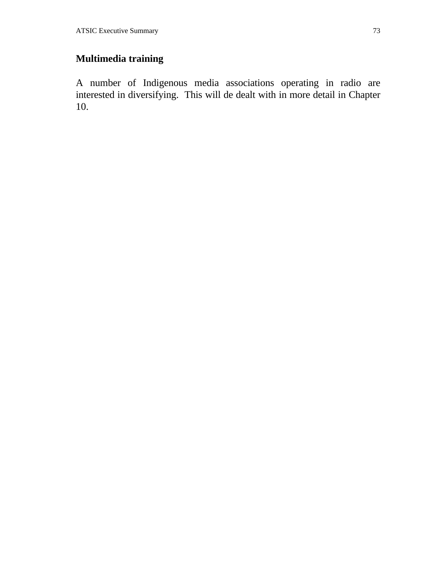## **Multimedia training**

A number of Indigenous media associations operating in radio are interested in diversifying. This will de dealt with in more detail in Chapter 10.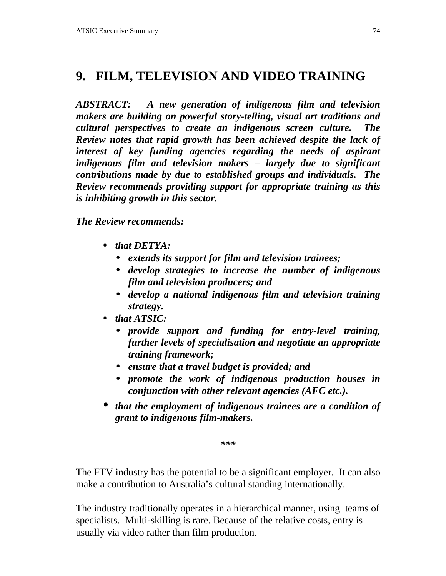# **9. FILM, TELEVISION AND VIDEO TRAINING**

*ABSTRACT: A new generation of indigenous film and television makers are building on powerful story-telling, visual art traditions and cultural perspectives to create an indigenous screen culture. The Review notes that rapid growth has been achieved despite the lack of interest of key funding agencies regarding the needs of aspirant indigenous film and television makers – largely due to significant contributions made by due to established groups and individuals. The Review recommends providing support for appropriate training as this is inhibiting growth in this sector.*

*The Review recommends:*

- *that DETYA:*
	- *extends its support for film and television trainees;*
	- *develop strategies to increase the number of indigenous film and television producers; and*
	- *develop a national indigenous film and television training strategy.*
- *that ATSIC:*
	- *provide support and funding for entry-level training, further levels of specialisation and negotiate an appropriate training framework;*
	- *ensure that a travel budget is provided; and*
	- *promote the work of indigenous production houses in conjunction with other relevant agencies (AFC etc.).*
- *that the employment of indigenous trainees are a condition of grant to indigenous film-makers.*

*\*\*\**

The FTV industry has the potential to be a significant employer. It can also make a contribution to Australia's cultural standing internationally.

The industry traditionally operates in a hierarchical manner, using teams of specialists. Multi-skilling is rare. Because of the relative costs, entry is usually via video rather than film production.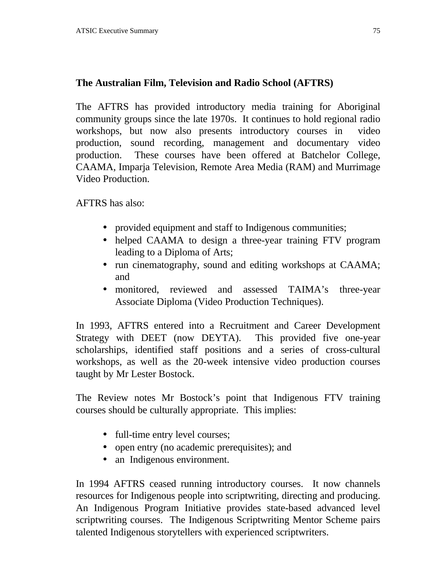## **The Australian Film, Television and Radio School (AFTRS)**

The AFTRS has provided introductory media training for Aboriginal community groups since the late 1970s. It continues to hold regional radio workshops, but now also presents introductory courses in video production, sound recording, management and documentary video production. These courses have been offered at Batchelor College, CAAMA, Imparja Television, Remote Area Media (RAM) and Murrimage Video Production.

AFTRS has also:

- provided equipment and staff to Indigenous communities;
- helped CAAMA to design a three-year training FTV program leading to a Diploma of Arts;
- run cinematography, sound and editing workshops at CAAMA; and
- monitored, reviewed and assessed TAIMA's three-year Associate Diploma (Video Production Techniques).

In 1993, AFTRS entered into a Recruitment and Career Development Strategy with DEET (now DEYTA). This provided five one-year scholarships, identified staff positions and a series of cross-cultural workshops, as well as the 20-week intensive video production courses taught by Mr Lester Bostock.

The Review notes Mr Bostock's point that Indigenous FTV training courses should be culturally appropriate. This implies:

- full-time entry level courses;
- open entry (no academic prerequisites); and
- an Indigenous environment.

In 1994 AFTRS ceased running introductory courses. It now channels resources for Indigenous people into scriptwriting, directing and producing. An Indigenous Program Initiative provides state-based advanced level scriptwriting courses. The Indigenous Scriptwriting Mentor Scheme pairs talented Indigenous storytellers with experienced scriptwriters.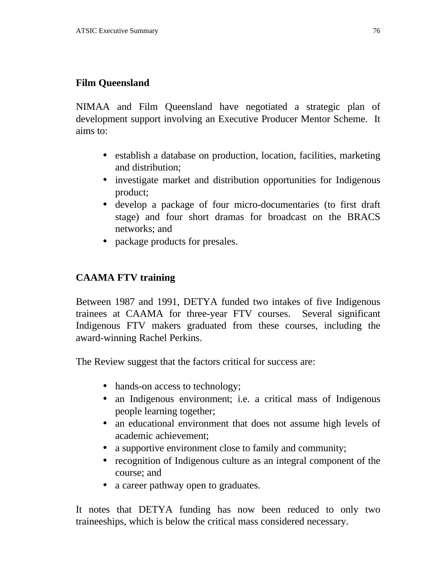#### **Film Queensland**

NIMAA and Film Queensland have negotiated a strategic plan of development support involving an Executive Producer Mentor Scheme. It aims to:

- establish a database on production, location, facilities, marketing and distribution;
- investigate market and distribution opportunities for Indigenous product;
- develop a package of four micro-documentaries (to first draft stage) and four short dramas for broadcast on the BRACS networks; and
- package products for presales.

### **CAAMA FTV training**

Between 1987 and 1991, DETYA funded two intakes of five Indigenous trainees at CAAMA for three-year FTV courses. Several significant Indigenous FTV makers graduated from these courses, including the award-winning Rachel Perkins.

The Review suggest that the factors critical for success are:

- hands-on access to technology;
- an Indigenous environment; i.e. a critical mass of Indigenous people learning together;
- an educational environment that does not assume high levels of academic achievement;
- a supportive environment close to family and community;
- recognition of Indigenous culture as an integral component of the course; and
- a career pathway open to graduates.

It notes that DETYA funding has now been reduced to only two traineeships, which is below the critical mass considered necessary.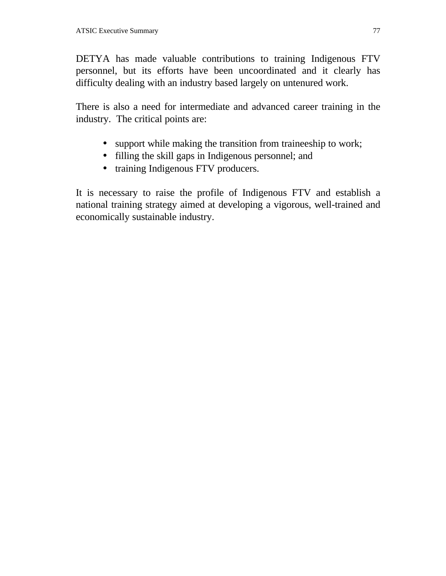DETYA has made valuable contributions to training Indigenous FTV personnel, but its efforts have been uncoordinated and it clearly has difficulty dealing with an industry based largely on untenured work.

There is also a need for intermediate and advanced career training in the industry. The critical points are:

- support while making the transition from traineeship to work;
- filling the skill gaps in Indigenous personnel; and
- training Indigenous FTV producers.

It is necessary to raise the profile of Indigenous FTV and establish a national training strategy aimed at developing a vigorous, well-trained and economically sustainable industry.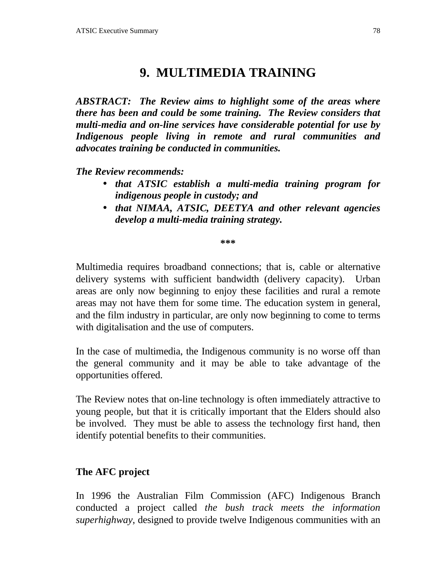# **9. MULTIMEDIA TRAINING**

*ABSTRACT: The Review aims to highlight some of the areas where there has been and could be some training. The Review considers that multi-media and on-line services have considerable potential for use by Indigenous people living in remote and rural communities and advocates training be conducted in communities.*

*The Review recommends:*

- *that ATSIC establish a multi-media training program for indigenous people in custody; and*
- *that NIMAA, ATSIC, DEETYA and other relevant agencies develop a multi-media training strategy.*

**\*\*\***

Multimedia requires broadband connections; that is, cable or alternative delivery systems with sufficient bandwidth (delivery capacity). Urban areas are only now beginning to enjoy these facilities and rural a remote areas may not have them for some time. The education system in general, and the film industry in particular, are only now beginning to come to terms with digitalisation and the use of computers.

In the case of multimedia, the Indigenous community is no worse off than the general community and it may be able to take advantage of the opportunities offered.

The Review notes that on-line technology is often immediately attractive to young people, but that it is critically important that the Elders should also be involved. They must be able to assess the technology first hand, then identify potential benefits to their communities.

#### **The AFC project**

In 1996 the Australian Film Commission (AFC) Indigenous Branch conducted a project called *the bush track meets the information superhighway*, designed to provide twelve Indigenous communities with an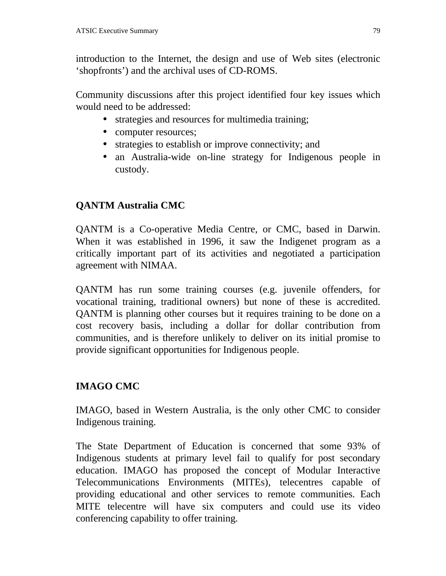introduction to the Internet, the design and use of Web sites (electronic 'shopfronts') and the archival uses of CD-ROMS.

Community discussions after this project identified four key issues which would need to be addressed:

- strategies and resources for multimedia training;
- computer resources;
- strategies to establish or improve connectivity; and
- an Australia-wide on-line strategy for Indigenous people in custody.

## **QANTM Australia CMC**

QANTM is a Co-operative Media Centre, or CMC, based in Darwin. When it was established in 1996, it saw the Indigenet program as a critically important part of its activities and negotiated a participation agreement with NIMAA.

QANTM has run some training courses (e.g. juvenile offenders, for vocational training, traditional owners) but none of these is accredited. QANTM is planning other courses but it requires training to be done on a cost recovery basis, including a dollar for dollar contribution from communities, and is therefore unlikely to deliver on its initial promise to provide significant opportunities for Indigenous people.

## **IMAGO CMC**

IMAGO, based in Western Australia, is the only other CMC to consider Indigenous training.

The State Department of Education is concerned that some 93% of Indigenous students at primary level fail to qualify for post secondary education. IMAGO has proposed the concept of Modular Interactive Telecommunications Environments (MITEs), telecentres capable of providing educational and other services to remote communities. Each MITE telecentre will have six computers and could use its video conferencing capability to offer training.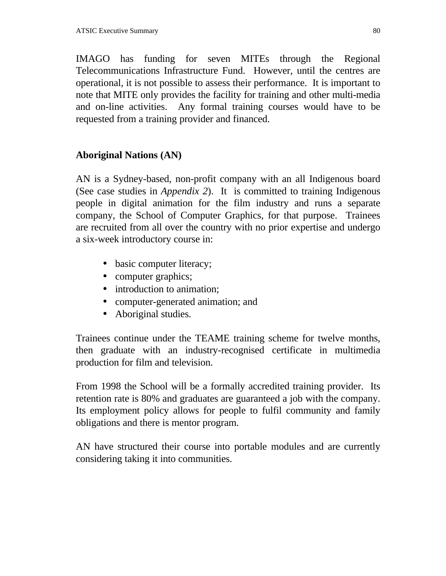IMAGO has funding for seven MITEs through the Regional Telecommunications Infrastructure Fund. However, until the centres are operational, it is not possible to assess their performance. It is important to note that MITE only provides the facility for training and other multi-media and on-line activities. Any formal training courses would have to be requested from a training provider and financed.

### **Aboriginal Nations (AN)**

AN is a Sydney-based, non-profit company with an all Indigenous board (See case studies in *Appendix 2*). It is committed to training Indigenous people in digital animation for the film industry and runs a separate company, the School of Computer Graphics, for that purpose. Trainees are recruited from all over the country with no prior expertise and undergo a six-week introductory course in:

- basic computer literacy;
- computer graphics;
- introduction to animation:
- computer-generated animation; and
- Aboriginal studies.

Trainees continue under the TEAME training scheme for twelve months, then graduate with an industry-recognised certificate in multimedia production for film and television.

From 1998 the School will be a formally accredited training provider. Its retention rate is 80% and graduates are guaranteed a job with the company. Its employment policy allows for people to fulfil community and family obligations and there is mentor program.

AN have structured their course into portable modules and are currently considering taking it into communities.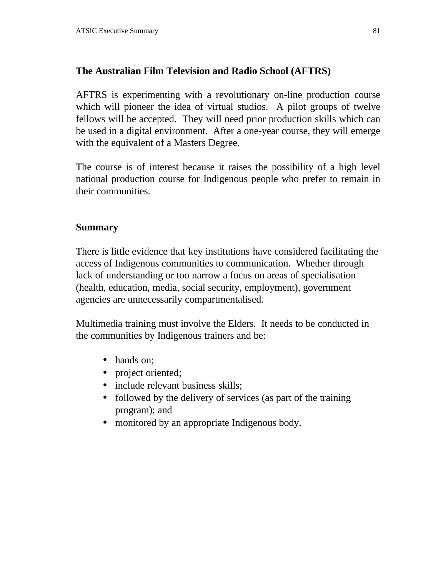#### **The Australian Film Television and Radio School (AFTRS)**

AFTRS is experimenting with a revolutionary on-line production course which will pioneer the idea of virtual studios. A pilot groups of twelve fellows will be accepted. They will need prior production skills which can be used in a digital environment. After a one-year course, they will emerge with the equivalent of a Masters Degree.

The course is of interest because it raises the possibility of a high level national production course for Indigenous people who prefer to remain in their communities.

#### **Summary**

There is little evidence that key institutions have considered facilitating the access of Indigenous communities to communication. Whether through lack of understanding or too narrow a focus on areas of specialisation (health, education, media, social security, employment), government agencies are unnecessarily compartmentalised.

Multimedia training must involve the Elders. It needs to be conducted in the communities by Indigenous trainers and be:

- hands on;
- project oriented;
- include relevant business skills;
- followed by the delivery of services (as part of the training program); and
- monitored by an appropriate Indigenous body.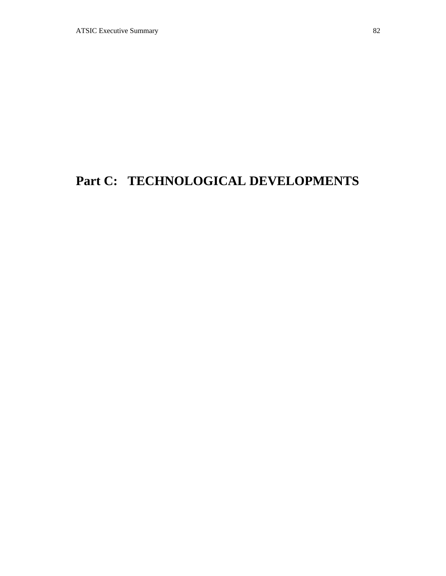# **Part C: TECHNOLOGICAL DEVELOPMENTS**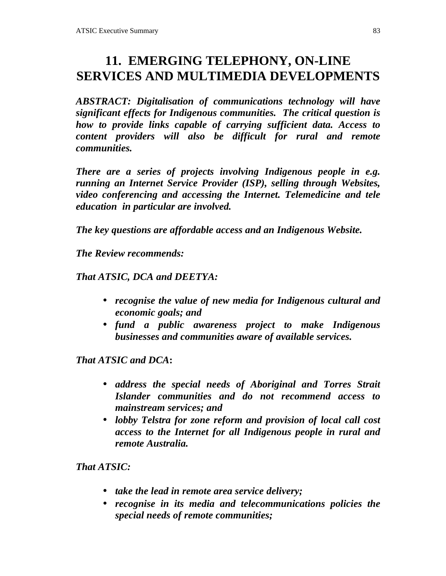# **11. EMERGING TELEPHONY, ON-LINE SERVICES AND MULTIMEDIA DEVELOPMENTS**

*ABSTRACT: Digitalisation of communications technology will have significant effects for Indigenous communities. The critical question is how to provide links capable of carrying sufficient data. Access to content providers will also be difficult for rural and remote communities.*

*There are a series of projects involving Indigenous people in e.g. running an Internet Service Provider (ISP), selling through Websites, video conferencing and accessing the Internet. Telemedicine and tele education in particular are involved.*

*The key questions are affordable access and an Indigenous Website.*

*The Review recommends:*

*That ATSIC, DCA and DEETYA:*

- *recognise the value of new media for Indigenous cultural and economic goals; and*
- *fund a public awareness project to make Indigenous businesses and communities aware of available services.*

*That ATSIC and DCA***:**

- *address the special needs of Aboriginal and Torres Strait Islander communities and do not recommend access to mainstream services; and*
- *lobby Telstra for zone reform and provision of local call cost access to the Internet for all Indigenous people in rural and remote Australia.*

*That ATSIC:*

- *take the lead in remote area service delivery;*
- *recognise in its media and telecommunications policies the special needs of remote communities;*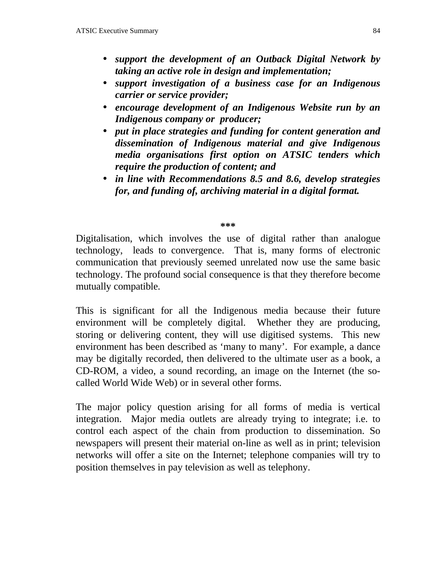- *support the development of an Outback Digital Network by taking an active role in design and implementation;*
- *support investigation of a business case for an Indigenous carrier or service provider;*
- *encourage development of an Indigenous Website run by an Indigenous company or producer;*
- *put in place strategies and funding for content generation and dissemination of Indigenous material and give Indigenous media organisations first option on ATSIC tenders which require the production of content; and*
- *in line with Recommendations 8.5 and 8.6, develop strategies for, and funding of, archiving material in a digital format.*

#### **\*\*\***

Digitalisation, which involves the use of digital rather than analogue technology, leads to convergence. That is, many forms of electronic communication that previously seemed unrelated now use the same basic technology. The profound social consequence is that they therefore become mutually compatible.

This is significant for all the Indigenous media because their future environment will be completely digital. Whether they are producing, storing or delivering content, they will use digitised systems. This new environment has been described as 'many to many'. For example, a dance may be digitally recorded, then delivered to the ultimate user as a book, a CD-ROM, a video, a sound recording, an image on the Internet (the socalled World Wide Web) or in several other forms.

The major policy question arising for all forms of media is vertical integration. Major media outlets are already trying to integrate; i.e. to control each aspect of the chain from production to dissemination. So newspapers will present their material on-line as well as in print; television networks will offer a site on the Internet; telephone companies will try to position themselves in pay television as well as telephony.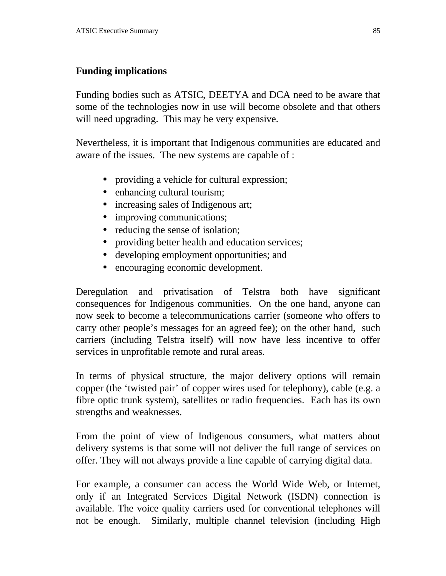### **Funding implications**

Funding bodies such as ATSIC, DEETYA and DCA need to be aware that some of the technologies now in use will become obsolete and that others will need upgrading. This may be very expensive.

Nevertheless, it is important that Indigenous communities are educated and aware of the issues. The new systems are capable of :

- providing a vehicle for cultural expression;
- enhancing cultural tourism;
- increasing sales of Indigenous art;
- improving communications;
- reducing the sense of isolation;
- providing better health and education services;
- developing employment opportunities; and
- encouraging economic development.

Deregulation and privatisation of Telstra both have significant consequences for Indigenous communities. On the one hand, anyone can now seek to become a telecommunications carrier (someone who offers to carry other people's messages for an agreed fee); on the other hand, such carriers (including Telstra itself) will now have less incentive to offer services in unprofitable remote and rural areas.

In terms of physical structure, the major delivery options will remain copper (the 'twisted pair' of copper wires used for telephony), cable (e.g. a fibre optic trunk system), satellites or radio frequencies. Each has its own strengths and weaknesses.

From the point of view of Indigenous consumers, what matters about delivery systems is that some will not deliver the full range of services on offer. They will not always provide a line capable of carrying digital data.

For example, a consumer can access the World Wide Web, or Internet, only if an Integrated Services Digital Network (ISDN) connection is available. The voice quality carriers used for conventional telephones will not be enough. Similarly, multiple channel television (including High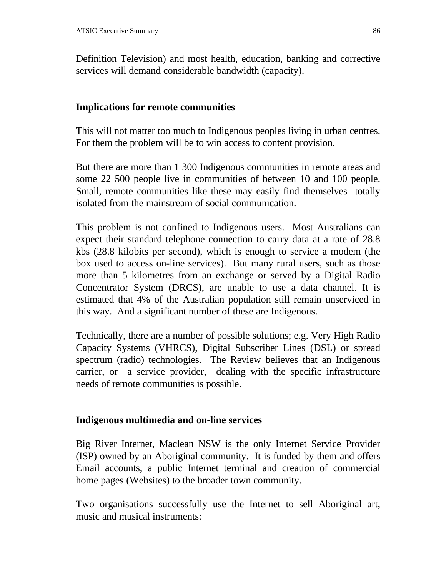Definition Television) and most health, education, banking and corrective services will demand considerable bandwidth (capacity).

#### **Implications for remote communities**

This will not matter too much to Indigenous peoples living in urban centres. For them the problem will be to win access to content provision.

But there are more than 1 300 Indigenous communities in remote areas and some 22 500 people live in communities of between 10 and 100 people. Small, remote communities like these may easily find themselves totally isolated from the mainstream of social communication.

This problem is not confined to Indigenous users. Most Australians can expect their standard telephone connection to carry data at a rate of 28.8 kbs (28.8 kilobits per second), which is enough to service a modem (the box used to access on-line services). But many rural users, such as those more than 5 kilometres from an exchange or served by a Digital Radio Concentrator System (DRCS), are unable to use a data channel. It is estimated that 4% of the Australian population still remain unserviced in this way. And a significant number of these are Indigenous.

Technically, there are a number of possible solutions; e.g. Very High Radio Capacity Systems (VHRCS), Digital Subscriber Lines (DSL) or spread spectrum (radio) technologies. The Review believes that an Indigenous carrier, or a service provider, dealing with the specific infrastructure needs of remote communities is possible.

#### **Indigenous multimedia and on-line services**

Big River Internet, Maclean NSW is the only Internet Service Provider (ISP) owned by an Aboriginal community. It is funded by them and offers Email accounts, a public Internet terminal and creation of commercial home pages (Websites) to the broader town community.

Two organisations successfully use the Internet to sell Aboriginal art, music and musical instruments: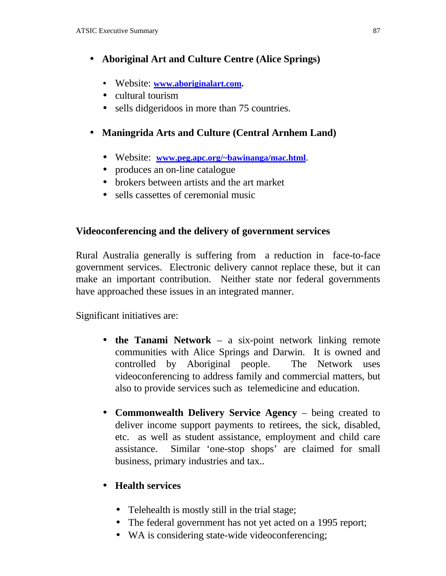## • **Aboriginal Art and Culture Centre (Alice Springs)**

- Website: **www.aboriginalart.com.**
- cultural tourism
- sells didgeridoos in more than 75 countries.

#### • **Maningrida Arts and Culture (Central Arnhem Land)**

- Website: **www.peg.apc.org/~bawinanga/mac.html**.
- produces an on-line catalogue
- brokers between artists and the art market
- sells cassettes of ceremonial music

#### **Videoconferencing and the delivery of government services**

Rural Australia generally is suffering from a reduction in face-to-face government services. Electronic delivery cannot replace these, but it can make an important contribution. Neither state nor federal governments have approached these issues in an integrated manner.

Significant initiatives are:

- **the Tanami Network** a six-point network linking remote communities with Alice Springs and Darwin. It is owned and controlled by Aboriginal people. The Network uses videoconferencing to address family and commercial matters, but also to provide services such as telemedicine and education.
- **Commonwealth Delivery Service Agency** being created to deliver income support payments to retirees, the sick, disabled, etc. as well as student assistance, employment and child care assistance. Similar 'one-stop shops' are claimed for small business, primary industries and tax..

#### • **Health services**

- Telehealth is mostly still in the trial stage;
- The federal government has not yet acted on a 1995 report;
- WA is considering state-wide videoconferencing;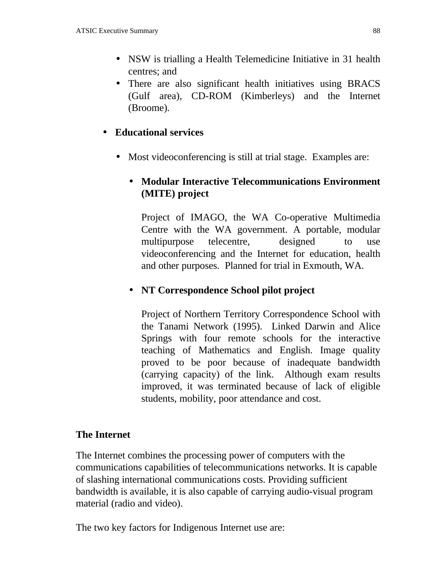- NSW is trialling a Health Telemedicine Initiative in 31 health centres; and
- There are also significant health initiatives using BRACS (Gulf area), CD-ROM (Kimberleys) and the Internet (Broome).

#### • **Educational services**

• Most videoconferencing is still at trial stage. Examples are:

## • **Modular Interactive Telecommunications Environment (MITE) project**

Project of IMAGO, the WA Co-operative Multimedia Centre with the WA government. A portable, modular multipurpose telecentre, designed to use videoconferencing and the Internet for education, health and other purposes. Planned for trial in Exmouth, WA.

### • **NT Correspondence School pilot project**

Project of Northern Territory Correspondence School with the Tanami Network (1995). Linked Darwin and Alice Springs with four remote schools for the interactive teaching of Mathematics and English. Image quality proved to be poor because of inadequate bandwidth (carrying capacity) of the link. Although exam results improved, it was terminated because of lack of eligible students, mobility, poor attendance and cost.

#### **The Internet**

The Internet combines the processing power of computers with the communications capabilities of telecommunications networks. It is capable of slashing international communications costs. Providing sufficient bandwidth is available, it is also capable of carrying audio-visual program material (radio and video).

The two key factors for Indigenous Internet use are: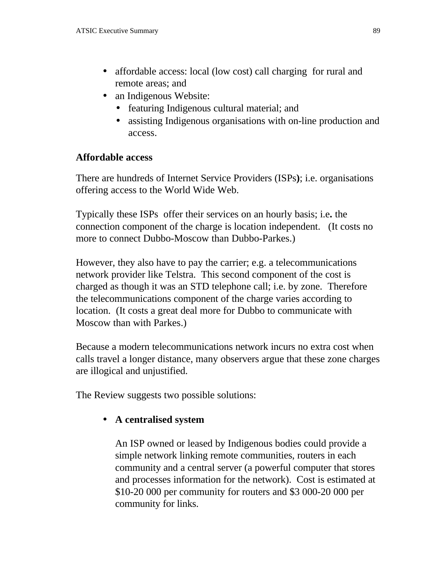- affordable access: local (low cost) call charging for rural and remote areas; and
- an Indigenous Website:
	- featuring Indigenous cultural material; and
	- assisting Indigenous organisations with on-line production and access.

#### **Affordable access**

There are hundreds of Internet Service Providers (ISPs**)**; i.e. organisations offering access to the World Wide Web.

Typically these ISPs offer their services on an hourly basis; i.e**.** the connection component of the charge is location independent. (It costs no more to connect Dubbo-Moscow than Dubbo-Parkes.)

However, they also have to pay the carrier; e.g. a telecommunications network provider like Telstra. This second component of the cost is charged as though it was an STD telephone call; i.e. by zone. Therefore the telecommunications component of the charge varies according to location. (It costs a great deal more for Dubbo to communicate with Moscow than with Parkes.)

Because a modern telecommunications network incurs no extra cost when calls travel a longer distance, many observers argue that these zone charges are illogical and unjustified.

The Review suggests two possible solutions:

### • **A centralised system**

An ISP owned or leased by Indigenous bodies could provide a simple network linking remote communities, routers in each community and a central server (a powerful computer that stores and processes information for the network). Cost is estimated at \$10-20 000 per community for routers and \$3 000-20 000 per community for links.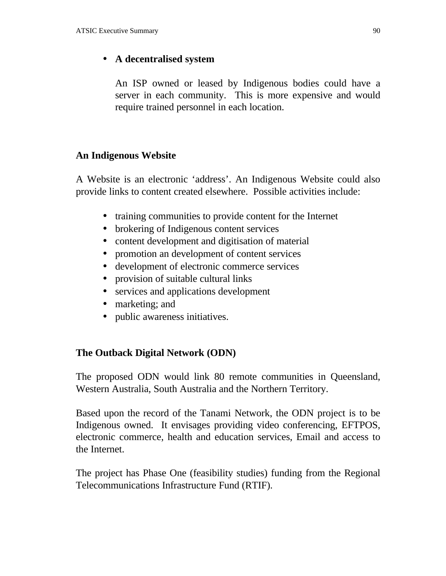#### • **A decentralised system**

An ISP owned or leased by Indigenous bodies could have a server in each community. This is more expensive and would require trained personnel in each location.

#### **An Indigenous Website**

A Website is an electronic 'address'. An Indigenous Website could also provide links to content created elsewhere. Possible activities include:

- training communities to provide content for the Internet
- brokering of Indigenous content services
- content development and digitisation of material
- promotion an development of content services
- development of electronic commerce services
- provision of suitable cultural links
- services and applications development
- marketing; and
- public awareness initiatives.

#### **The Outback Digital Network (ODN)**

The proposed ODN would link 80 remote communities in Queensland, Western Australia, South Australia and the Northern Territory.

Based upon the record of the Tanami Network, the ODN project is to be Indigenous owned. It envisages providing video conferencing, EFTPOS, electronic commerce, health and education services, Email and access to the Internet.

The project has Phase One (feasibility studies) funding from the Regional Telecommunications Infrastructure Fund (RTIF).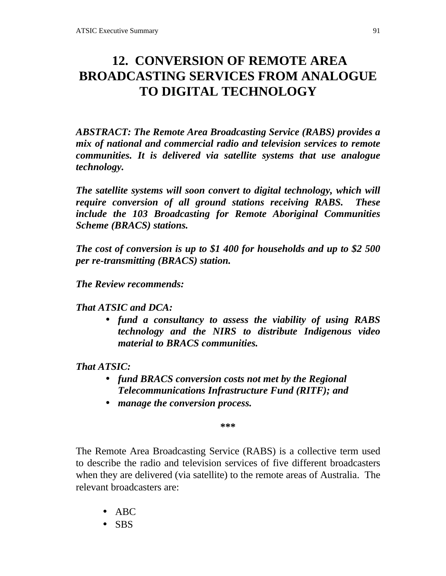# **12. CONVERSION OF REMOTE AREA BROADCASTING SERVICES FROM ANALOGUE TO DIGITAL TECHNOLOGY**

*ABSTRACT: The Remote Area Broadcasting Service (RABS) provides a mix of national and commercial radio and television services to remote communities. It is delivered via satellite systems that use analogue technology.*

*The satellite systems will soon convert to digital technology, which will require conversion of all ground stations receiving RABS. These include the 103 Broadcasting for Remote Aboriginal Communities Scheme (BRACS) stations.*

*The cost of conversion is up to \$1 400 for households and up to \$2 500 per re-transmitting (BRACS) station.*

*The Review recommends:*

*That ATSIC and DCA:*

• *fund a consultancy to assess the viability of using RABS technology and the NIRS to distribute Indigenous video material to BRACS communities.*

### *That ATSIC:*

- *fund BRACS conversion costs not met by the Regional Telecommunications Infrastructure Fund (RITF); and*
- *manage the conversion process.*

**\*\*\***

The Remote Area Broadcasting Service (RABS) is a collective term used to describe the radio and television services of five different broadcasters when they are delivered (via satellite) to the remote areas of Australia. The relevant broadcasters are:

- ABC
- SBS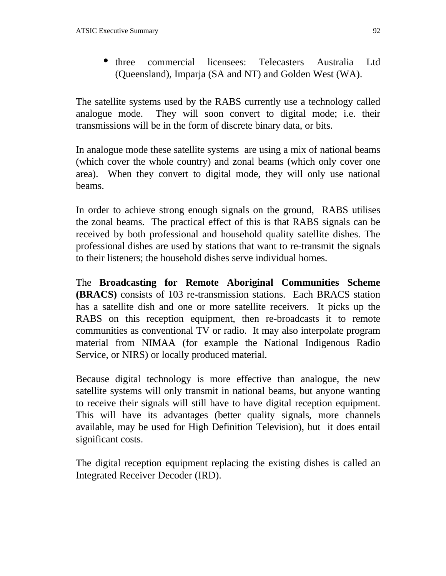• three commercial licensees: Telecasters Australia Ltd (Queensland), Imparja (SA and NT) and Golden West (WA).

The satellite systems used by the RABS currently use a technology called analogue mode. They will soon convert to digital mode; i.e. their transmissions will be in the form of discrete binary data, or bits.

In analogue mode these satellite systems are using a mix of national beams (which cover the whole country) and zonal beams (which only cover one area). When they convert to digital mode, they will only use national beams.

In order to achieve strong enough signals on the ground, RABS utilises the zonal beams. The practical effect of this is that RABS signals can be received by both professional and household quality satellite dishes. The professional dishes are used by stations that want to re-transmit the signals to their listeners; the household dishes serve individual homes.

The **Broadcasting for Remote Aboriginal Communities Scheme (BRACS)** consists of 103 re-transmission stations. Each BRACS station has a satellite dish and one or more satellite receivers. It picks up the RABS on this reception equipment, then re-broadcasts it to remote communities as conventional TV or radio. It may also interpolate program material from NIMAA (for example the National Indigenous Radio Service, or NIRS) or locally produced material.

Because digital technology is more effective than analogue, the new satellite systems will only transmit in national beams, but anyone wanting to receive their signals will still have to have digital reception equipment. This will have its advantages (better quality signals, more channels available, may be used for High Definition Television), but it does entail significant costs.

The digital reception equipment replacing the existing dishes is called an Integrated Receiver Decoder (IRD).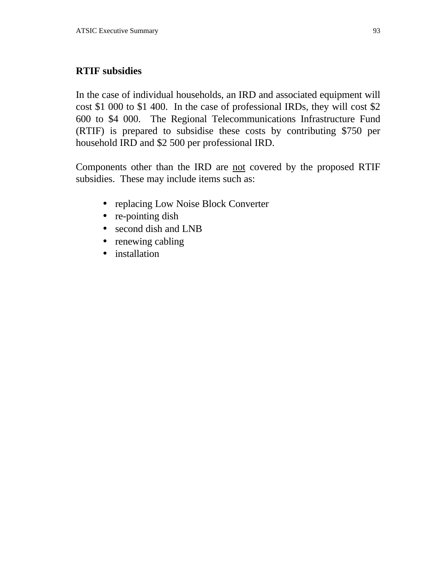### **RTIF subsidies**

In the case of individual households, an IRD and associated equipment will cost \$1 000 to \$1 400. In the case of professional IRDs, they will cost \$2 600 to \$4 000. The Regional Telecommunications Infrastructure Fund (RTIF) is prepared to subsidise these costs by contributing \$750 per household IRD and \$2 500 per professional IRD.

Components other than the IRD are not covered by the proposed RTIF subsidies. These may include items such as:

- replacing Low Noise Block Converter
- re-pointing dish
- second dish and LNB
- renewing cabling
- installation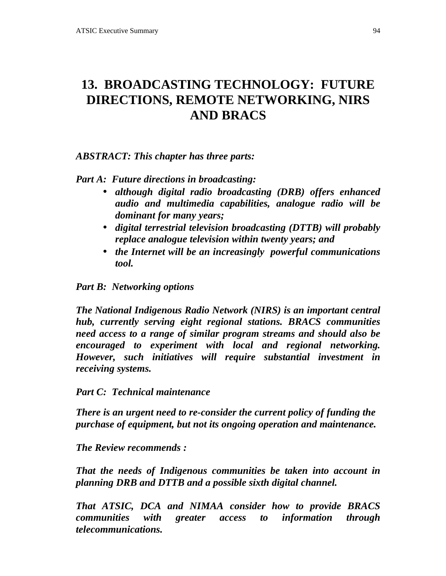# **13. BROADCASTING TECHNOLOGY: FUTURE DIRECTIONS, REMOTE NETWORKING, NIRS AND BRACS**

*ABSTRACT: This chapter has three parts:*

*Part A: Future directions in broadcasting:*

- *although digital radio broadcasting (DRB) offers enhanced audio and multimedia capabilities, analogue radio will be dominant for many years;*
- *digital terrestrial television broadcasting (DTTB) will probably replace analogue television within twenty years; and*
- *the Internet will be an increasingly powerful communications tool.*

*Part B: Networking options*

*The National Indigenous Radio Network (NIRS) is an important central hub, currently serving eight regional stations. BRACS communities need access to a range of similar program streams and should also be encouraged to experiment with local and regional networking. However, such initiatives will require substantial investment in receiving systems.*

*Part C: Technical maintenance*

*There is an urgent need to re-consider the current policy of funding the purchase of equipment, but not its ongoing operation and maintenance.*

*The Review recommends :*

*That the needs of Indigenous communities be taken into account in planning DRB and DTTB and a possible sixth digital channel.*

*That ATSIC, DCA and NIMAA consider how to provide BRACS communities with greater access to information through telecommunications.*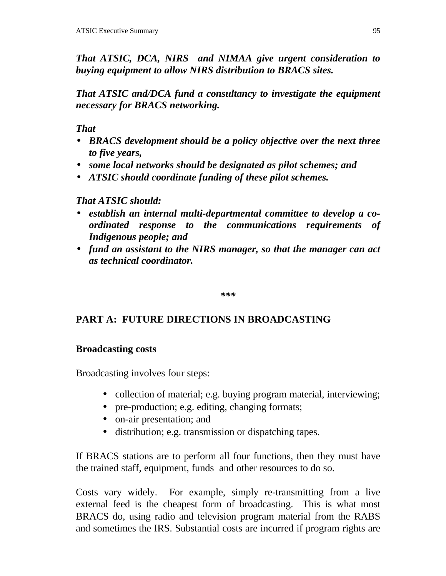*That ATSIC, DCA, NIRS and NIMAA give urgent consideration to buying equipment to allow NIRS distribution to BRACS sites.*

*That ATSIC and/DCA fund a consultancy to investigate the equipment necessary for BRACS networking.*

*That*

- *BRACS development should be a policy objective over the next three to five years,*
- *some local networks should be designated as pilot schemes; and*
- *ATSIC should coordinate funding of these pilot schemes.*

## *That ATSIC should:*

- *establish an internal multi-departmental committee to develop a coordinated response to the communications requirements of Indigenous people; and*
- *fund an assistant to the NIRS manager, so that the manager can act as technical coordinator.*

*\*\*\**

## **PART A: FUTURE DIRECTIONS IN BROADCASTING**

### **Broadcasting costs**

Broadcasting involves four steps:

- collection of material; e.g. buying program material, interviewing;
- pre-production; e.g. editing, changing formats;
- on-air presentation; and
- distribution; e.g. transmission or dispatching tapes.

If BRACS stations are to perform all four functions, then they must have the trained staff, equipment, funds and other resources to do so.

Costs vary widely. For example, simply re-transmitting from a live external feed is the cheapest form of broadcasting. This is what most BRACS do, using radio and television program material from the RABS and sometimes the IRS. Substantial costs are incurred if program rights are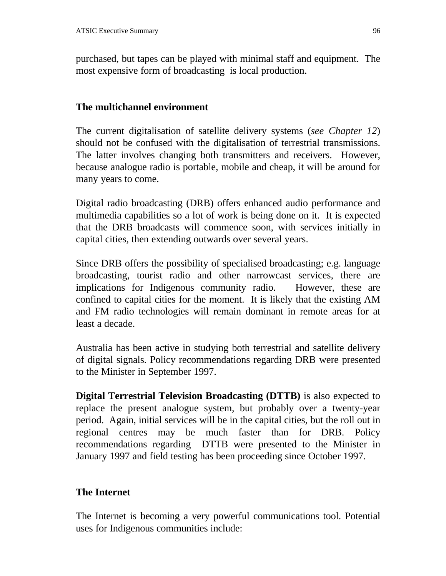purchased, but tapes can be played with minimal staff and equipment. The most expensive form of broadcasting is local production.

#### **The multichannel environment**

The current digitalisation of satellite delivery systems (*see Chapter 12*) should not be confused with the digitalisation of terrestrial transmissions. The latter involves changing both transmitters and receivers. However, because analogue radio is portable, mobile and cheap, it will be around for many years to come.

Digital radio broadcasting (DRB) offers enhanced audio performance and multimedia capabilities so a lot of work is being done on it. It is expected that the DRB broadcasts will commence soon, with services initially in capital cities, then extending outwards over several years.

Since DRB offers the possibility of specialised broadcasting; e.g. language broadcasting, tourist radio and other narrowcast services, there are implications for Indigenous community radio. However, these are confined to capital cities for the moment. It is likely that the existing AM and FM radio technologies will remain dominant in remote areas for at least a decade.

Australia has been active in studying both terrestrial and satellite delivery of digital signals. Policy recommendations regarding DRB were presented to the Minister in September 1997.

**Digital Terrestrial Television Broadcasting (DTTB)** is also expected to replace the present analogue system, but probably over a twenty-year period. Again, initial services will be in the capital cities, but the roll out in regional centres may be much faster than for DRB. Policy recommendations regarding DTTB were presented to the Minister in January 1997 and field testing has been proceeding since October 1997.

#### **The Internet**

The Internet is becoming a very powerful communications tool. Potential uses for Indigenous communities include: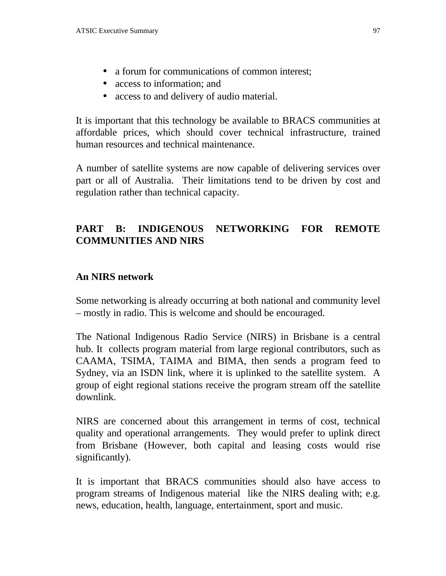- a forum for communications of common interest;
- access to information; and
- access to and delivery of audio material.

It is important that this technology be available to BRACS communities at affordable prices, which should cover technical infrastructure, trained human resources and technical maintenance.

A number of satellite systems are now capable of delivering services over part or all of Australia. Their limitations tend to be driven by cost and regulation rather than technical capacity.

### **PART B: INDIGENOUS NETWORKING FOR REMOTE COMMUNITIES AND NIRS**

#### **An NIRS network**

Some networking is already occurring at both national and community level – mostly in radio. This is welcome and should be encouraged.

The National Indigenous Radio Service (NIRS) in Brisbane is a central hub. It collects program material from large regional contributors, such as CAAMA, TSIMA, TAIMA and BIMA, then sends a program feed to Sydney, via an ISDN link, where it is uplinked to the satellite system. A group of eight regional stations receive the program stream off the satellite downlink.

NIRS are concerned about this arrangement in terms of cost, technical quality and operational arrangements. They would prefer to uplink direct from Brisbane (However, both capital and leasing costs would rise significantly).

It is important that BRACS communities should also have access to program streams of Indigenous material like the NIRS dealing with; e.g. news, education, health, language, entertainment, sport and music.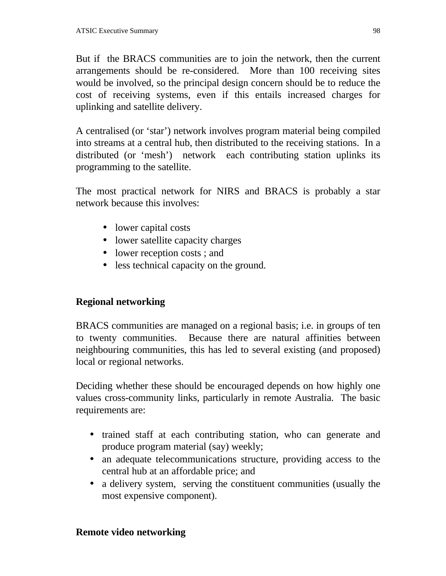But if the BRACS communities are to join the network, then the current arrangements should be re-considered. More than 100 receiving sites would be involved, so the principal design concern should be to reduce the cost of receiving systems, even if this entails increased charges for uplinking and satellite delivery.

A centralised (or 'star') network involves program material being compiled into streams at a central hub, then distributed to the receiving stations. In a distributed (or 'mesh') network each contributing station uplinks its programming to the satellite.

The most practical network for NIRS and BRACS is probably a star network because this involves:

- lower capital costs
- lower satellite capacity charges
- lower reception costs; and
- less technical capacity on the ground.

## **Regional networking**

BRACS communities are managed on a regional basis; i.e. in groups of ten to twenty communities. Because there are natural affinities between neighbouring communities, this has led to several existing (and proposed) local or regional networks.

Deciding whether these should be encouraged depends on how highly one values cross-community links, particularly in remote Australia. The basic requirements are:

- trained staff at each contributing station, who can generate and produce program material (say) weekly;
- an adequate telecommunications structure, providing access to the central hub at an affordable price; and
- a delivery system, serving the constituent communities (usually the most expensive component).

### **Remote video networking**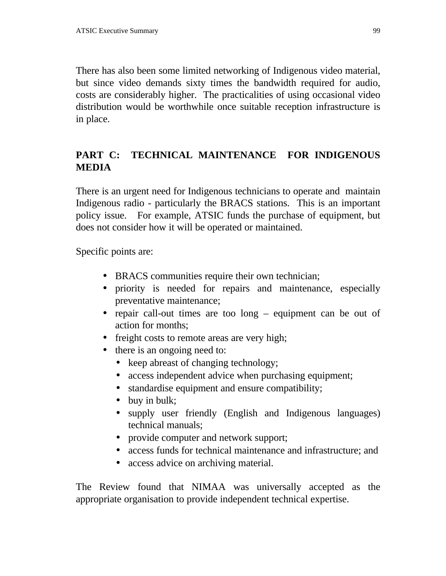There has also been some limited networking of Indigenous video material, but since video demands sixty times the bandwidth required for audio, costs are considerably higher. The practicalities of using occasional video distribution would be worthwhile once suitable reception infrastructure is in place.

## **PART C: TECHNICAL MAINTENANCE FOR INDIGENOUS MEDIA**

There is an urgent need for Indigenous technicians to operate and maintain Indigenous radio - particularly the BRACS stations. This is an important policy issue. For example, ATSIC funds the purchase of equipment, but does not consider how it will be operated or maintained.

Specific points are:

- BRACS communities require their own technician;
- priority is needed for repairs and maintenance, especially preventative maintenance;
- repair call-out times are too long equipment can be out of action for months;
- freight costs to remote areas are very high;
- there is an ongoing need to:
	- keep abreast of changing technology;
	- access independent advice when purchasing equipment;
	- standardise equipment and ensure compatibility;
	- buy in bulk;
	- supply user friendly (English and Indigenous languages) technical manuals;
	- provide computer and network support;
	- access funds for technical maintenance and infrastructure; and
	- access advice on archiving material.

The Review found that NIMAA was universally accepted as the appropriate organisation to provide independent technical expertise.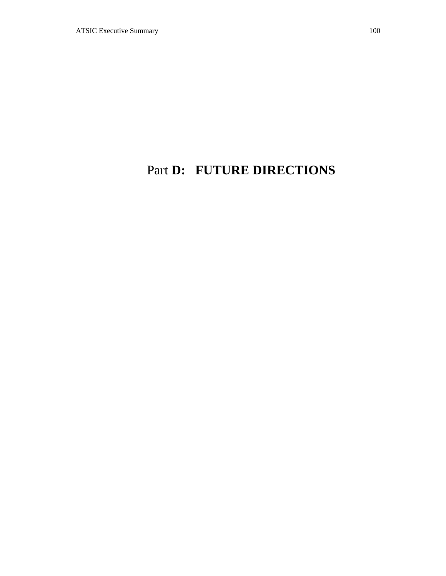# Part **D: FUTURE DIRECTIONS**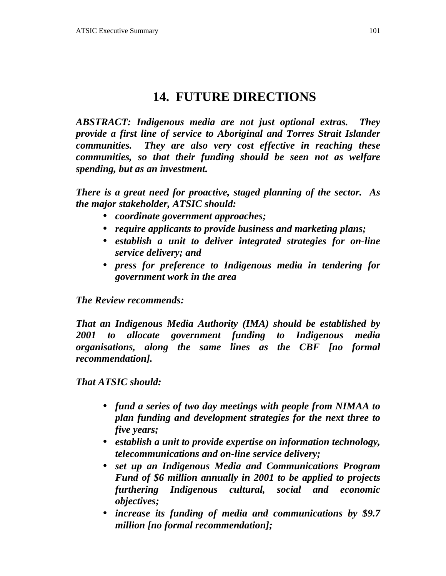# **14. FUTURE DIRECTIONS**

*ABSTRACT: Indigenous media are not just optional extras. They provide a first line of service to Aboriginal and Torres Strait Islander communities. They are also very cost effective in reaching these communities, so that their funding should be seen not as welfare spending, but as an investment.*

*There is a great need for proactive, staged planning of the sector. As the major stakeholder, ATSIC should:*

- *coordinate government approaches;*
- *require applicants to provide business and marketing plans;*
- *establish a unit to deliver integrated strategies for on-line service delivery; and*
- *press for preference to Indigenous media in tendering for government work in the area*

*The Review recommends:*

*That an Indigenous Media Authority (IMA) should be established by 2001 to allocate government funding to Indigenous media organisations, along the same lines as the CBF [no formal recommendation].*

*That ATSIC should:*

- *fund a series of two day meetings with people from NIMAA to plan funding and development strategies for the next three to five years;*
- *establish a unit to provide expertise on information technology, telecommunications and on-line service delivery;*
- *set up an Indigenous Media and Communications Program Fund of \$6 million annually in 2001 to be applied to projects furthering Indigenous cultural, social and economic objectives;*
- *increase its funding of media and communications by \$9.7 million [no formal recommendation];*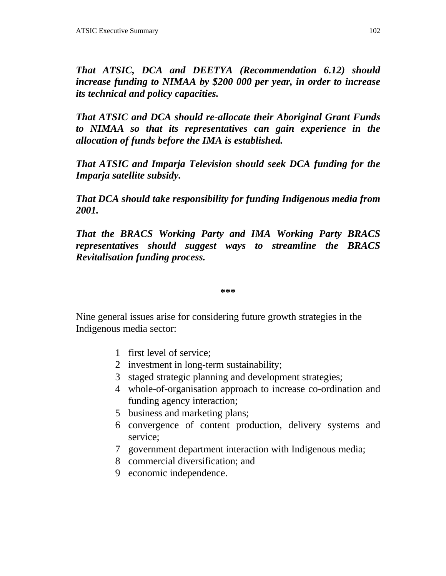*That ATSIC, DCA and DEETYA (Recommendation 6.12) should increase funding to NIMAA by \$200 000 per year, in order to increase its technical and policy capacities.*

*That ATSIC and DCA should re-allocate their Aboriginal Grant Funds to NIMAA so that its representatives can gain experience in the allocation of funds before the IMA is established.*

*That ATSIC and Imparja Television should seek DCA funding for the Imparja satellite subsidy.*

*That DCA should take responsibility for funding Indigenous media from 2001.*

*That the BRACS Working Party and IMA Working Party BRACS representatives should suggest ways to streamline the BRACS Revitalisation funding process.*

**\*\*\***

Nine general issues arise for considering future growth strategies in the Indigenous media sector:

- 1 first level of service;
- 2 investment in long-term sustainability;
- 3 staged strategic planning and development strategies;
- 4 whole-of-organisation approach to increase co-ordination and funding agency interaction;
- 5 business and marketing plans;
- 6 convergence of content production, delivery systems and service;
- 7 government department interaction with Indigenous media;
- 8 commercial diversification; and
- 9 economic independence.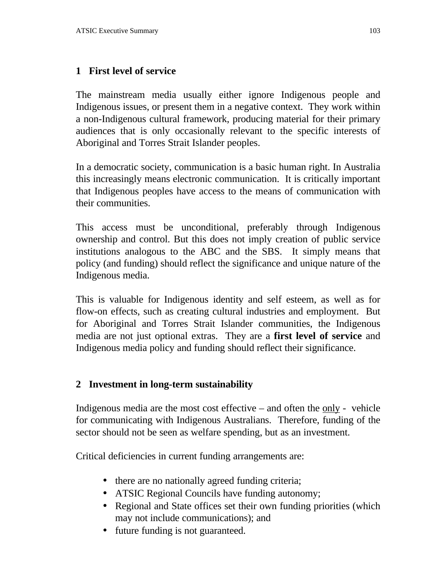### **1 First level of service**

The mainstream media usually either ignore Indigenous people and Indigenous issues, or present them in a negative context. They work within a non-Indigenous cultural framework, producing material for their primary audiences that is only occasionally relevant to the specific interests of Aboriginal and Torres Strait Islander peoples.

In a democratic society, communication is a basic human right. In Australia this increasingly means electronic communication. It is critically important that Indigenous peoples have access to the means of communication with their communities.

This access must be unconditional, preferably through Indigenous ownership and control. But this does not imply creation of public service institutions analogous to the ABC and the SBS. It simply means that policy (and funding) should reflect the significance and unique nature of the Indigenous media.

This is valuable for Indigenous identity and self esteem, as well as for flow-on effects, such as creating cultural industries and employment. But for Aboriginal and Torres Strait Islander communities, the Indigenous media are not just optional extras. They are a **first level of service** and Indigenous media policy and funding should reflect their significance.

#### **2 Investment in long-term sustainability**

Indigenous media are the most cost effective – and often the only - vehicle for communicating with Indigenous Australians. Therefore, funding of the sector should not be seen as welfare spending, but as an investment.

Critical deficiencies in current funding arrangements are:

- there are no nationally agreed funding criteria;
- ATSIC Regional Councils have funding autonomy;
- Regional and State offices set their own funding priorities (which may not include communications); and
- future funding is not guaranteed.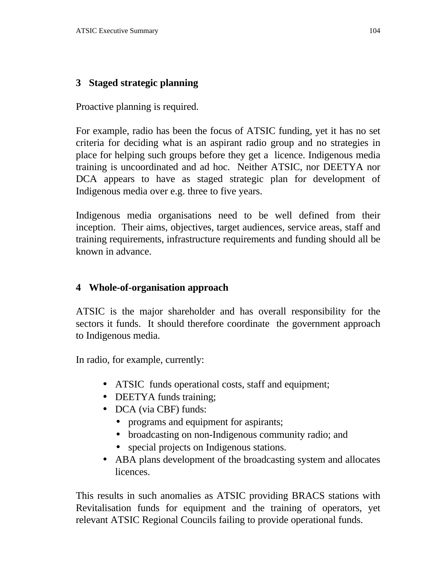#### **3 Staged strategic planning**

Proactive planning is required.

For example, radio has been the focus of ATSIC funding, yet it has no set criteria for deciding what is an aspirant radio group and no strategies in place for helping such groups before they get a licence. Indigenous media training is uncoordinated and ad hoc. Neither ATSIC, nor DEETYA nor DCA appears to have as staged strategic plan for development of Indigenous media over e.g. three to five years.

Indigenous media organisations need to be well defined from their inception. Their aims, objectives, target audiences, service areas, staff and training requirements, infrastructure requirements and funding should all be known in advance.

#### **4 Whole-of-organisation approach**

ATSIC is the major shareholder and has overall responsibility for the sectors it funds. It should therefore coordinate the government approach to Indigenous media.

In radio, for example, currently:

- ATSIC funds operational costs, staff and equipment;
- DEETYA funds training;
- DCA (via CBF) funds:
	- programs and equipment for aspirants;
	- broadcasting on non-Indigenous community radio; and
	- special projects on Indigenous stations.
- ABA plans development of the broadcasting system and allocates licences.

This results in such anomalies as ATSIC providing BRACS stations with Revitalisation funds for equipment and the training of operators, yet relevant ATSIC Regional Councils failing to provide operational funds.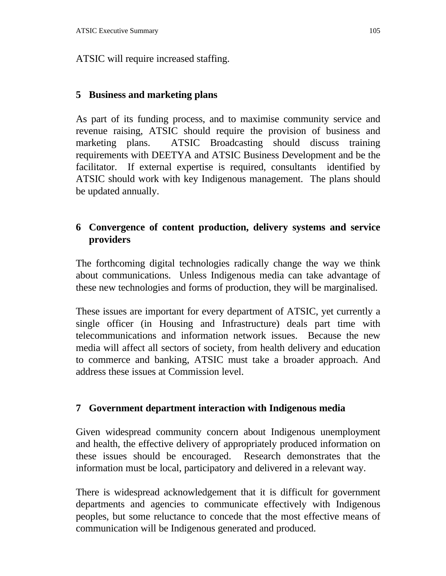ATSIC will require increased staffing.

## **5 Business and marketing plans**

As part of its funding process, and to maximise community service and revenue raising, ATSIC should require the provision of business and marketing plans. ATSIC Broadcasting should discuss training requirements with DEETYA and ATSIC Business Development and be the facilitator. If external expertise is required, consultants identified by ATSIC should work with key Indigenous management. The plans should be updated annually.

## **6 Convergence of content production, delivery systems and service providers**

The forthcoming digital technologies radically change the way we think about communications. Unless Indigenous media can take advantage of these new technologies and forms of production, they will be marginalised.

These issues are important for every department of ATSIC, yet currently a single officer (in Housing and Infrastructure) deals part time with telecommunications and information network issues. Because the new media will affect all sectors of society, from health delivery and education to commerce and banking, ATSIC must take a broader approach. And address these issues at Commission level.

## **7 Government department interaction with Indigenous media**

Given widespread community concern about Indigenous unemployment and health, the effective delivery of appropriately produced information on these issues should be encouraged. Research demonstrates that the information must be local, participatory and delivered in a relevant way.

There is widespread acknowledgement that it is difficult for government departments and agencies to communicate effectively with Indigenous peoples, but some reluctance to concede that the most effective means of communication will be Indigenous generated and produced.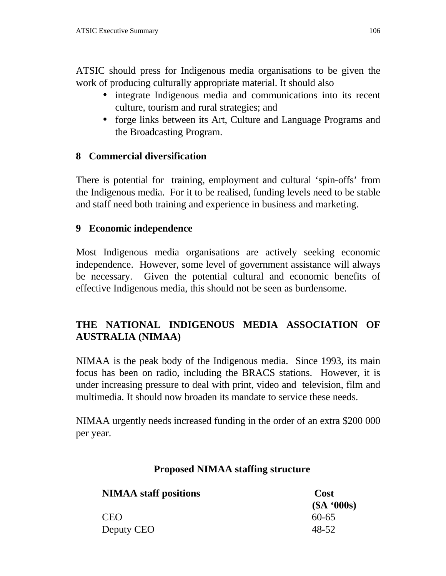ATSIC should press for Indigenous media organisations to be given the work of producing culturally appropriate material. It should also

- integrate Indigenous media and communications into its recent culture, tourism and rural strategies; and
- forge links between its Art, Culture and Language Programs and the Broadcasting Program.

### **8 Commercial diversification**

There is potential for training, employment and cultural 'spin-offs' from the Indigenous media. For it to be realised, funding levels need to be stable and staff need both training and experience in business and marketing.

### **9 Economic independence**

Most Indigenous media organisations are actively seeking economic independence. However, some level of government assistance will always be necessary. Given the potential cultural and economic benefits of effective Indigenous media, this should not be seen as burdensome.

## **THE NATIONAL INDIGENOUS MEDIA ASSOCIATION OF AUSTRALIA (NIMAA)**

NIMAA is the peak body of the Indigenous media. Since 1993, its main focus has been on radio, including the BRACS stations. However, it is under increasing pressure to deal with print, video and television, film and multimedia. It should now broaden its mandate to service these needs.

NIMAA urgently needs increased funding in the order of an extra \$200 000 per year.

### **Proposed NIMAA staffing structure**

| <b>NIMAA</b> staff positions | Cost       |
|------------------------------|------------|
|                              | (SA '000s) |
| <b>CEO</b>                   | $60 - 65$  |
| Deputy CEO                   | 48-52      |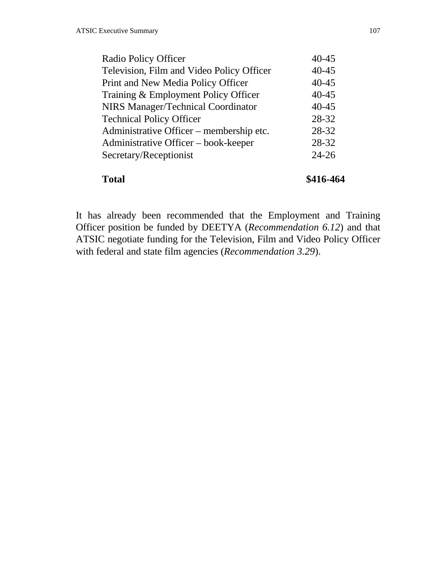| <b>Total</b>                              | \$416-464 |
|-------------------------------------------|-----------|
| Secretary/Receptionist                    | $24 - 26$ |
| Administrative Officer – book-keeper      | 28-32     |
| Administrative Officer – membership etc.  | 28-32     |
| <b>Technical Policy Officer</b>           | 28-32     |
| <b>NIRS Manager/Technical Coordinator</b> | $40 - 45$ |
| Training & Employment Policy Officer      | $40 - 45$ |
| Print and New Media Policy Officer        | $40 - 45$ |
| Television, Film and Video Policy Officer | $40 - 45$ |
| Radio Policy Officer                      | $40 - 45$ |

It has already been recommended that the Employment and Training Officer position be funded by DEETYA (*Recommendation 6.12*) and that ATSIC negotiate funding for the Television, Film and Video Policy Officer with federal and state film agencies (*Recommendation 3.29*).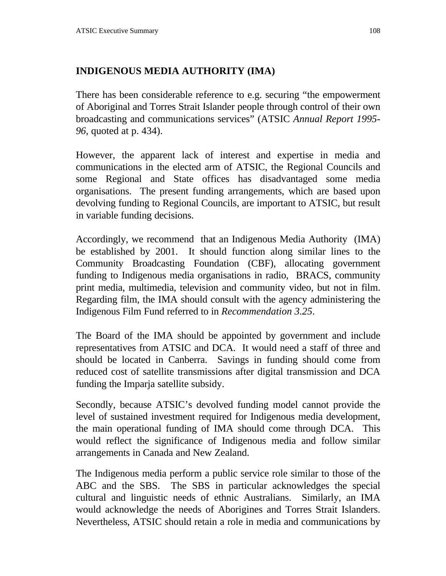### **INDIGENOUS MEDIA AUTHORITY (IMA)**

There has been considerable reference to e.g. securing "the empowerment of Aboriginal and Torres Strait Islander people through control of their own broadcasting and communications services" (ATSIC *Annual Report 1995- 96*, quoted at p. 434).

However, the apparent lack of interest and expertise in media and communications in the elected arm of ATSIC, the Regional Councils and some Regional and State offices has disadvantaged some media organisations. The present funding arrangements, which are based upon devolving funding to Regional Councils, are important to ATSIC, but result in variable funding decisions.

Accordingly, we recommend that an Indigenous Media Authority (IMA) be established by 2001. It should function along similar lines to the Community Broadcasting Foundation (CBF), allocating government funding to Indigenous media organisations in radio, BRACS, community print media, multimedia, television and community video, but not in film. Regarding film, the IMA should consult with the agency administering the Indigenous Film Fund referred to in *Recommendation 3.25*.

The Board of the IMA should be appointed by government and include representatives from ATSIC and DCA. It would need a staff of three and should be located in Canberra. Savings in funding should come from reduced cost of satellite transmissions after digital transmission and DCA funding the Imparja satellite subsidy.

Secondly, because ATSIC's devolved funding model cannot provide the level of sustained investment required for Indigenous media development, the main operational funding of IMA should come through DCA. This would reflect the significance of Indigenous media and follow similar arrangements in Canada and New Zealand.

The Indigenous media perform a public service role similar to those of the ABC and the SBS. The SBS in particular acknowledges the special cultural and linguistic needs of ethnic Australians. Similarly, an IMA would acknowledge the needs of Aborigines and Torres Strait Islanders. Nevertheless, ATSIC should retain a role in media and communications by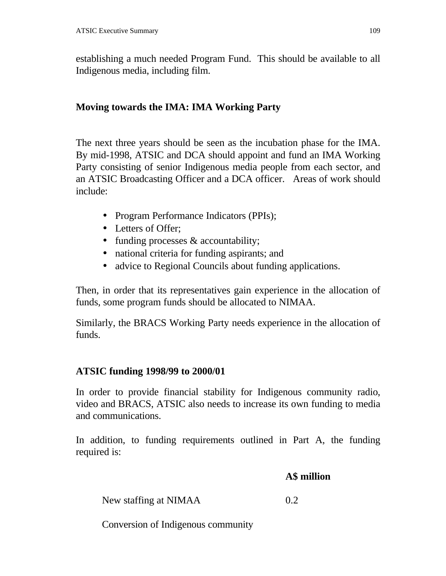establishing a much needed Program Fund. This should be available to all Indigenous media, including film.

# **Moving towards the IMA: IMA Working Party**

The next three years should be seen as the incubation phase for the IMA. By mid-1998, ATSIC and DCA should appoint and fund an IMA Working Party consisting of senior Indigenous media people from each sector, and an ATSIC Broadcasting Officer and a DCA officer. Areas of work should include:

- Program Performance Indicators (PPIs);
- Letters of Offer;
- funding processes & accountability;
- national criteria for funding aspirants; and
- advice to Regional Councils about funding applications.

Then, in order that its representatives gain experience in the allocation of funds, some program funds should be allocated to NIMAA.

Similarly, the BRACS Working Party needs experience in the allocation of funds.

# **ATSIC funding 1998/99 to 2000/01**

In order to provide financial stability for Indigenous community radio, video and BRACS, ATSIC also needs to increase its own funding to media and communications.

In addition, to funding requirements outlined in Part A, the funding required is:

**A\$ million**

New staffing at NIMAA 0.2

Conversion of Indigenous community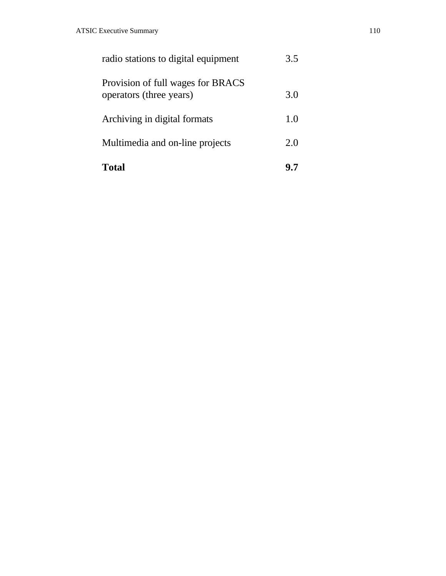| Total                                                        |     |
|--------------------------------------------------------------|-----|
| Multimedia and on-line projects                              | 2.0 |
| Archiving in digital formats                                 | 1.0 |
| Provision of full wages for BRACS<br>operators (three years) | 3.0 |
| radio stations to digital equipment                          | 3.5 |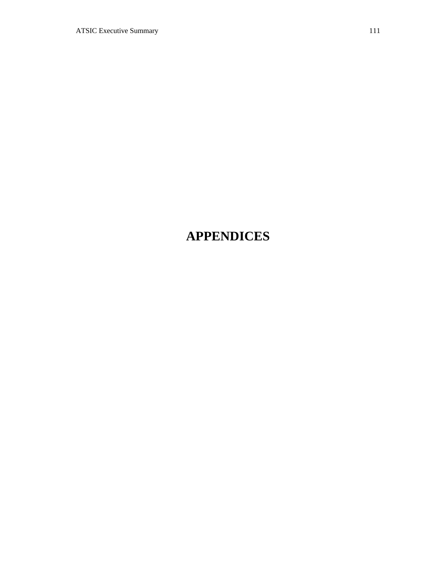# **APPENDICES**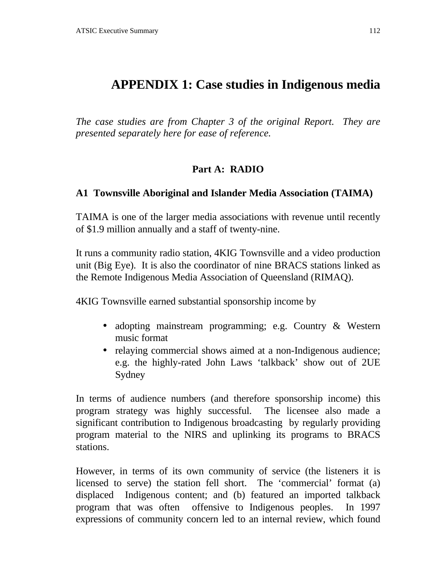# **APPENDIX 1: Case studies in Indigenous media**

*The case studies are from Chapter 3 of the original Report. They are presented separately here for ease of reference.*

### **Part A: RADIO**

#### **A1 Townsville Aboriginal and Islander Media Association (TAIMA)**

TAIMA is one of the larger media associations with revenue until recently of \$1.9 million annually and a staff of twenty-nine.

It runs a community radio station, 4KIG Townsville and a video production unit (Big Eye). It is also the coordinator of nine BRACS stations linked as the Remote Indigenous Media Association of Queensland (RIMAQ).

4KIG Townsville earned substantial sponsorship income by

- adopting mainstream programming; e.g. Country & Western music format
- relaying commercial shows aimed at a non-Indigenous audience; e.g. the highly-rated John Laws 'talkback' show out of 2UE Sydney

In terms of audience numbers (and therefore sponsorship income) this program strategy was highly successful. The licensee also made a significant contribution to Indigenous broadcasting by regularly providing program material to the NIRS and uplinking its programs to BRACS stations.

However, in terms of its own community of service (the listeners it is licensed to serve) the station fell short. The 'commercial' format (a) displaced Indigenous content; and (b) featured an imported talkback program that was often offensive to Indigenous peoples. In 1997 expressions of community concern led to an internal review, which found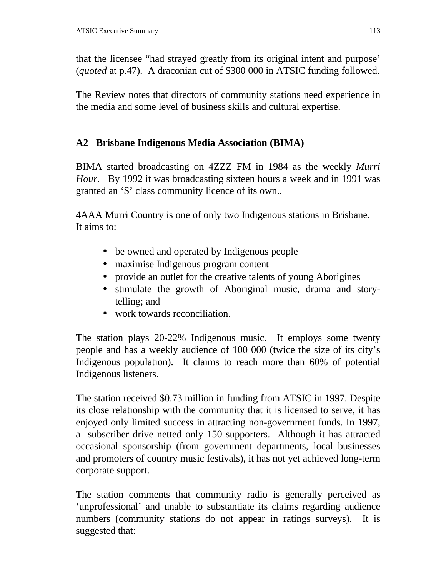that the licensee "had strayed greatly from its original intent and purpose' (*quoted* at p.47). A draconian cut of \$300 000 in ATSIC funding followed.

The Review notes that directors of community stations need experience in the media and some level of business skills and cultural expertise.

## **A2 Brisbane Indigenous Media Association (BIMA)**

BIMA started broadcasting on 4ZZZ FM in 1984 as the weekly *Murri Hour*. By 1992 it was broadcasting sixteen hours a week and in 1991 was granted an 'S' class community licence of its own..

4AAA Murri Country is one of only two Indigenous stations in Brisbane. It aims to:

- be owned and operated by Indigenous people
- maximise Indigenous program content
- provide an outlet for the creative talents of young Aborigines
- stimulate the growth of Aboriginal music, drama and storytelling; and
- work towards reconciliation.

The station plays 20-22% Indigenous music. It employs some twenty people and has a weekly audience of 100 000 (twice the size of its city's Indigenous population). It claims to reach more than 60% of potential Indigenous listeners.

The station received \$0.73 million in funding from ATSIC in 1997. Despite its close relationship with the community that it is licensed to serve, it has enjoyed only limited success in attracting non-government funds. In 1997, a subscriber drive netted only 150 supporters. Although it has attracted occasional sponsorship (from government departments, local businesses and promoters of country music festivals), it has not yet achieved long-term corporate support.

The station comments that community radio is generally perceived as 'unprofessional' and unable to substantiate its claims regarding audience numbers (community stations do not appear in ratings surveys). It is suggested that: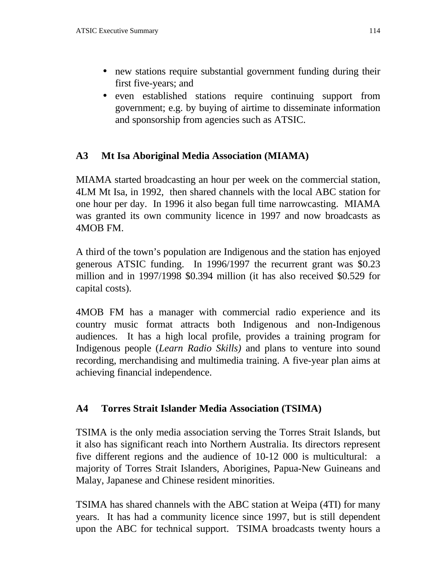- new stations require substantial government funding during their first five-years; and
- even established stations require continuing support from government; e.g. by buying of airtime to disseminate information and sponsorship from agencies such as ATSIC.

# **A3 Mt Isa Aboriginal Media Association (MIAMA)**

MIAMA started broadcasting an hour per week on the commercial station, 4LM Mt Isa, in 1992, then shared channels with the local ABC station for one hour per day. In 1996 it also began full time narrowcasting. MIAMA was granted its own community licence in 1997 and now broadcasts as 4MOB FM.

A third of the town's population are Indigenous and the station has enjoyed generous ATSIC funding. In 1996/1997 the recurrent grant was \$0.23 million and in 1997/1998 \$0.394 million (it has also received \$0.529 for capital costs).

4MOB FM has a manager with commercial radio experience and its country music format attracts both Indigenous and non-Indigenous audiences. It has a high local profile, provides a training program for Indigenous people (*Learn Radio Skills)* and plans to venture into sound recording, merchandising and multimedia training. A five-year plan aims at achieving financial independence.

### **A4 Torres Strait Islander Media Association (TSIMA)**

TSIMA is the only media association serving the Torres Strait Islands, but it also has significant reach into Northern Australia. Its directors represent five different regions and the audience of 10-12 000 is multicultural: a majority of Torres Strait Islanders, Aborigines, Papua-New Guineans and Malay, Japanese and Chinese resident minorities.

TSIMA has shared channels with the ABC station at Weipa (4TI) for many years. It has had a community licence since 1997, but is still dependent upon the ABC for technical support. TSIMA broadcasts twenty hours a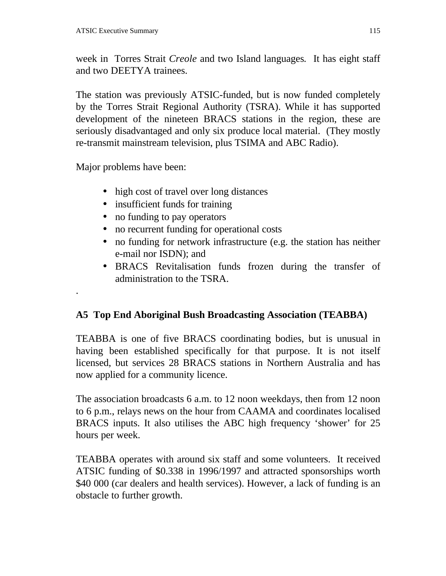week in Torres Strait *Creole* and two Island languages*.* It has eight staff and two DEETYA trainees.

The station was previously ATSIC-funded, but is now funded completely by the Torres Strait Regional Authority (TSRA). While it has supported development of the nineteen BRACS stations in the region, these are seriously disadvantaged and only six produce local material. (They mostly re-transmit mainstream television, plus TSIMA and ABC Radio).

Major problems have been:

.

- high cost of travel over long distances
- insufficient funds for training
- no funding to pay operators
- no recurrent funding for operational costs
- no funding for network infrastructure (e.g. the station has neither e-mail nor ISDN); and
- BRACS Revitalisation funds frozen during the transfer of administration to the TSRA.

# **A5 Top End Aboriginal Bush Broadcasting Association (TEABBA)**

TEABBA is one of five BRACS coordinating bodies, but is unusual in having been established specifically for that purpose. It is not itself licensed, but services 28 BRACS stations in Northern Australia and has now applied for a community licence.

The association broadcasts 6 a.m. to 12 noon weekdays, then from 12 noon to 6 p.m., relays news on the hour from CAAMA and coordinates localised BRACS inputs. It also utilises the ABC high frequency 'shower' for 25 hours per week.

TEABBA operates with around six staff and some volunteers. It received ATSIC funding of \$0.338 in 1996/1997 and attracted sponsorships worth \$40 000 (car dealers and health services). However, a lack of funding is an obstacle to further growth.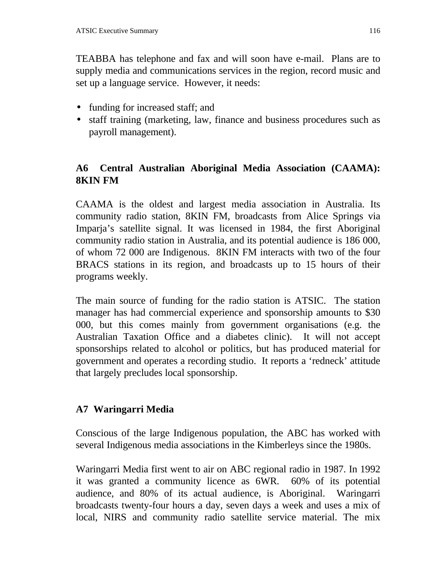TEABBA has telephone and fax and will soon have e-mail. Plans are to supply media and communications services in the region, record music and set up a language service. However, it needs:

- funding for increased staff; and
- staff training (marketing, law, finance and business procedures such as payroll management).

# **A6 Central Australian Aboriginal Media Association (CAAMA): 8KIN FM**

CAAMA is the oldest and largest media association in Australia. Its community radio station, 8KIN FM, broadcasts from Alice Springs via Imparja's satellite signal. It was licensed in 1984, the first Aboriginal community radio station in Australia, and its potential audience is 186 000, of whom 72 000 are Indigenous. 8KIN FM interacts with two of the four BRACS stations in its region, and broadcasts up to 15 hours of their programs weekly.

The main source of funding for the radio station is ATSIC. The station manager has had commercial experience and sponsorship amounts to \$30 000, but this comes mainly from government organisations (e.g. the Australian Taxation Office and a diabetes clinic). It will not accept sponsorships related to alcohol or politics, but has produced material for government and operates a recording studio. It reports a 'redneck' attitude that largely precludes local sponsorship.

# **A7 Waringarri Media**

Conscious of the large Indigenous population, the ABC has worked with several Indigenous media associations in the Kimberleys since the 1980s.

Waringarri Media first went to air on ABC regional radio in 1987. In 1992 it was granted a community licence as 6WR. 60% of its potential audience, and 80% of its actual audience, is Aboriginal. Waringarri broadcasts twenty-four hours a day, seven days a week and uses a mix of local, NIRS and community radio satellite service material. The mix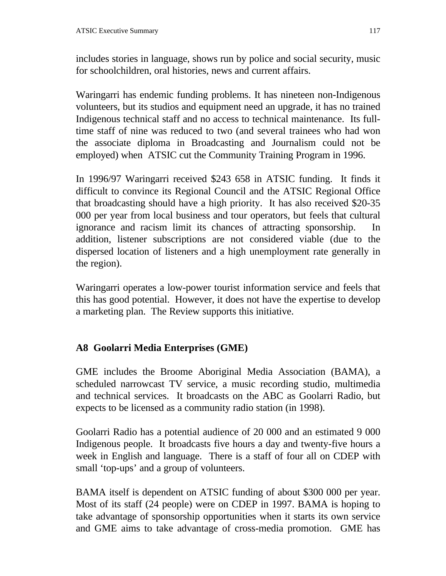includes stories in language, shows run by police and social security, music for schoolchildren, oral histories, news and current affairs.

Waringarri has endemic funding problems. It has nineteen non-Indigenous volunteers, but its studios and equipment need an upgrade, it has no trained Indigenous technical staff and no access to technical maintenance. Its fulltime staff of nine was reduced to two (and several trainees who had won the associate diploma in Broadcasting and Journalism could not be employed) when ATSIC cut the Community Training Program in 1996.

In 1996/97 Waringarri received \$243 658 in ATSIC funding. It finds it difficult to convince its Regional Council and the ATSIC Regional Office that broadcasting should have a high priority. It has also received \$20-35 000 per year from local business and tour operators, but feels that cultural ignorance and racism limit its chances of attracting sponsorship. In addition, listener subscriptions are not considered viable (due to the dispersed location of listeners and a high unemployment rate generally in the region).

Waringarri operates a low-power tourist information service and feels that this has good potential. However, it does not have the expertise to develop a marketing plan. The Review supports this initiative.

### **A8 Goolarri Media Enterprises (GME)**

GME includes the Broome Aboriginal Media Association (BAMA), a scheduled narrowcast TV service, a music recording studio, multimedia and technical services. It broadcasts on the ABC as Goolarri Radio, but expects to be licensed as a community radio station (in 1998).

Goolarri Radio has a potential audience of 20 000 and an estimated 9 000 Indigenous people. It broadcasts five hours a day and twenty-five hours a week in English and language. There is a staff of four all on CDEP with small 'top-ups' and a group of volunteers.

BAMA itself is dependent on ATSIC funding of about \$300 000 per year. Most of its staff (24 people) were on CDEP in 1997. BAMA is hoping to take advantage of sponsorship opportunities when it starts its own service and GME aims to take advantage of cross-media promotion. GME has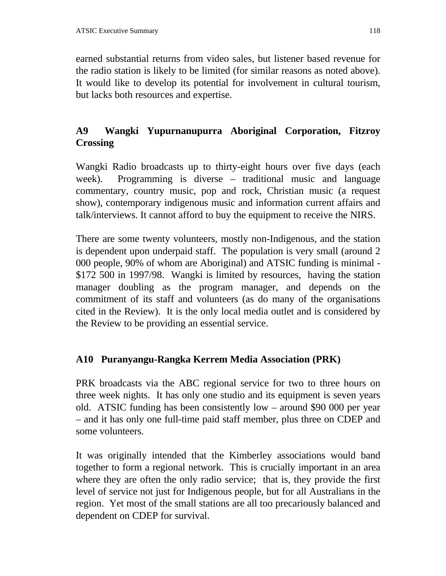earned substantial returns from video sales, but listener based revenue for the radio station is likely to be limited (for similar reasons as noted above). It would like to develop its potential for involvement in cultural tourism, but lacks both resources and expertise.

# **A9 Wangki Yupurnanupurra Aboriginal Corporation, Fitzroy Crossing**

Wangki Radio broadcasts up to thirty-eight hours over five days (each week). Programming is diverse – traditional music and language commentary, country music, pop and rock, Christian music (a request show), contemporary indigenous music and information current affairs and talk/interviews. It cannot afford to buy the equipment to receive the NIRS.

There are some twenty volunteers, mostly non-Indigenous, and the station is dependent upon underpaid staff. The population is very small (around 2 000 people, 90% of whom are Aboriginal) and ATSIC funding is minimal - \$172 500 in 1997/98. Wangki is limited by resources, having the station manager doubling as the program manager, and depends on the commitment of its staff and volunteers (as do many of the organisations cited in the Review). It is the only local media outlet and is considered by the Review to be providing an essential service.

# **A10 Puranyangu-Rangka Kerrem Media Association (PRK)**

PRK broadcasts via the ABC regional service for two to three hours on three week nights. It has only one studio and its equipment is seven years old. ATSIC funding has been consistently low – around \$90 000 per year – and it has only one full-time paid staff member, plus three on CDEP and some volunteers.

It was originally intended that the Kimberley associations would band together to form a regional network. This is crucially important in an area where they are often the only radio service; that is, they provide the first level of service not just for Indigenous people, but for all Australians in the region. Yet most of the small stations are all too precariously balanced and dependent on CDEP for survival.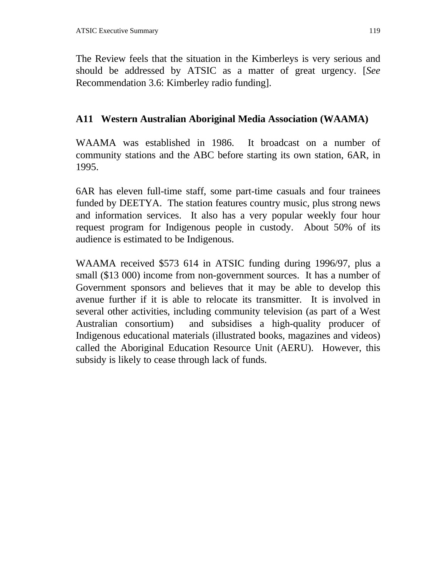The Review feels that the situation in the Kimberleys is very serious and should be addressed by ATSIC as a matter of great urgency. [*See* Recommendation 3.6: Kimberley radio funding].

### **A11 Western Australian Aboriginal Media Association (WAAMA)**

WAAMA was established in 1986. It broadcast on a number of community stations and the ABC before starting its own station, 6AR, in 1995.

6AR has eleven full-time staff, some part-time casuals and four trainees funded by DEETYA. The station features country music, plus strong news and information services. It also has a very popular weekly four hour request program for Indigenous people in custody. About 50% of its audience is estimated to be Indigenous.

WAAMA received \$573 614 in ATSIC funding during 1996/97, plus a small (\$13 000) income from non-government sources. It has a number of Government sponsors and believes that it may be able to develop this avenue further if it is able to relocate its transmitter. It is involved in several other activities, including community television (as part of a West Australian consortium) and subsidises a high-quality producer of Indigenous educational materials (illustrated books, magazines and videos) called the Aboriginal Education Resource Unit (AERU). However, this subsidy is likely to cease through lack of funds.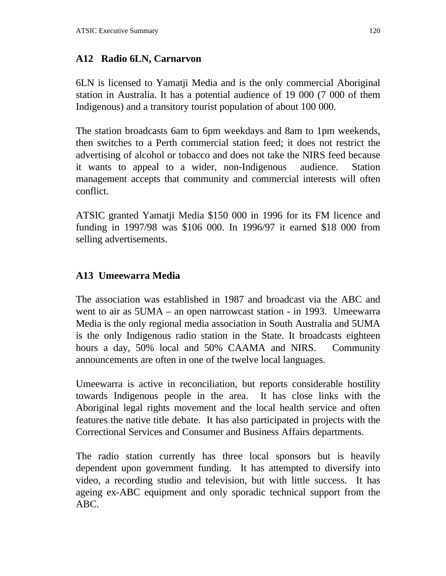#### **A12 Radio 6LN, Carnarvon**

6LN is licensed to Yamatji Media and is the only commercial Aboriginal station in Australia. It has a potential audience of 19 000 (7 000 of them Indigenous) and a transitory tourist population of about 100 000.

The station broadcasts 6am to 6pm weekdays and 8am to 1pm weekends, then switches to a Perth commercial station feed; it does not restrict the advertising of alcohol or tobacco and does not take the NIRS feed because it wants to appeal to a wider, non-Indigenous audience. Station management accepts that community and commercial interests will often conflict.

ATSIC granted Yamatji Media \$150 000 in 1996 for its FM licence and funding in 1997/98 was \$106 000. In 1996/97 it earned \$18 000 from selling advertisements.

### **A13 Umeewarra Media**

The association was established in 1987 and broadcast via the ABC and went to air as 5UMA – an open narrowcast station - in 1993. Umeewarra Media is the only regional media association in South Australia and 5UMA is the only Indigenous radio station in the State. It broadcasts eighteen hours a day, 50% local and 50% CAAMA and NIRS. Community announcements are often in one of the twelve local languages.

Umeewarra is active in reconciliation, but reports considerable hostility towards Indigenous people in the area. It has close links with the Aboriginal legal rights movement and the local health service and often features the native title debate. It has also participated in projects with the Correctional Services and Consumer and Business Affairs departments.

The radio station currently has three local sponsors but is heavily dependent upon government funding. It has attempted to diversify into video, a recording studio and television, but with little success. It has ageing ex-ABC equipment and only sporadic technical support from the ABC.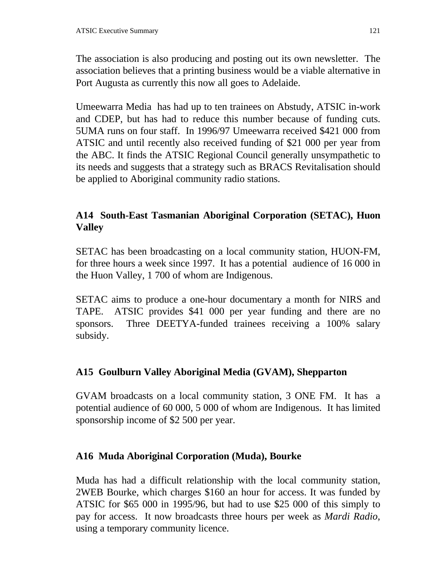The association is also producing and posting out its own newsletter. The association believes that a printing business would be a viable alternative in Port Augusta as currently this now all goes to Adelaide.

Umeewarra Media has had up to ten trainees on Abstudy, ATSIC in-work and CDEP, but has had to reduce this number because of funding cuts. 5UMA runs on four staff. In 1996/97 Umeewarra received \$421 000 from ATSIC and until recently also received funding of \$21 000 per year from the ABC. It finds the ATSIC Regional Council generally unsympathetic to its needs and suggests that a strategy such as BRACS Revitalisation should be applied to Aboriginal community radio stations.

# **A14 South-East Tasmanian Aboriginal Corporation (SETAC), Huon Valley**

SETAC has been broadcasting on a local community station, HUON-FM, for three hours a week since 1997. It has a potential audience of 16 000 in the Huon Valley, 1 700 of whom are Indigenous.

SETAC aims to produce a one-hour documentary a month for NIRS and TAPE. ATSIC provides \$41 000 per year funding and there are no sponsors. Three DEETYA-funded trainees receiving a 100% salary subsidy.

### **A15 Goulburn Valley Aboriginal Media (GVAM), Shepparton**

GVAM broadcasts on a local community station, 3 ONE FM. It has a potential audience of 60 000, 5 000 of whom are Indigenous. It has limited sponsorship income of \$2 500 per year.

### **A16 Muda Aboriginal Corporation (Muda), Bourke**

Muda has had a difficult relationship with the local community station, 2WEB Bourke, which charges \$160 an hour for access. It was funded by ATSIC for \$65 000 in 1995/96, but had to use \$25 000 of this simply to pay for access. It now broadcasts three hours per week as *Mardi Radio*, using a temporary community licence.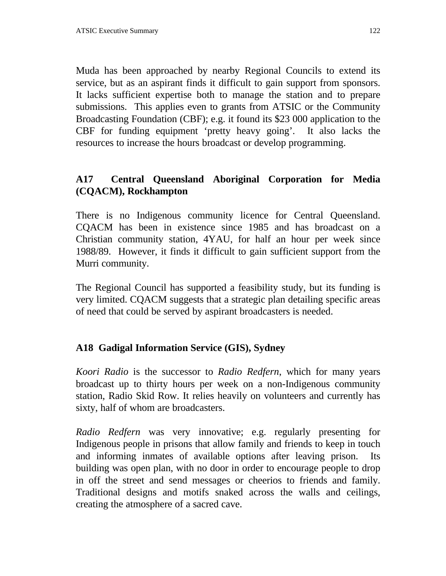Muda has been approached by nearby Regional Councils to extend its service, but as an aspirant finds it difficult to gain support from sponsors. It lacks sufficient expertise both to manage the station and to prepare submissions. This applies even to grants from ATSIC or the Community Broadcasting Foundation (CBF); e.g. it found its \$23 000 application to the CBF for funding equipment 'pretty heavy going'. It also lacks the resources to increase the hours broadcast or develop programming.

# **A17 Central Queensland Aboriginal Corporation for Media (CQACM), Rockhampton**

There is no Indigenous community licence for Central Queensland. CQACM has been in existence since 1985 and has broadcast on a Christian community station, 4YAU, for half an hour per week since 1988/89. However, it finds it difficult to gain sufficient support from the Murri community.

The Regional Council has supported a feasibility study, but its funding is very limited. CQACM suggests that a strategic plan detailing specific areas of need that could be served by aspirant broadcasters is needed.

### **A18 Gadigal Information Service (GIS), Sydney**

*Koori Radio* is the successor to *Radio Redfern*, which for many years broadcast up to thirty hours per week on a non-Indigenous community station, Radio Skid Row. It relies heavily on volunteers and currently has sixty, half of whom are broadcasters.

*Radio Redfern* was very innovative; e.g. regularly presenting for Indigenous people in prisons that allow family and friends to keep in touch and informing inmates of available options after leaving prison. Its building was open plan, with no door in order to encourage people to drop in off the street and send messages or cheerios to friends and family. Traditional designs and motifs snaked across the walls and ceilings, creating the atmosphere of a sacred cave.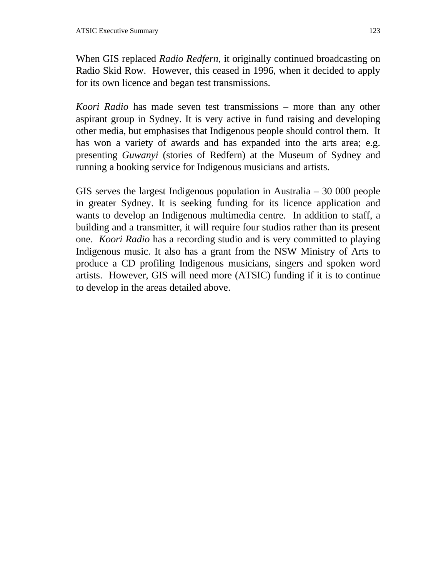When GIS replaced *Radio Redfern*, it originally continued broadcasting on Radio Skid Row. However, this ceased in 1996, when it decided to apply for its own licence and began test transmissions.

*Koori Radio* has made seven test transmissions – more than any other aspirant group in Sydney. It is very active in fund raising and developing other media, but emphasises that Indigenous people should control them. It has won a variety of awards and has expanded into the arts area; e.g. presenting *Guwanyi* (stories of Redfern) at the Museum of Sydney and running a booking service for Indigenous musicians and artists.

GIS serves the largest Indigenous population in Australia – 30 000 people in greater Sydney. It is seeking funding for its licence application and wants to develop an Indigenous multimedia centre. In addition to staff, a building and a transmitter, it will require four studios rather than its present one. *Koori Radio* has a recording studio and is very committed to playing Indigenous music. It also has a grant from the NSW Ministry of Arts to produce a CD profiling Indigenous musicians, singers and spoken word artists. However, GIS will need more (ATSIC) funding if it is to continue to develop in the areas detailed above.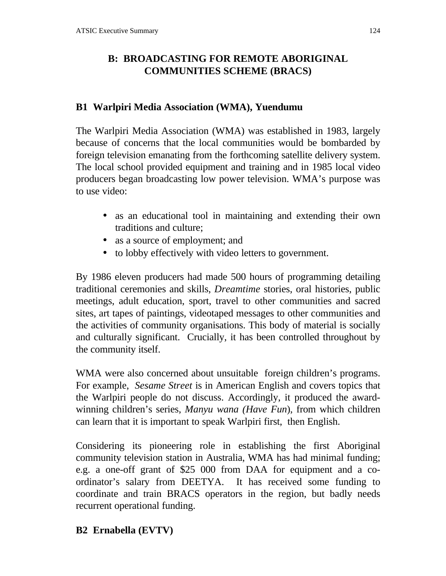# **B: BROADCASTING FOR REMOTE ABORIGINAL COMMUNITIES SCHEME (BRACS)**

#### **B1 Warlpiri Media Association (WMA), Yuendumu**

The Warlpiri Media Association (WMA) was established in 1983, largely because of concerns that the local communities would be bombarded by foreign television emanating from the forthcoming satellite delivery system. The local school provided equipment and training and in 1985 local video producers began broadcasting low power television. WMA's purpose was to use video:

- as an educational tool in maintaining and extending their own traditions and culture;
- as a source of employment; and
- to lobby effectively with video letters to government.

By 1986 eleven producers had made 500 hours of programming detailing traditional ceremonies and skills, *Dreamtime* stories, oral histories, public meetings, adult education, sport, travel to other communities and sacred sites, art tapes of paintings, videotaped messages to other communities and the activities of community organisations. This body of material is socially and culturally significant. Crucially, it has been controlled throughout by the community itself.

WMA were also concerned about unsuitable foreign children's programs. For example, *Sesame Street* is in American English and covers topics that the Warlpiri people do not discuss. Accordingly, it produced the awardwinning children's series, *Manyu wana (Have Fun*), from which children can learn that it is important to speak Warlpiri first, then English.

Considering its pioneering role in establishing the first Aboriginal community television station in Australia, WMA has had minimal funding; e.g. a one-off grant of \$25 000 from DAA for equipment and a coordinator's salary from DEETYA. It has received some funding to coordinate and train BRACS operators in the region, but badly needs recurrent operational funding.

#### **B2 Ernabella (EVTV)**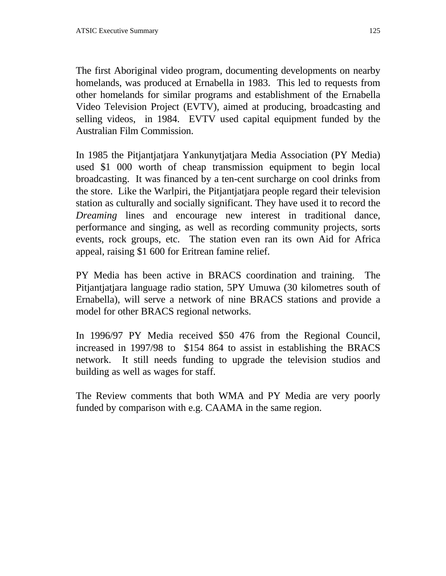The first Aboriginal video program, documenting developments on nearby homelands, was produced at Ernabella in 1983. This led to requests from other homelands for similar programs and establishment of the Ernabella Video Television Project (EVTV), aimed at producing, broadcasting and selling videos, in 1984. EVTV used capital equipment funded by the Australian Film Commission.

In 1985 the Pitjantjatjara Yankunytjatjara Media Association (PY Media) used \$1 000 worth of cheap transmission equipment to begin local broadcasting. It was financed by a ten-cent surcharge on cool drinks from the store. Like the Warlpiri, the Pitjantjatjara people regard their television station as culturally and socially significant. They have used it to record the *Dreaming* lines and encourage new interest in traditional dance, performance and singing, as well as recording community projects, sorts events, rock groups, etc. The station even ran its own Aid for Africa appeal, raising \$1 600 for Eritrean famine relief.

PY Media has been active in BRACS coordination and training. The Pitjantjatjara language radio station, 5PY Umuwa (30 kilometres south of Ernabella), will serve a network of nine BRACS stations and provide a model for other BRACS regional networks.

In 1996/97 PY Media received \$50 476 from the Regional Council, increased in 1997/98 to \$154 864 to assist in establishing the BRACS network. It still needs funding to upgrade the television studios and building as well as wages for staff.

The Review comments that both WMA and PY Media are very poorly funded by comparison with e.g. CAAMA in the same region.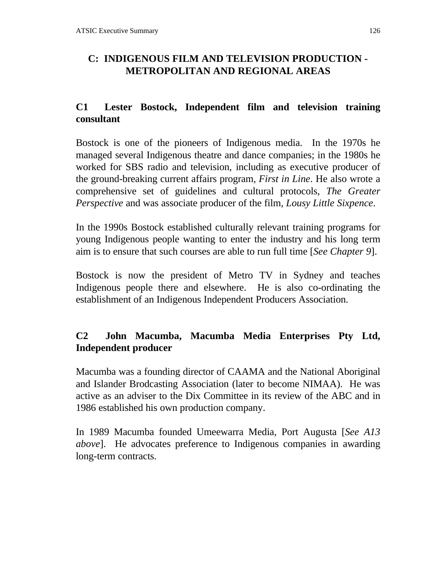# **C: INDIGENOUS FILM AND TELEVISION PRODUCTION - METROPOLITAN AND REGIONAL AREAS**

# **C1 Lester Bostock, Independent film and television training consultant**

Bostock is one of the pioneers of Indigenous media. In the 1970s he managed several Indigenous theatre and dance companies; in the 1980s he worked for SBS radio and television, including as executive producer of the ground-breaking current affairs program, *First in Line*. He also wrote a comprehensive set of guidelines and cultural protocols, *The Greater Perspective* and was associate producer of the film, *Lousy Little Sixpence*.

In the 1990s Bostock established culturally relevant training programs for young Indigenous people wanting to enter the industry and his long term aim is to ensure that such courses are able to run full time [*See Chapter 9*].

Bostock is now the president of Metro TV in Sydney and teaches Indigenous people there and elsewhere. He is also co-ordinating the establishment of an Indigenous Independent Producers Association.

# **C2 John Macumba, Macumba Media Enterprises Pty Ltd, Independent producer**

Macumba was a founding director of CAAMA and the National Aboriginal and Islander Brodcasting Association (later to become NIMAA). He was active as an adviser to the Dix Committee in its review of the ABC and in 1986 established his own production company.

In 1989 Macumba founded Umeewarra Media, Port Augusta [*See A13 above*]. He advocates preference to Indigenous companies in awarding long-term contracts.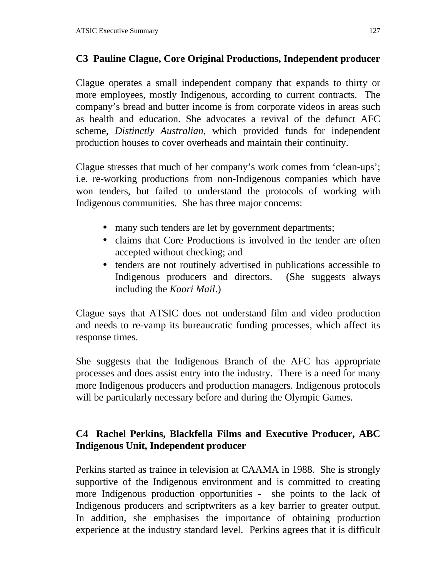# **C3 Pauline Clague, Core Original Productions, Independent producer**

Clague operates a small independent company that expands to thirty or more employees, mostly Indigenous, according to current contracts. The company's bread and butter income is from corporate videos in areas such as health and education. She advocates a revival of the defunct AFC scheme, *Distinctly Australian*, which provided funds for independent production houses to cover overheads and maintain their continuity.

Clague stresses that much of her company's work comes from 'clean-ups'; i.e. re-working productions from non-Indigenous companies which have won tenders, but failed to understand the protocols of working with Indigenous communities. She has three major concerns:

- many such tenders are let by government departments;
- claims that Core Productions is involved in the tender are often accepted without checking; and
- tenders are not routinely advertised in publications accessible to Indigenous producers and directors. (She suggests always including the *Koori Mail*.)

Clague says that ATSIC does not understand film and video production and needs to re-vamp its bureaucratic funding processes, which affect its response times.

She suggests that the Indigenous Branch of the AFC has appropriate processes and does assist entry into the industry. There is a need for many more Indigenous producers and production managers. Indigenous protocols will be particularly necessary before and during the Olympic Games.

# **C4 Rachel Perkins, Blackfella Films and Executive Producer, ABC Indigenous Unit, Independent producer**

Perkins started as trainee in television at CAAMA in 1988. She is strongly supportive of the Indigenous environment and is committed to creating more Indigenous production opportunities - she points to the lack of Indigenous producers and scriptwriters as a key barrier to greater output. In addition, she emphasises the importance of obtaining production experience at the industry standard level. Perkins agrees that it is difficult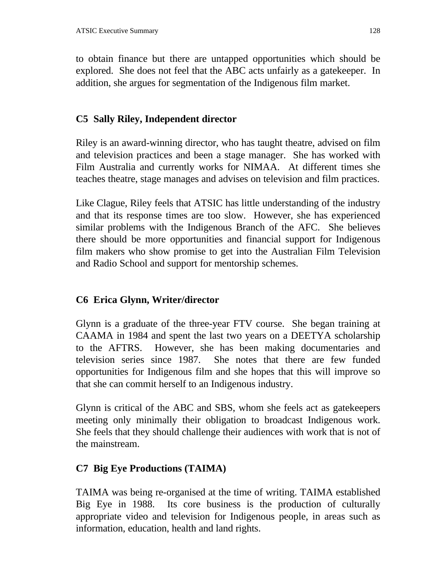to obtain finance but there are untapped opportunities which should be explored. She does not feel that the ABC acts unfairly as a gatekeeper. In addition, she argues for segmentation of the Indigenous film market.

## **C5 Sally Riley, Independent director**

Riley is an award-winning director, who has taught theatre, advised on film and television practices and been a stage manager. She has worked with Film Australia and currently works for NIMAA. At different times she teaches theatre, stage manages and advises on television and film practices.

Like Clague, Riley feels that ATSIC has little understanding of the industry and that its response times are too slow. However, she has experienced similar problems with the Indigenous Branch of the AFC. She believes there should be more opportunities and financial support for Indigenous film makers who show promise to get into the Australian Film Television and Radio School and support for mentorship schemes.

# **C6 Erica Glynn, Writer/director**

Glynn is a graduate of the three-year FTV course. She began training at CAAMA in 1984 and spent the last two years on a DEETYA scholarship to the AFTRS. However, she has been making documentaries and television series since 1987. She notes that there are few funded opportunities for Indigenous film and she hopes that this will improve so that she can commit herself to an Indigenous industry.

Glynn is critical of the ABC and SBS, whom she feels act as gatekeepers meeting only minimally their obligation to broadcast Indigenous work. She feels that they should challenge their audiences with work that is not of the mainstream.

# **C7 Big Eye Productions (TAIMA)**

TAIMA was being re-organised at the time of writing. TAIMA established Big Eye in 1988. Its core business is the production of culturally appropriate video and television for Indigenous people, in areas such as information, education, health and land rights.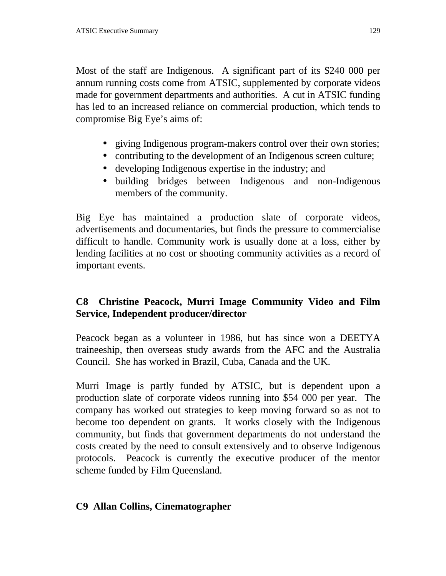Most of the staff are Indigenous. A significant part of its \$240 000 per annum running costs come from ATSIC, supplemented by corporate videos made for government departments and authorities. A cut in ATSIC funding has led to an increased reliance on commercial production, which tends to compromise Big Eye's aims of:

- giving Indigenous program-makers control over their own stories;
- contributing to the development of an Indigenous screen culture;
- developing Indigenous expertise in the industry; and
- building bridges between Indigenous and non-Indigenous members of the community.

Big Eye has maintained a production slate of corporate videos, advertisements and documentaries, but finds the pressure to commercialise difficult to handle. Community work is usually done at a loss, either by lending facilities at no cost or shooting community activities as a record of important events.

# **C8 Christine Peacock, Murri Image Community Video and Film Service, Independent producer/director**

Peacock began as a volunteer in 1986, but has since won a DEETYA traineeship, then overseas study awards from the AFC and the Australia Council. She has worked in Brazil, Cuba, Canada and the UK.

Murri Image is partly funded by ATSIC, but is dependent upon a production slate of corporate videos running into \$54 000 per year. The company has worked out strategies to keep moving forward so as not to become too dependent on grants. It works closely with the Indigenous community, but finds that government departments do not understand the costs created by the need to consult extensively and to observe Indigenous protocols. Peacock is currently the executive producer of the mentor scheme funded by Film Queensland.

### **C9 Allan Collins, Cinematographer**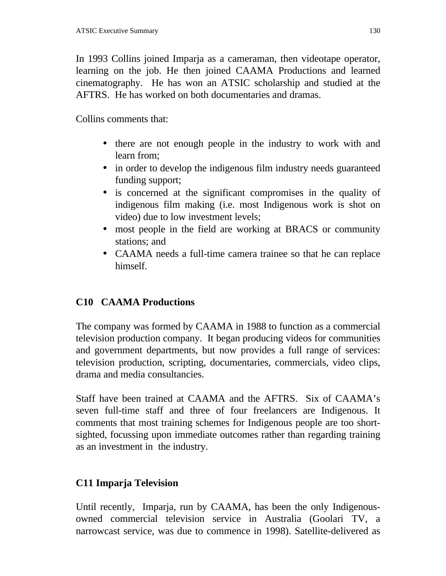In 1993 Collins joined Imparja as a cameraman, then videotape operator, learning on the job. He then joined CAAMA Productions and learned cinematography. He has won an ATSIC scholarship and studied at the AFTRS. He has worked on both documentaries and dramas.

Collins comments that:

- there are not enough people in the industry to work with and learn from;
- in order to develop the indigenous film industry needs guaranteed funding support;
- is concerned at the significant compromises in the quality of indigenous film making (i.e. most Indigenous work is shot on video) due to low investment levels;
- most people in the field are working at BRACS or community stations; and
- CAAMA needs a full-time camera trainee so that he can replace himself.

# **C10 CAAMA Productions**

The company was formed by CAAMA in 1988 to function as a commercial television production company. It began producing videos for communities and government departments, but now provides a full range of services: television production, scripting, documentaries, commercials, video clips, drama and media consultancies.

Staff have been trained at CAAMA and the AFTRS. Six of CAAMA's seven full-time staff and three of four freelancers are Indigenous. It comments that most training schemes for Indigenous people are too shortsighted, focussing upon immediate outcomes rather than regarding training as an investment in the industry.

# **C11 Imparja Television**

Until recently, Imparja, run by CAAMA, has been the only Indigenousowned commercial television service in Australia (Goolari TV, a narrowcast service, was due to commence in 1998). Satellite-delivered as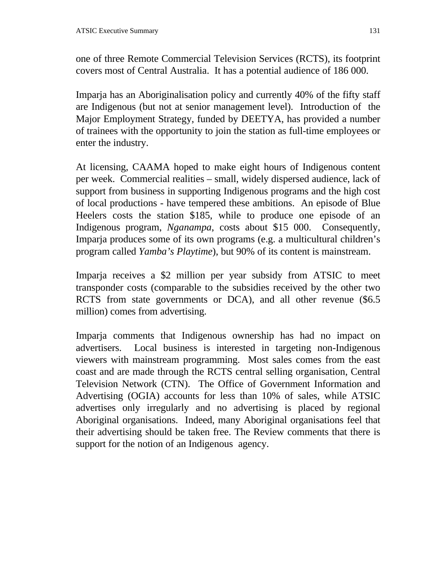one of three Remote Commercial Television Services (RCTS), its footprint covers most of Central Australia. It has a potential audience of 186 000.

Imparja has an Aboriginalisation policy and currently 40% of the fifty staff are Indigenous (but not at senior management level). Introduction of the Major Employment Strategy, funded by DEETYA, has provided a number of trainees with the opportunity to join the station as full-time employees or enter the industry.

At licensing, CAAMA hoped to make eight hours of Indigenous content per week. Commercial realities – small, widely dispersed audience, lack of support from business in supporting Indigenous programs and the high cost of local productions - have tempered these ambitions. An episode of Blue Heelers costs the station \$185, while to produce one episode of an Indigenous program, *Nganampa*, costs about \$15 000. Consequently, Imparja produces some of its own programs (e.g. a multicultural children's program called *Yamba's Playtime*), but 90% of its content is mainstream.

Imparja receives a \$2 million per year subsidy from ATSIC to meet transponder costs (comparable to the subsidies received by the other two RCTS from state governments or DCA), and all other revenue (\$6.5 million) comes from advertising.

Imparja comments that Indigenous ownership has had no impact on advertisers. Local business is interested in targeting non-Indigenous viewers with mainstream programming. Most sales comes from the east coast and are made through the RCTS central selling organisation, Central Television Network (CTN). The Office of Government Information and Advertising (OGIA) accounts for less than 10% of sales, while ATSIC advertises only irregularly and no advertising is placed by regional Aboriginal organisations. Indeed, many Aboriginal organisations feel that their advertising should be taken free. The Review comments that there is support for the notion of an Indigenous agency.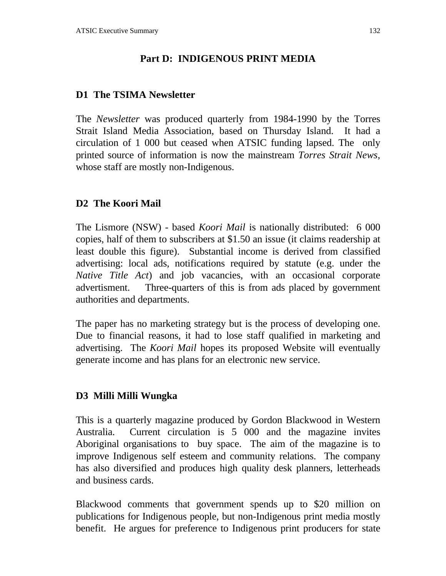## **Part D: INDIGENOUS PRINT MEDIA**

#### **D1 The TSIMA Newsletter**

The *Newsletter* was produced quarterly from 1984-1990 by the Torres Strait Island Media Association, based on Thursday Island. It had a circulation of 1 000 but ceased when ATSIC funding lapsed. The only printed source of information is now the mainstream *Torres Strait News*, whose staff are mostly non-Indigenous.

### **D2 The Koori Mail**

The Lismore (NSW) - based *Koori Mail* is nationally distributed: 6 000 copies, half of them to subscribers at \$1.50 an issue (it claims readership at least double this figure). Substantial income is derived from classified advertising: local ads, notifications required by statute (e.g. under the *Native Title Act*) and job vacancies, with an occasional corporate advertisment. Three-quarters of this is from ads placed by government authorities and departments.

The paper has no marketing strategy but is the process of developing one. Due to financial reasons, it had to lose staff qualified in marketing and advertising. The *Koori Mail* hopes its proposed Website will eventually generate income and has plans for an electronic new service.

#### **D3 Milli Milli Wungka**

This is a quarterly magazine produced by Gordon Blackwood in Western Australia. Current circulation is 5 000 and the magazine invites Aboriginal organisations to buy space. The aim of the magazine is to improve Indigenous self esteem and community relations. The company has also diversified and produces high quality desk planners, letterheads and business cards.

Blackwood comments that government spends up to \$20 million on publications for Indigenous people, but non-Indigenous print media mostly benefit. He argues for preference to Indigenous print producers for state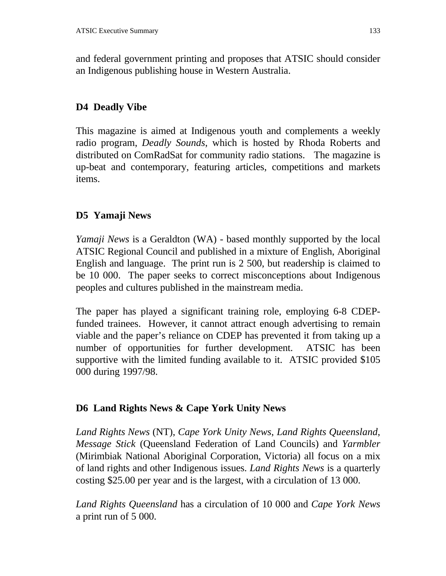and federal government printing and proposes that ATSIC should consider an Indigenous publishing house in Western Australia.

## **D4 Deadly Vibe**

This magazine is aimed at Indigenous youth and complements a weekly radio program, *Deadly Sounds*, which is hosted by Rhoda Roberts and distributed on ComRadSat for community radio stations. The magazine is up-beat and contemporary, featuring articles, competitions and markets items.

# **D5 Yamaji News**

*Yamaji News* is a Geraldton (WA) - based monthly supported by the local ATSIC Regional Council and published in a mixture of English, Aboriginal English and language. The print run is 2 500, but readership is claimed to be 10 000. The paper seeks to correct misconceptions about Indigenous peoples and cultures published in the mainstream media.

The paper has played a significant training role, employing 6-8 CDEPfunded trainees. However, it cannot attract enough advertising to remain viable and the paper's reliance on CDEP has prevented it from taking up a number of opportunities for further development. ATSIC has been supportive with the limited funding available to it. ATSIC provided \$105 000 during 1997/98.

# **D6 Land Rights News & Cape York Unity News**

*Land Rights News* (NT), *Cape York Unity News*, *Land Rights Queensland*, *Message Stick* (Queensland Federation of Land Councils) and *Yarmbler* (Mirimbiak National Aboriginal Corporation, Victoria) all focus on a mix of land rights and other Indigenous issues. *Land Rights News* is a quarterly costing \$25.00 per year and is the largest, with a circulation of 13 000.

*Land Rights Queensland* has a circulation of 10 000 and *Cape York News* a print run of 5 000.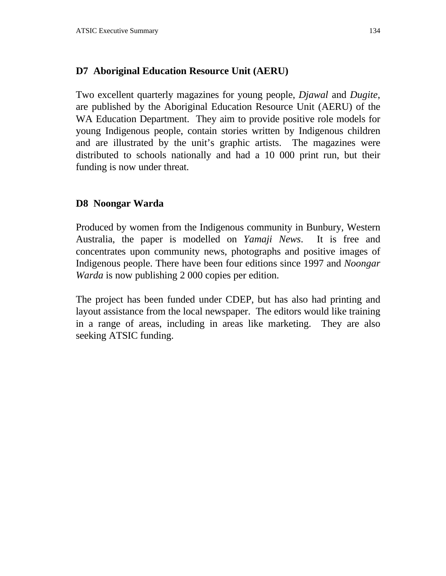### **D7 Aboriginal Education Resource Unit (AERU)**

Two excellent quarterly magazines for young people, *Djawal* and *Dugite*, are published by the Aboriginal Education Resource Unit (AERU) of the WA Education Department. They aim to provide positive role models for young Indigenous people, contain stories written by Indigenous children and are illustrated by the unit's graphic artists. The magazines were distributed to schools nationally and had a 10 000 print run, but their funding is now under threat.

#### **D8 Noongar Warda**

Produced by women from the Indigenous community in Bunbury, Western Australia, the paper is modelled on *Yamaji News*. It is free and concentrates upon community news, photographs and positive images of Indigenous people. There have been four editions since 1997 and *Noongar Warda* is now publishing 2 000 copies per edition.

The project has been funded under CDEP, but has also had printing and layout assistance from the local newspaper. The editors would like training in a range of areas, including in areas like marketing. They are also seeking ATSIC funding.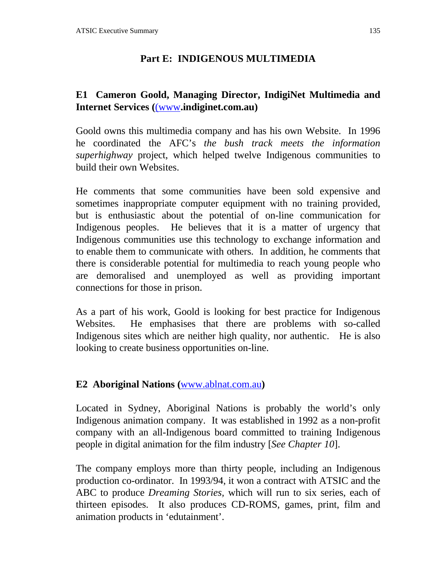### **Part E: INDIGENOUS MULTIMEDIA**

### **E1 Cameron Goold, Managing Director, IndigiNet Multimedia and Internet Services (**(www**.indiginet.com.au)**

Goold owns this multimedia company and has his own Website. In 1996 he coordinated the AFC's *the bush track meets the information superhighway* project, which helped twelve Indigenous communities to build their own Websites.

He comments that some communities have been sold expensive and sometimes inappropriate computer equipment with no training provided, but is enthusiastic about the potential of on-line communication for Indigenous peoples. He believes that it is a matter of urgency that Indigenous communities use this technology to exchange information and to enable them to communicate with others. In addition, he comments that there is considerable potential for multimedia to reach young people who are demoralised and unemployed as well as providing important connections for those in prison.

As a part of his work, Goold is looking for best practice for Indigenous Websites. He emphasises that there are problems with so-called Indigenous sites which are neither high quality, nor authentic. He is also looking to create business opportunities on-line.

#### **E2 Aboriginal Nations (**www.ablnat.com.au**)**

Located in Sydney, Aboriginal Nations is probably the world's only Indigenous animation company. It was established in 1992 as a non-profit company with an all-Indigenous board committed to training Indigenous people in digital animation for the film industry [*See Chapter 10*].

The company employs more than thirty people, including an Indigenous production co-ordinator. In 1993/94, it won a contract with ATSIC and the ABC to produce *Dreaming Stories,* which will run to six series, each of thirteen episodes. It also produces CD-ROMS, games, print, film and animation products in 'edutainment'.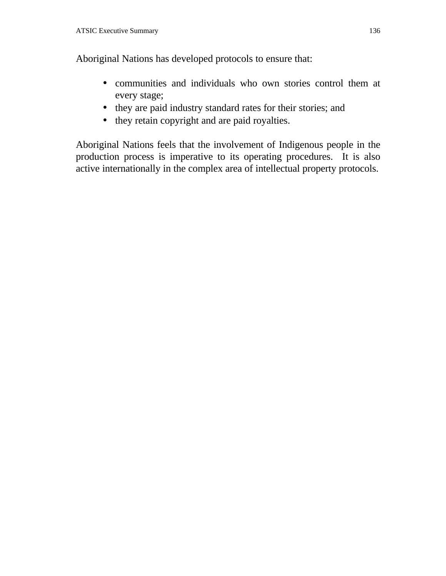Aboriginal Nations has developed protocols to ensure that:

- communities and individuals who own stories control them at every stage;
- they are paid industry standard rates for their stories; and
- they retain copyright and are paid royalties.

Aboriginal Nations feels that the involvement of Indigenous people in the production process is imperative to its operating procedures. It is also active internationally in the complex area of intellectual property protocols.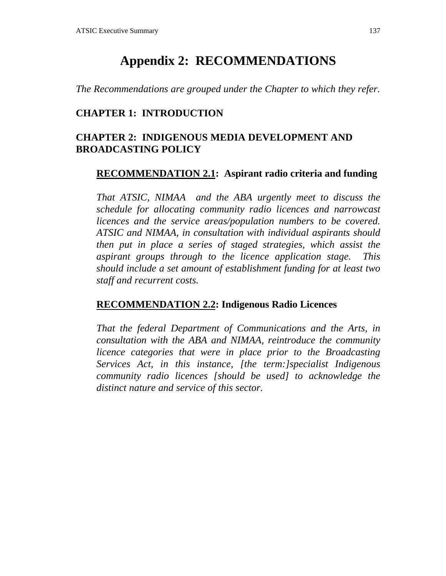# **Appendix 2: RECOMMENDATIONS**

*The Recommendations are grouped under the Chapter to which they refer.*

#### **CHAPTER 1: INTRODUCTION**

### **CHAPTER 2: INDIGENOUS MEDIA DEVELOPMENT AND BROADCASTING POLICY**

#### **RECOMMENDATION 2.1: Aspirant radio criteria and funding**

*That ATSIC, NIMAA and the ABA urgently meet to discuss the schedule for allocating community radio licences and narrowcast licences and the service areas/population numbers to be covered. ATSIC and NIMAA, in consultation with individual aspirants should then put in place a series of staged strategies, which assist the aspirant groups through to the licence application stage. This should include a set amount of establishment funding for at least two staff and recurrent costs.*

#### **RECOMMENDATION 2.2: Indigenous Radio Licences**

*That the federal Department of Communications and the Arts, in consultation with the ABA and NIMAA, reintroduce the community licence categories that were in place prior to the Broadcasting Services Act, in this instance, [the term:]specialist Indigenous community radio licences [should be used] to acknowledge the distinct nature and service of this sector.*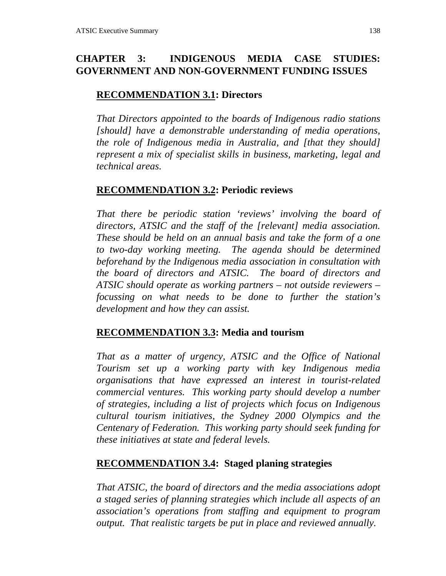# **CHAPTER 3: INDIGENOUS MEDIA CASE STUDIES: GOVERNMENT AND NON-GOVERNMENT FUNDING ISSUES**

### **RECOMMENDATION 3.1: Directors**

*That Directors appointed to the boards of Indigenous radio stations [should] have a demonstrable understanding of media operations, the role of Indigenous media in Australia, and [that they should] represent a mix of specialist skills in business, marketing, legal and technical areas.*

### **RECOMMENDATION 3.2: Periodic reviews**

*That there be periodic station 'reviews' involving the board of directors, ATSIC and the staff of the [relevant] media association. These should be held on an annual basis and take the form of a one to two-day working meeting. The agenda should be determined beforehand by the Indigenous media association in consultation with the board of directors and ATSIC. The board of directors and ATSIC should operate as working partners – not outside reviewers – focussing on what needs to be done to further the station's development and how they can assist.*

### **RECOMMENDATION 3.3: Media and tourism**

*That as a matter of urgency, ATSIC and the Office of National Tourism set up a working party with key Indigenous media organisations that have expressed an interest in tourist-related commercial ventures. This working party should develop a number of strategies, including a list of projects which focus on Indigenous cultural tourism initiatives, the Sydney 2000 Olympics and the Centenary of Federation. This working party should seek funding for these initiatives at state and federal levels.*

### **RECOMMENDATION 3.4: Staged planing strategies**

*That ATSIC, the board of directors and the media associations adopt a staged series of planning strategies which include all aspects of an association's operations from staffing and equipment to program output. That realistic targets be put in place and reviewed annually.*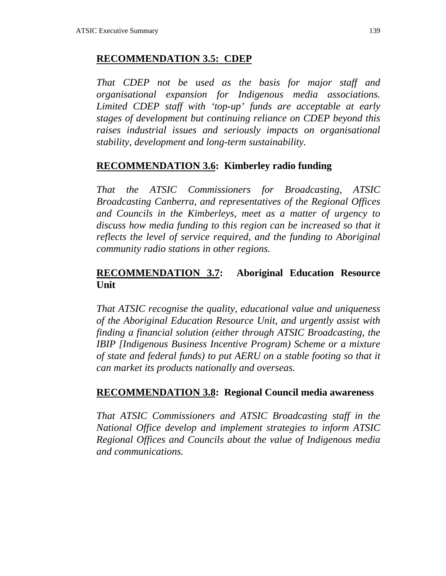#### **RECOMMENDATION 3.5: CDEP**

*That CDEP not be used as the basis for major staff and organisational expansion for Indigenous media associations. Limited CDEP staff with 'top-up' funds are acceptable at early stages of development but continuing reliance on CDEP beyond this raises industrial issues and seriously impacts on organisational stability, development and long-term sustainability.*

### **RECOMMENDATION 3.6: Kimberley radio funding**

*That the ATSIC Commissioners for Broadcasting, ATSIC Broadcasting Canberra, and representatives of the Regional Offices and Councils in the Kimberleys, meet as a matter of urgency to discuss how media funding to this region can be increased so that it reflects the level of service required, and the funding to Aboriginal community radio stations in other regions.*

### **RECOMMENDATION 3.7: Aboriginal Education Resource Unit**

*That ATSIC recognise the quality, educational value and uniqueness of the Aboriginal Education Resource Unit, and urgently assist with finding a financial solution (either through ATSIC Broadcasting, the IBIP [Indigenous Business Incentive Program) Scheme or a mixture of state and federal funds) to put AERU on a stable footing so that it can market its products nationally and overseas.*

#### **RECOMMENDATION 3.8: Regional Council media awareness**

*That ATSIC Commissioners and ATSIC Broadcasting staff in the National Office develop and implement strategies to inform ATSIC Regional Offices and Councils about the value of Indigenous media and communications.*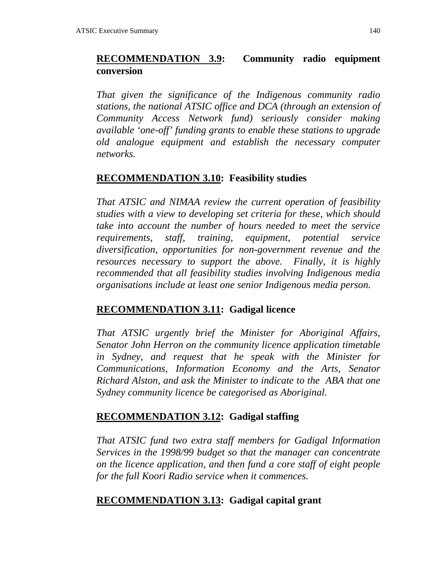### **RECOMMENDATION 3.9: Community radio equipment conversion**

*That given the significance of the Indigenous community radio stations, the national ATSIC office and DCA (through an extension of Community Access Network fund) seriously consider making available 'one-off' funding grants to enable these stations to upgrade old analogue equipment and establish the necessary computer networks.*

#### **RECOMMENDATION 3.10: Feasibility studies**

*That ATSIC and NIMAA review the current operation of feasibility studies with a view to developing set criteria for these, which should take into account the number of hours needed to meet the service requirements, staff, training, equipment, potential service diversification, opportunities for non-government revenue and the resources necessary to support the above. Finally, it is highly recommended that all feasibility studies involving Indigenous media organisations include at least one senior Indigenous media person.*

#### **RECOMMENDATION 3.11: Gadigal licence**

*That ATSIC urgently brief the Minister for Aboriginal Affairs, Senator John Herron on the community licence application timetable in Sydney, and request that he speak with the Minister for Communications, Information Economy and the Arts, Senator Richard Alston, and ask the Minister to indicate to the ABA that one Sydney community licence be categorised as Aboriginal.*

#### **RECOMMENDATION 3.12: Gadigal staffing**

*That ATSIC fund two extra staff members for Gadigal Information Services in the 1998/99 budget so that the manager can concentrate on the licence application, and then fund a core staff of eight people for the full Koori Radio service when it commences.*

#### **RECOMMENDATION 3.13: Gadigal capital grant**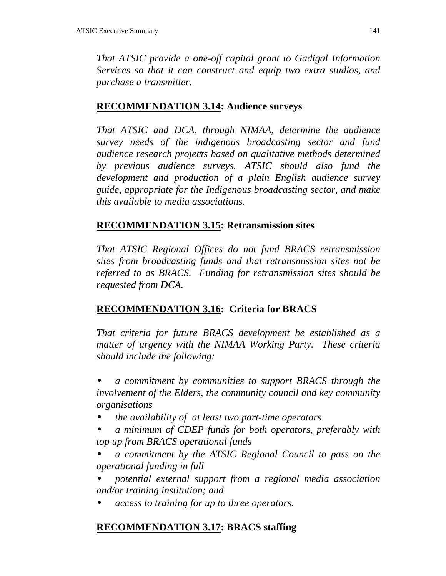*That ATSIC provide a one-off capital grant to Gadigal Information Services so that it can construct and equip two extra studios, and purchase a transmitter.*

## **RECOMMENDATION 3.14: Audience surveys**

*That ATSIC and DCA, through NIMAA, determine the audience survey needs of the indigenous broadcasting sector and fund audience research projects based on qualitative methods determined by previous audience surveys. ATSIC should also fund the development and production of a plain English audience survey guide, appropriate for the Indigenous broadcasting sector, and make this available to media associations.*

# **RECOMMENDATION 3.15: Retransmission sites**

*That ATSIC Regional Offices do not fund BRACS retransmission sites from broadcasting funds and that retransmission sites not be referred to as BRACS. Funding for retransmission sites should be requested from DCA.*

# **RECOMMENDATION 3.16: Criteria for BRACS**

*That criteria for future BRACS development be established as a matter of urgency with the NIMAA Working Party. These criteria should include the following:*

• *a commitment by communities to support BRACS through the involvement of the Elders, the community council and key community organisations*

- *the availability of at least two part-time operators*
- *a minimum of CDEP funds for both operators, preferably with top up from BRACS operational funds*

• *a commitment by the ATSIC Regional Council to pass on the operational funding in full*

- *potential external support from a regional media association and/or training institution; and*
- *access to training for up to three operators.*

# **RECOMMENDATION 3.17: BRACS staffing**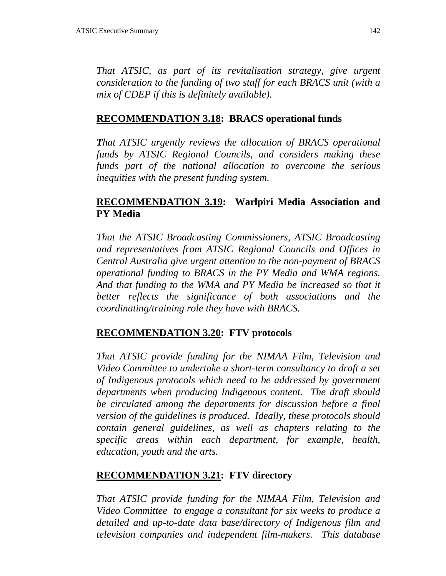*That ATSIC, as part of its revitalisation strategy, give urgent consideration to the funding of two staff for each BRACS unit (with a mix of CDEP if this is definitely available).*

#### **RECOMMENDATION 3.18: BRACS operational funds**

*That ATSIC urgently reviews the allocation of BRACS operational funds by ATSIC Regional Councils, and considers making these funds part of the national allocation to overcome the serious inequities with the present funding system.*

### **RECOMMENDATION 3.19: Warlpiri Media Association and PY Media**

*That the ATSIC Broadcasting Commissioners, ATSIC Broadcasting and representatives from ATSIC Regional Councils and Offices in Central Australia give urgent attention to the non-payment of BRACS operational funding to BRACS in the PY Media and WMA regions. And that funding to the WMA and PY Media be increased so that it better reflects the significance of both associations and the coordinating/training role they have with BRACS.*

#### **RECOMMENDATION 3.20: FTV protocols**

*That ATSIC provide funding for the NIMAA Film, Television and Video Committee to undertake a short-term consultancy to draft a set of Indigenous protocols which need to be addressed by government departments when producing Indigenous content. The draft should be circulated among the departments for discussion before a final version of the guidelines is produced. Ideally, these protocols should contain general guidelines, as well as chapters relating to the specific areas within each department, for example, health, education, youth and the arts.*

#### **RECOMMENDATION 3.21: FTV directory**

*That ATSIC provide funding for the NIMAA Film, Television and Video Committee to engage a consultant for six weeks to produce a detailed and up-to-date data base/directory of Indigenous film and television companies and independent film-makers. This database*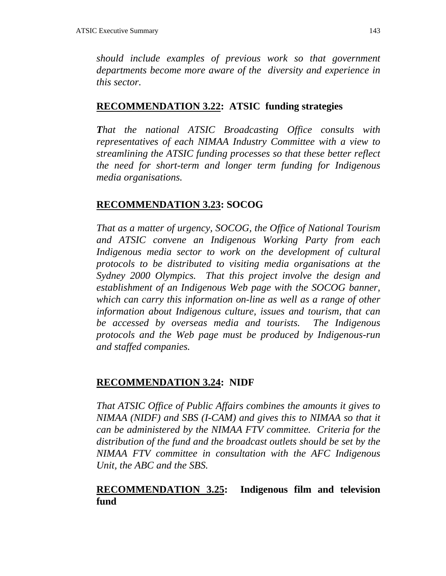*should include examples of previous work so that government departments become more aware of the diversity and experience in this sector.*

#### **RECOMMENDATION 3.22: ATSIC funding strategies**

*That the national ATSIC Broadcasting Office consults with representatives of each NIMAA Industry Committee with a view to streamlining the ATSIC funding processes so that these better reflect the need for short-term and longer term funding for Indigenous media organisations.*

#### **RECOMMENDATION 3.23: SOCOG**

*That as a matter of urgency, SOCOG, the Office of National Tourism and ATSIC convene an Indigenous Working Party from each Indigenous media sector to work on the development of cultural protocols to be distributed to visiting media organisations at the Sydney 2000 Olympics. That this project involve the design and establishment of an Indigenous Web page with the SOCOG banner, which can carry this information on-line as well as a range of other information about Indigenous culture, issues and tourism, that can be accessed by overseas media and tourists. The Indigenous protocols and the Web page must be produced by Indigenous-run and staffed companies.*

#### **RECOMMENDATION 3.24: NIDF**

*That ATSIC Office of Public Affairs combines the amounts it gives to NIMAA (NIDF) and SBS (I-CAM) and gives this to NIMAA so that it can be administered by the NIMAA FTV committee. Criteria for the distribution of the fund and the broadcast outlets should be set by the NIMAA FTV committee in consultation with the AFC Indigenous Unit, the ABC and the SBS.*

### **RECOMMENDATION 3.25: Indigenous film and television fund**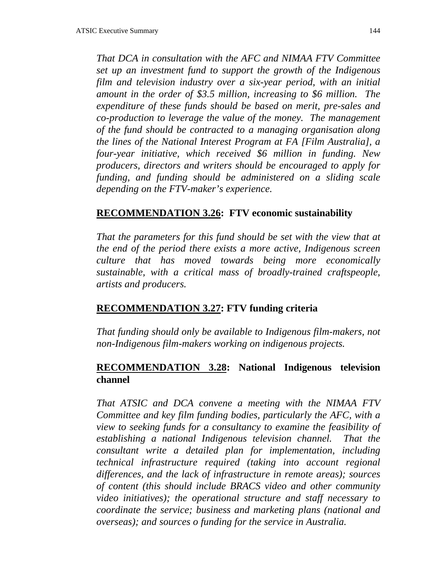*That DCA in consultation with the AFC and NIMAA FTV Committee set up an investment fund to support the growth of the Indigenous film and television industry over a six-year period, with an initial amount in the order of \$3.5 million, increasing to \$6 million. The expenditure of these funds should be based on merit, pre-sales and co-production to leverage the value of the money. The management of the fund should be contracted to a managing organisation along the lines of the National Interest Program at FA [Film Australia], a four-year initiative, which received \$6 million in funding. New producers, directors and writers should be encouraged to apply for funding, and funding should be administered on a sliding scale depending on the FTV-maker's experience.*

#### **RECOMMENDATION 3.26: FTV economic sustainability**

*That the parameters for this fund should be set with the view that at the end of the period there exists a more active, Indigenous screen culture that has moved towards being more economically sustainable, with a critical mass of broadly-trained craftspeople, artists and producers.*

#### **RECOMMENDATION 3.27: FTV funding criteria**

*That funding should only be available to Indigenous film-makers, not non-Indigenous film-makers working on indigenous projects.*

### **RECOMMENDATION 3.28: National Indigenous television channel**

*That ATSIC and DCA convene a meeting with the NIMAA FTV Committee and key film funding bodies, particularly the AFC, with a view to seeking funds for a consultancy to examine the feasibility of establishing a national Indigenous television channel. That the consultant write a detailed plan for implementation, including technical infrastructure required (taking into account regional differences, and the lack of infrastructure in remote areas); sources of content (this should include BRACS video and other community video initiatives); the operational structure and staff necessary to coordinate the service; business and marketing plans (national and overseas); and sources o funding for the service in Australia.*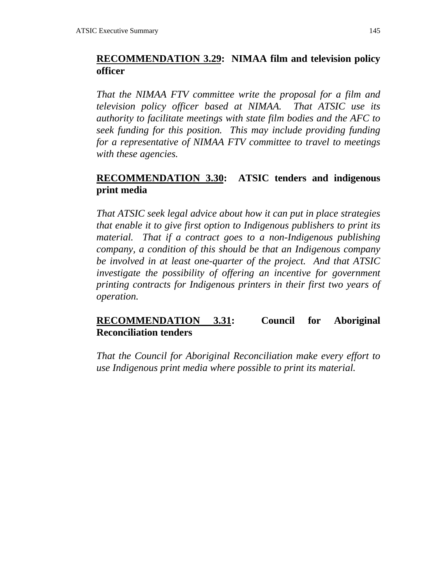## **RECOMMENDATION 3.29: NIMAA film and television policy officer**

*That the NIMAA FTV committee write the proposal for a film and television policy officer based at NIMAA. That ATSIC use its authority to facilitate meetings with state film bodies and the AFC to seek funding for this position. This may include providing funding for a representative of NIMAA FTV committee to travel to meetings with these agencies.*

## **RECOMMENDATION 3.30: ATSIC tenders and indigenous print media**

*That ATSIC seek legal advice about how it can put in place strategies that enable it to give first option to Indigenous publishers to print its material. That if a contract goes to a non-Indigenous publishing company, a condition of this should be that an Indigenous company be involved in at least one-quarter of the project. And that ATSIC investigate the possibility of offering an incentive for government printing contracts for Indigenous printers in their first two years of operation.*

### **RECOMMENDATION 3.31: Council for Aboriginal Reconciliation tenders**

*That the Council for Aboriginal Reconciliation make every effort to use Indigenous print media where possible to print its material.*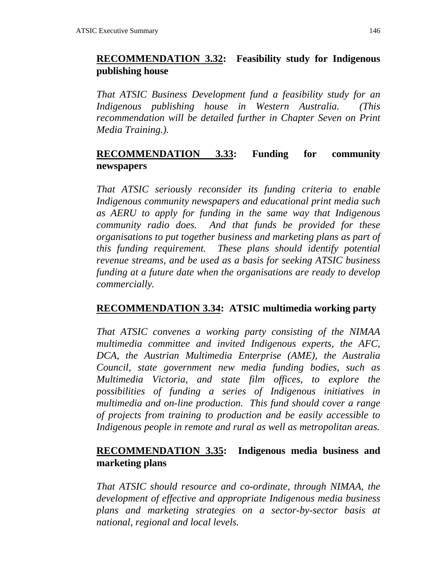## **RECOMMENDATION 3.32: Feasibility study for Indigenous publishing house**

*That ATSIC Business Development fund a feasibility study for an Indigenous publishing house in Western Australia. (This recommendation will be detailed further in Chapter Seven on Print Media Training.).*

## **RECOMMENDATION 3.33: Funding for community newspapers**

*That ATSIC seriously reconsider its funding criteria to enable Indigenous community newspapers and educational print media such as AERU to apply for funding in the same way that Indigenous community radio does. And that funds be provided for these organisations to put together business and marketing plans as part of this funding requirement. These plans should identify potential revenue streams, and be used as a basis for seeking ATSIC business funding at a future date when the organisations are ready to develop commercially.*

# **RECOMMENDATION 3.34: ATSIC multimedia working party**

*That ATSIC convenes a working party consisting of the NIMAA multimedia committee and invited Indigenous experts, the AFC, DCA, the Austrian Multimedia Enterprise (AME), the Australia Council, state government new media funding bodies, such as Multimedia Victoria, and state film offices, to explore the possibilities of funding a series of Indigenous initiatives in multimedia and on-line production. This fund should cover a range of projects from training to production and be easily accessible to Indigenous people in remote and rural as well as metropolitan areas.*

## **RECOMMENDATION 3.35: Indigenous media business and marketing plans**

*That ATSIC should resource and co-ordinate, through NIMAA, the development of effective and appropriate Indigenous media business plans and marketing strategies on a sector-by-sector basis at national, regional and local levels.*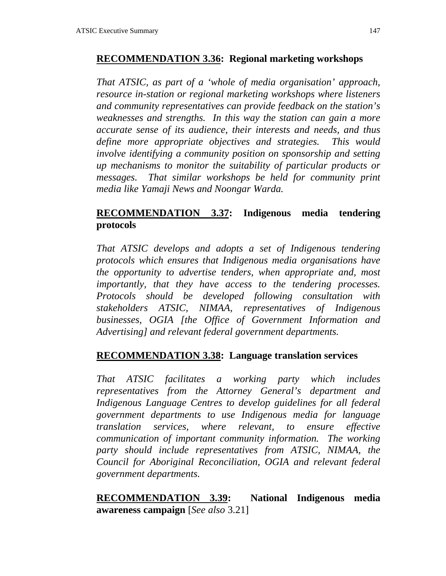#### **RECOMMENDATION 3.36: Regional marketing workshops**

*That ATSIC, as part of a 'whole of media organisation' approach, resource in-station or regional marketing workshops where listeners and community representatives can provide feedback on the station's weaknesses and strengths. In this way the station can gain a more accurate sense of its audience, their interests and needs, and thus define more appropriate objectives and strategies. This would involve identifying a community position on sponsorship and setting up mechanisms to monitor the suitability of particular products or messages. That similar workshops be held for community print media like Yamaji News and Noongar Warda.*

## **RECOMMENDATION 3.37: Indigenous media tendering protocols**

*That ATSIC develops and adopts a set of Indigenous tendering protocols which ensures that Indigenous media organisations have the opportunity to advertise tenders, when appropriate and, most importantly, that they have access to the tendering processes. Protocols should be developed following consultation with stakeholders ATSIC, NIMAA, representatives of Indigenous businesses, OGIA [the Office of Government Information and Advertising] and relevant federal government departments.*

### **RECOMMENDATION 3.38: Language translation services**

*That ATSIC facilitates a working party which includes representatives from the Attorney General's department and Indigenous Language Centres to develop guidelines for all federal government departments to use Indigenous media for language translation services, where relevant, to ensure effective communication of important community information. The working party should include representatives from ATSIC, NIMAA, the Council for Aboriginal Reconciliation, OGIA and relevant federal government departments.*

**RECOMMENDATION 3.39: National Indigenous media awareness campaign** [*See also* 3.21]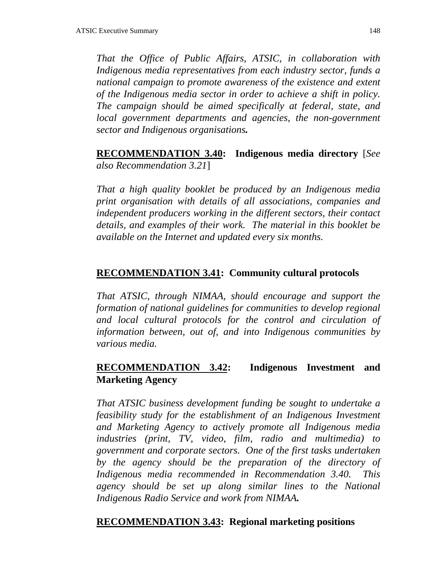*That the Office of Public Affairs, ATSIC, in collaboration with Indigenous media representatives from each industry sector, funds a national campaign to promote awareness of the existence and extent of the Indigenous media sector in order to achieve a shift in policy. The campaign should be aimed specifically at federal, state, and local government departments and agencies, the non-government sector and Indigenous organisations.*

**RECOMMENDATION 3.40: Indigenous media directory** [*See also Recommendation 3.21*]

*That a high quality booklet be produced by an Indigenous media print organisation with details of all associations, companies and independent producers working in the different sectors, their contact details, and examples of their work. The material in this booklet be available on the Internet and updated every six months.*

### **RECOMMENDATION 3.41: Community cultural protocols**

*That ATSIC, through NIMAA, should encourage and support the formation of national guidelines for communities to develop regional and local cultural protocols for the control and circulation of information between, out of, and into Indigenous communities by various media.*

### **RECOMMENDATION 3.42: Indigenous Investment and Marketing Agency**

*That ATSIC business development funding be sought to undertake a feasibility study for the establishment of an Indigenous Investment and Marketing Agency to actively promote all Indigenous media industries (print, TV, video, film, radio and multimedia) to government and corporate sectors. One of the first tasks undertaken by the agency should be the preparation of the directory of Indigenous media recommended in Recommendation 3.40. This agency should be set up along similar lines to the National Indigenous Radio Service and work from NIMAA.*

#### **RECOMMENDATION 3.43: Regional marketing positions**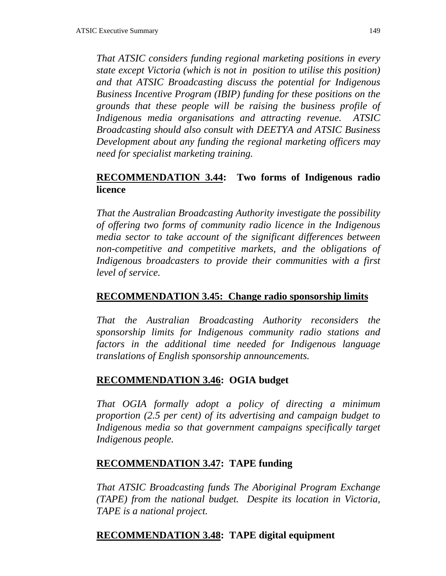*That ATSIC considers funding regional marketing positions in every state except Victoria (which is not in position to utilise this position) and that ATSIC Broadcasting discuss the potential for Indigenous Business Incentive Program (IBIP) funding for these positions on the grounds that these people will be raising the business profile of Indigenous media organisations and attracting revenue. ATSIC Broadcasting should also consult with DEETYA and ATSIC Business Development about any funding the regional marketing officers may need for specialist marketing training.*

## **RECOMMENDATION 3.44: Two forms of Indigenous radio licence**

*That the Australian Broadcasting Authority investigate the possibility of offering two forms of community radio licence in the Indigenous media sector to take account of the significant differences between non-competitive and competitive markets, and the obligations of Indigenous broadcasters to provide their communities with a first level of service.*

### **RECOMMENDATION 3.45: Change radio sponsorship limits**

*That the Australian Broadcasting Authority reconsiders the sponsorship limits for Indigenous community radio stations and factors in the additional time needed for Indigenous language translations of English sponsorship announcements.*

### **RECOMMENDATION 3.46: OGIA budget**

*That OGIA formally adopt a policy of directing a minimum proportion (2.5 per cent) of its advertising and campaign budget to Indigenous media so that government campaigns specifically target Indigenous people.*

### **RECOMMENDATION 3.47: TAPE funding**

*That ATSIC Broadcasting funds The Aboriginal Program Exchange (TAPE) from the national budget. Despite its location in Victoria, TAPE is a national project.*

### **RECOMMENDATION 3.48: TAPE digital equipment**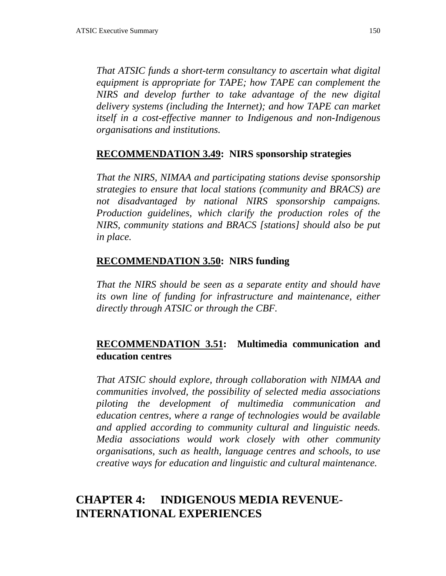*That ATSIC funds a short-term consultancy to ascertain what digital equipment is appropriate for TAPE; how TAPE can complement the NIRS and develop further to take advantage of the new digital delivery systems (including the Internet); and how TAPE can market itself in a cost-effective manner to Indigenous and non-Indigenous organisations and institutions.*

### **RECOMMENDATION 3.49: NIRS sponsorship strategies**

*That the NIRS, NIMAA and participating stations devise sponsorship strategies to ensure that local stations (community and BRACS) are not disadvantaged by national NIRS sponsorship campaigns. Production guidelines, which clarify the production roles of the NIRS, community stations and BRACS [stations] should also be put in place.*

#### **RECOMMENDATION 3.50: NIRS funding**

*That the NIRS should be seen as a separate entity and should have its own line of funding for infrastructure and maintenance, either directly through ATSIC or through the CBF.*

### **RECOMMENDATION 3.51: Multimedia communication and education centres**

*That ATSIC should explore, through collaboration with NIMAA and communities involved, the possibility of selected media associations piloting the development of multimedia communication and education centres, where a range of technologies would be available and applied according to community cultural and linguistic needs. Media associations would work closely with other community organisations, such as health, language centres and schools, to use creative ways for education and linguistic and cultural maintenance.*

# **CHAPTER 4: INDIGENOUS MEDIA REVENUE-INTERNATIONAL EXPERIENCES**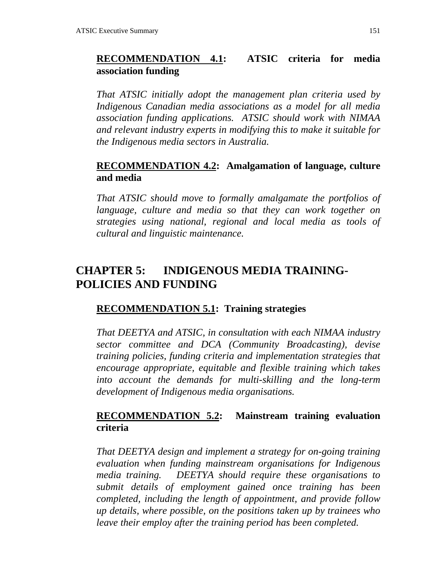## **RECOMMENDATION 4.1: ATSIC criteria for media association funding**

*That ATSIC initially adopt the management plan criteria used by Indigenous Canadian media associations as a model for all media association funding applications. ATSIC should work with NIMAA and relevant industry experts in modifying this to make it suitable for the Indigenous media sectors in Australia.*

### **RECOMMENDATION 4.2: Amalgamation of language, culture and media**

*That ATSIC should move to formally amalgamate the portfolios of language, culture and media so that they can work together on strategies using national, regional and local media as tools of cultural and linguistic maintenance.*

# **CHAPTER 5: INDIGENOUS MEDIA TRAINING-POLICIES AND FUNDING**

### **RECOMMENDATION 5.1: Training strategies**

*That DEETYA and ATSIC, in consultation with each NIMAA industry sector committee and DCA (Community Broadcasting), devise training policies, funding criteria and implementation strategies that encourage appropriate, equitable and flexible training which takes into account the demands for multi-skilling and the long-term development of Indigenous media organisations.*

## **RECOMMENDATION 5.2: Mainstream training evaluation criteria**

*That DEETYA design and implement a strategy for on-going training evaluation when funding mainstream organisations for Indigenous media training. DEETYA should require these organisations to submit details of employment gained once training has been completed, including the length of appointment, and provide follow up details, where possible, on the positions taken up by trainees who leave their employ after the training period has been completed.*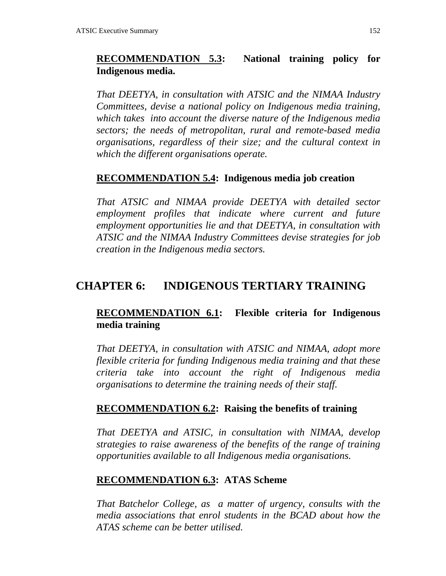## **RECOMMENDATION 5.3: National training policy for Indigenous media.**

*That DEETYA, in consultation with ATSIC and the NIMAA Industry Committees, devise a national policy on Indigenous media training, which takes into account the diverse nature of the Indigenous media sectors; the needs of metropolitan, rural and remote-based media organisations, regardless of their size; and the cultural context in which the different organisations operate.*

#### **RECOMMENDATION 5.4: Indigenous media job creation**

*That ATSIC and NIMAA provide DEETYA with detailed sector employment profiles that indicate where current and future employment opportunities lie and that DEETYA, in consultation with ATSIC and the NIMAA Industry Committees devise strategies for job creation in the Indigenous media sectors.*

## **CHAPTER 6: INDIGENOUS TERTIARY TRAINING**

## **RECOMMENDATION 6.1: Flexible criteria for Indigenous media training**

*That DEETYA, in consultation with ATSIC and NIMAA, adopt more flexible criteria for funding Indigenous media training and that these criteria take into account the right of Indigenous media organisations to determine the training needs of their staff.*

#### **RECOMMENDATION 6.2: Raising the benefits of training**

*That DEETYA and ATSIC, in consultation with NIMAA, develop strategies to raise awareness of the benefits of the range of training opportunities available to all Indigenous media organisations.*

#### **RECOMMENDATION 6.3: ATAS Scheme**

*That Batchelor College, as a matter of urgency, consults with the media associations that enrol students in the BCAD about how the ATAS scheme can be better utilised.*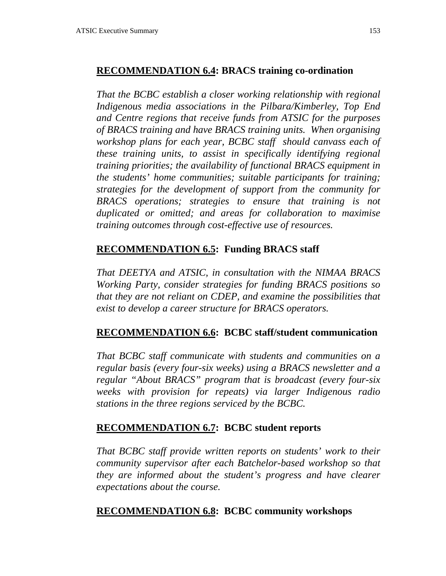### **RECOMMENDATION 6.4: BRACS training co-ordination**

*That the BCBC establish a closer working relationship with regional Indigenous media associations in the Pilbara/Kimberley, Top End and Centre regions that receive funds from ATSIC for the purposes of BRACS training and have BRACS training units. When organising workshop plans for each year, BCBC staff should canvass each of these training units, to assist in specifically identifying regional training priorities; the availability of functional BRACS equipment in the students' home communities; suitable participants for training; strategies for the development of support from the community for BRACS operations; strategies to ensure that training is not duplicated or omitted; and areas for collaboration to maximise training outcomes through cost-effective use of resources.*

## **RECOMMENDATION 6.5: Funding BRACS staff**

*That DEETYA and ATSIC, in consultation with the NIMAA BRACS Working Party, consider strategies for funding BRACS positions so that they are not reliant on CDEP, and examine the possibilities that exist to develop a career structure for BRACS operators.*

### **RECOMMENDATION 6.6: BCBC staff/student communication**

*That BCBC staff communicate with students and communities on a regular basis (every four-six weeks) using a BRACS newsletter and a regular "About BRACS" program that is broadcast (every four-six weeks with provision for repeats) via larger Indigenous radio stations in the three regions serviced by the BCBC.*

### **RECOMMENDATION 6.7: BCBC student reports**

*That BCBC staff provide written reports on students' work to their community supervisor after each Batchelor-based workshop so that they are informed about the student's progress and have clearer expectations about the course.*

### **RECOMMENDATION 6.8: BCBC community workshops**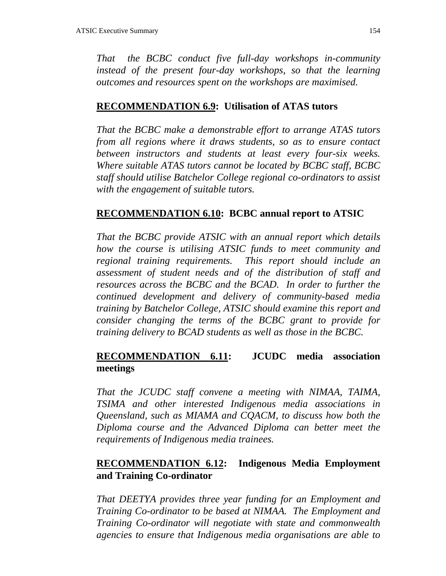*That the BCBC conduct five full-day workshops in-community instead of the present four-day workshops, so that the learning outcomes and resources spent on the workshops are maximised.*

#### **RECOMMENDATION 6.9: Utilisation of ATAS tutors**

*That the BCBC make a demonstrable effort to arrange ATAS tutors from all regions where it draws students, so as to ensure contact between instructors and students at least every four-six weeks. Where suitable ATAS tutors cannot be located by BCBC staff, BCBC staff should utilise Batchelor College regional co-ordinators to assist with the engagement of suitable tutors.*

#### **RECOMMENDATION 6.10: BCBC annual report to ATSIC**

*That the BCBC provide ATSIC with an annual report which details how the course is utilising ATSIC funds to meet community and regional training requirements. This report should include an assessment of student needs and of the distribution of staff and resources across the BCBC and the BCAD. In order to further the continued development and delivery of community-based media training by Batchelor College, ATSIC should examine this report and consider changing the terms of the BCBC grant to provide for training delivery to BCAD students as well as those in the BCBC.*

### **RECOMMENDATION 6.11: JCUDC media association meetings**

*That the JCUDC staff convene a meeting with NIMAA, TAIMA, TSIMA and other interested Indigenous media associations in Queensland, such as MIAMA and CQACM, to discuss how both the Diploma course and the Advanced Diploma can better meet the requirements of Indigenous media trainees.*

### **RECOMMENDATION 6.12: Indigenous Media Employment and Training Co-ordinator**

*That DEETYA provides three year funding for an Employment and Training Co-ordinator to be based at NIMAA. The Employment and Training Co-ordinator will negotiate with state and commonwealth agencies to ensure that Indigenous media organisations are able to*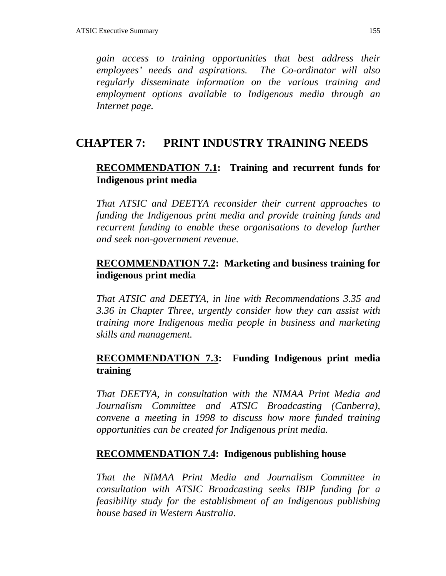*gain access to training opportunities that best address their employees' needs and aspirations. The Co-ordinator will also regularly disseminate information on the various training and employment options available to Indigenous media through an Internet page.*

# **CHAPTER 7: PRINT INDUSTRY TRAINING NEEDS**

## **RECOMMENDATION 7.1: Training and recurrent funds for Indigenous print media**

*That ATSIC and DEETYA reconsider their current approaches to funding the Indigenous print media and provide training funds and recurrent funding to enable these organisations to develop further and seek non-government revenue.*

## **RECOMMENDATION 7.2: Marketing and business training for indigenous print media**

*That ATSIC and DEETYA, in line with Recommendations 3.35 and 3.36 in Chapter Three, urgently consider how they can assist with training more Indigenous media people in business and marketing skills and management.*

## **RECOMMENDATION 7.3: Funding Indigenous print media training**

*That DEETYA, in consultation with the NIMAA Print Media and Journalism Committee and ATSIC Broadcasting (Canberra), convene a meeting in 1998 to discuss how more funded training opportunities can be created for Indigenous print media.*

### **RECOMMENDATION 7.4: Indigenous publishing house**

*That the NIMAA Print Media and Journalism Committee in consultation with ATSIC Broadcasting seeks IBIP funding for a feasibility study for the establishment of an Indigenous publishing house based in Western Australia.*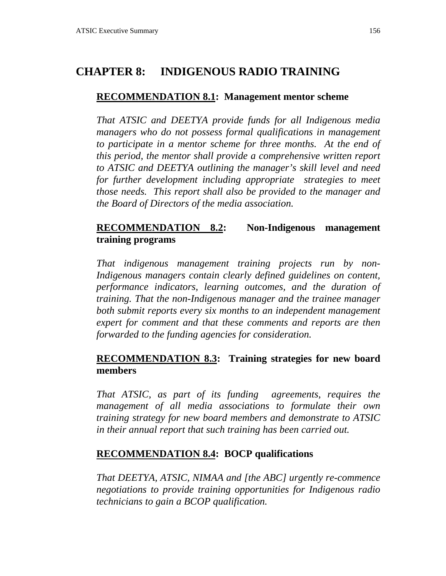# **CHAPTER 8: INDIGENOUS RADIO TRAINING**

### **RECOMMENDATION 8.1: Management mentor scheme**

*That ATSIC and DEETYA provide funds for all Indigenous media managers who do not possess formal qualifications in management to participate in a mentor scheme for three months. At the end of this period, the mentor shall provide a comprehensive written report to ATSIC and DEETYA outlining the manager's skill level and need for further development including appropriate strategies to meet those needs. This report shall also be provided to the manager and the Board of Directors of the media association.*

## **RECOMMENDATION 8.2: Non-Indigenous management training programs**

*That indigenous management training projects run by non-Indigenous managers contain clearly defined guidelines on content, performance indicators, learning outcomes, and the duration of training. That the non-Indigenous manager and the trainee manager both submit reports every six months to an independent management expert for comment and that these comments and reports are then forwarded to the funding agencies for consideration.*

## **RECOMMENDATION 8.3: Training strategies for new board members**

*That ATSIC, as part of its funding agreements, requires the management of all media associations to formulate their own training strategy for new board members and demonstrate to ATSIC in their annual report that such training has been carried out.*

## **RECOMMENDATION 8.4: BOCP qualifications**

*That DEETYA, ATSIC, NIMAA and [the ABC] urgently re-commence negotiations to provide training opportunities for Indigenous radio technicians to gain a BCOP qualification.*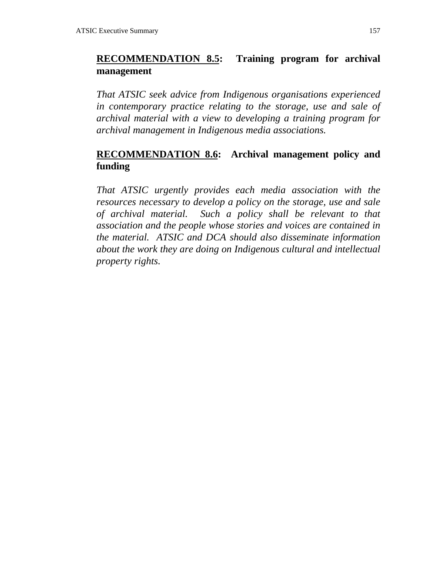## **RECOMMENDATION 8.5: Training program for archival management**

*That ATSIC seek advice from Indigenous organisations experienced in contemporary practice relating to the storage, use and sale of archival material with a view to developing a training program for archival management in Indigenous media associations.*

## **RECOMMENDATION 8.6: Archival management policy and funding**

*That ATSIC urgently provides each media association with the resources necessary to develop a policy on the storage, use and sale of archival material. Such a policy shall be relevant to that association and the people whose stories and voices are contained in the material. ATSIC and DCA should also disseminate information about the work they are doing on Indigenous cultural and intellectual property rights.*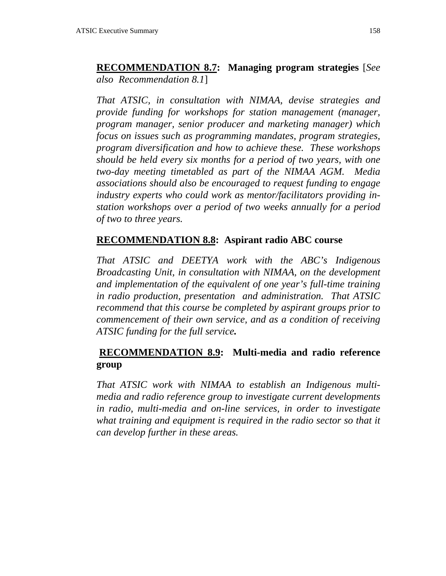**RECOMMENDATION 8.7: Managing program strategies** [*See also Recommendation 8.1*]

*That ATSIC, in consultation with NIMAA, devise strategies and provide funding for workshops for station management (manager, program manager, senior producer and marketing manager) which focus on issues such as programming mandates, program strategies, program diversification and how to achieve these. These workshops should be held every six months for a period of two years, with one two-day meeting timetabled as part of the NIMAA AGM. Media associations should also be encouraged to request funding to engage industry experts who could work as mentor/facilitators providing instation workshops over a period of two weeks annually for a period of two to three years.*

#### **RECOMMENDATION 8.8: Aspirant radio ABC course**

*That ATSIC and DEETYA work with the ABC's Indigenous Broadcasting Unit, in consultation with NIMAA, on the development and implementation of the equivalent of one year's full-time training in radio production, presentation and administration. That ATSIC recommend that this course be completed by aspirant groups prior to commencement of their own service, and as a condition of receiving ATSIC funding for the full service.*

## **RECOMMENDATION 8.9: Multi-media and radio reference group**

*That ATSIC work with NIMAA to establish an Indigenous multimedia and radio reference group to investigate current developments in radio, multi-media and on-line services, in order to investigate what training and equipment is required in the radio sector so that it can develop further in these areas.*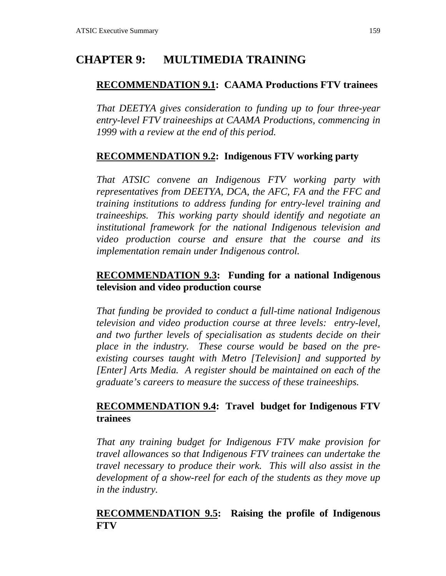# **CHAPTER 9: MULTIMEDIA TRAINING**

## **RECOMMENDATION 9.1: CAAMA Productions FTV trainees**

*That DEETYA gives consideration to funding up to four three-year entry-level FTV traineeships at CAAMA Productions, commencing in 1999 with a review at the end of this period.*

## **RECOMMENDATION 9.2: Indigenous FTV working party**

*That ATSIC convene an Indigenous FTV working party with representatives from DEETYA, DCA, the AFC, FA and the FFC and training institutions to address funding for entry-level training and traineeships. This working party should identify and negotiate an institutional framework for the national Indigenous television and video production course and ensure that the course and its implementation remain under Indigenous control.*

## **RECOMMENDATION 9.3: Funding for a national Indigenous television and video production course**

*That funding be provided to conduct a full-time national Indigenous television and video production course at three levels: entry-level, and two further levels of specialisation as students decide on their place in the industry. These course would be based on the preexisting courses taught with Metro [Television] and supported by [Enter] Arts Media. A register should be maintained on each of the graduate's careers to measure the success of these traineeships.*

## **RECOMMENDATION 9.4: Travel budget for Indigenous FTV trainees**

*That any training budget for Indigenous FTV make provision for travel allowances so that Indigenous FTV trainees can undertake the travel necessary to produce their work. This will also assist in the development of a show-reel for each of the students as they move up in the industry.*

## **RECOMMENDATION 9.5: Raising the profile of Indigenous FTV**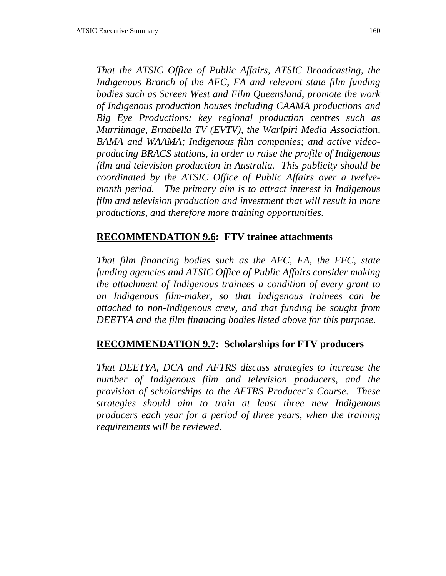*That the ATSIC Office of Public Affairs, ATSIC Broadcasting, the Indigenous Branch of the AFC, FA and relevant state film funding bodies such as Screen West and Film Queensland, promote the work of Indigenous production houses including CAAMA productions and Big Eye Productions; key regional production centres such as Murriimage, Ernabella TV (EVTV), the Warlpiri Media Association, BAMA and WAAMA; Indigenous film companies; and active videoproducing BRACS stations, in order to raise the profile of Indigenous film and television production in Australia. This publicity should be coordinated by the ATSIC Office of Public Affairs over a twelvemonth period. The primary aim is to attract interest in Indigenous film and television production and investment that will result in more productions, and therefore more training opportunities.*

## **RECOMMENDATION 9.6: FTV trainee attachments**

*That film financing bodies such as the AFC, FA, the FFC, state funding agencies and ATSIC Office of Public Affairs consider making the attachment of Indigenous trainees a condition of every grant to an Indigenous film-maker, so that Indigenous trainees can be attached to non-Indigenous crew, and that funding be sought from DEETYA and the film financing bodies listed above for this purpose.*

### **RECOMMENDATION 9.7: Scholarships for FTV producers**

*That DEETYA, DCA and AFTRS discuss strategies to increase the number of Indigenous film and television producers, and the provision of scholarships to the AFTRS Producer's Course. These strategies should aim to train at least three new Indigenous producers each year for a period of three years, when the training requirements will be reviewed.*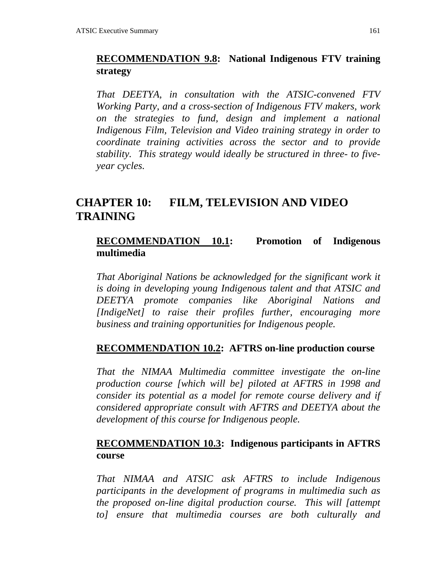## **RECOMMENDATION 9.8: National Indigenous FTV training strategy**

*That DEETYA, in consultation with the ATSIC-convened FTV Working Party, and a cross-section of Indigenous FTV makers, work on the strategies to fund, design and implement a national Indigenous Film, Television and Video training strategy in order to coordinate training activities across the sector and to provide stability. This strategy would ideally be structured in three- to fiveyear cycles.*

# **CHAPTER 10: FILM, TELEVISION AND VIDEO TRAINING**

### **RECOMMENDATION 10.1: Promotion of Indigenous multimedia**

*That Aboriginal Nations be acknowledged for the significant work it is doing in developing young Indigenous talent and that ATSIC and DEETYA promote companies like Aboriginal Nations and [IndigeNet] to raise their profiles further, encouraging more business and training opportunities for Indigenous people.*

#### **RECOMMENDATION 10.2: AFTRS on-line production course**

*That the NIMAA Multimedia committee investigate the on-line production course [which will be] piloted at AFTRS in 1998 and consider its potential as a model for remote course delivery and if considered appropriate consult with AFTRS and DEETYA about the development of this course for Indigenous people.*

### **RECOMMENDATION 10.3: Indigenous participants in AFTRS course**

*That NIMAA and ATSIC ask AFTRS to include Indigenous participants in the development of programs in multimedia such as the proposed on-line digital production course. This will [attempt to] ensure that multimedia courses are both culturally and*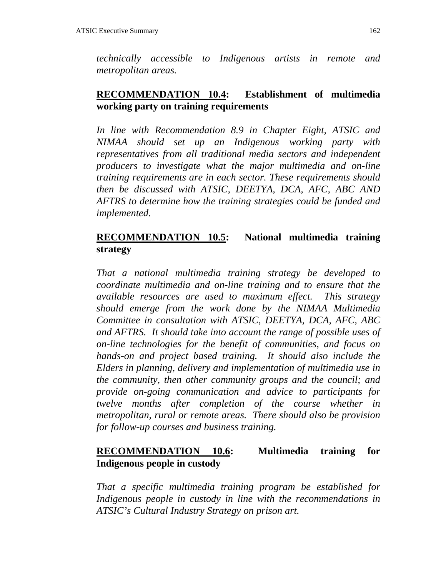*technically accessible to Indigenous artists in remote and metropolitan areas.*

## **RECOMMENDATION 10.4: Establishment of multimedia working party on training requirements**

*In line with Recommendation 8.9 in Chapter Eight, ATSIC and NIMAA should set up an Indigenous working party with representatives from all traditional media sectors and independent producers to investigate what the major multimedia and on-line training requirements are in each sector. These requirements should then be discussed with ATSIC, DEETYA, DCA, AFC, ABC AND AFTRS to determine how the training strategies could be funded and implemented.*

## **RECOMMENDATION 10.5: National multimedia training strategy**

*That a national multimedia training strategy be developed to coordinate multimedia and on-line training and to ensure that the available resources are used to maximum effect. This strategy should emerge from the work done by the NIMAA Multimedia Committee in consultation with ATSIC, DEETYA, DCA, AFC, ABC and AFTRS. It should take into account the range of possible uses of on-line technologies for the benefit of communities, and focus on hands-on and project based training. It should also include the Elders in planning, delivery and implementation of multimedia use in the community, then other community groups and the council; and provide on-going communication and advice to participants for twelve months after completion of the course whether in metropolitan, rural or remote areas. There should also be provision for follow-up courses and business training.*

## **RECOMMENDATION 10.6: Multimedia training for Indigenous people in custody**

*That a specific multimedia training program be established for Indigenous people in custody in line with the recommendations in ATSIC's Cultural Industry Strategy on prison art.*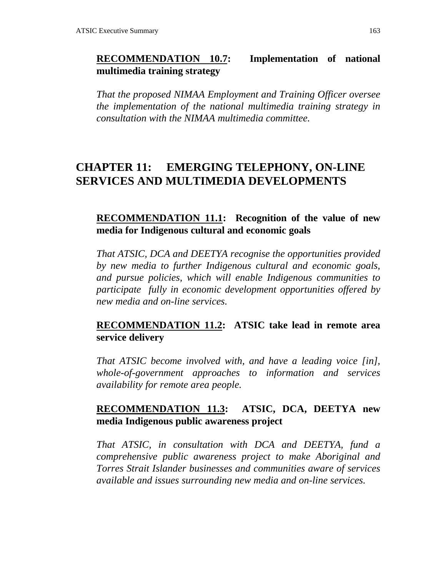## **RECOMMENDATION 10.7: Implementation of national multimedia training strategy**

*That the proposed NIMAA Employment and Training Officer oversee the implementation of the national multimedia training strategy in consultation with the NIMAA multimedia committee.*

# **CHAPTER 11: EMERGING TELEPHONY, ON-LINE SERVICES AND MULTIMEDIA DEVELOPMENTS**

### **RECOMMENDATION 11.1: Recognition of the value of new media for Indigenous cultural and economic goals**

*That ATSIC, DCA and DEETYA recognise the opportunities provided by new media to further Indigenous cultural and economic goals, and pursue policies, which will enable Indigenous communities to participate fully in economic development opportunities offered by new media and on-line services.*

## **RECOMMENDATION 11.2: ATSIC take lead in remote area service delivery**

*That ATSIC become involved with, and have a leading voice [in], whole-of-government approaches to information and services availability for remote area people.*

## **RECOMMENDATION 11.3: ATSIC, DCA, DEETYA new media Indigenous public awareness project**

*That ATSIC, in consultation with DCA and DEETYA, fund a comprehensive public awareness project to make Aboriginal and Torres Strait Islander businesses and communities aware of services available and issues surrounding new media and on-line services.*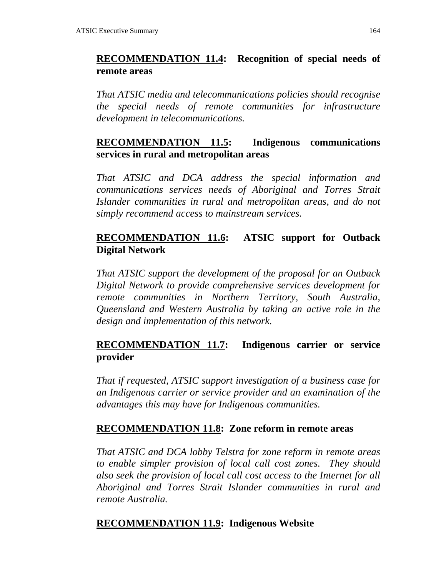## **RECOMMENDATION 11.4: Recognition of special needs of remote areas**

*That ATSIC media and telecommunications policies should recognise the special needs of remote communities for infrastructure development in telecommunications.*

## **RECOMMENDATION 11.5: Indigenous communications services in rural and metropolitan areas**

*That ATSIC and DCA address the special information and communications services needs of Aboriginal and Torres Strait Islander communities in rural and metropolitan areas, and do not simply recommend access to mainstream services.*

## **RECOMMENDATION 11.6: ATSIC support for Outback Digital Network**

*That ATSIC support the development of the proposal for an Outback Digital Network to provide comprehensive services development for remote communities in Northern Territory, South Australia, Queensland and Western Australia by taking an active role in the design and implementation of this network.*

## **RECOMMENDATION 11.7: Indigenous carrier or service provider**

*That if requested, ATSIC support investigation of a business case for an Indigenous carrier or service provider and an examination of the advantages this may have for Indigenous communities.*

### **RECOMMENDATION 11.8: Zone reform in remote areas**

*That ATSIC and DCA lobby Telstra for zone reform in remote areas to enable simpler provision of local call cost zones. They should also seek the provision of local call cost access to the Internet for all Aboriginal and Torres Strait Islander communities in rural and remote Australia.*

### **RECOMMENDATION 11.9: Indigenous Website**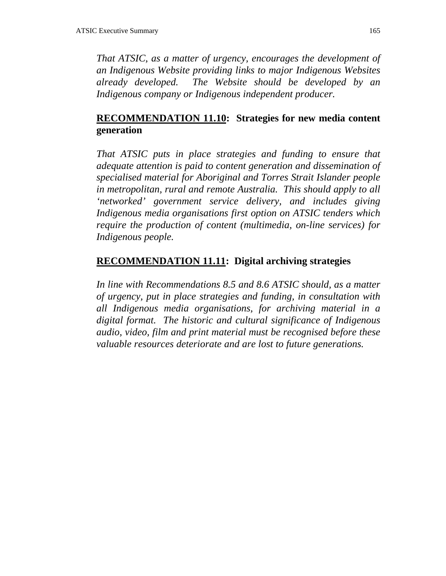*That ATSIC, as a matter of urgency, encourages the development of an Indigenous Website providing links to major Indigenous Websites already developed. The Website should be developed by an Indigenous company or Indigenous independent producer.*

## **RECOMMENDATION 11.10: Strategies for new media content generation**

*That ATSIC puts in place strategies and funding to ensure that adequate attention is paid to content generation and dissemination of specialised material for Aboriginal and Torres Strait Islander people in metropolitan, rural and remote Australia. This should apply to all 'networked' government service delivery, and includes giving Indigenous media organisations first option on ATSIC tenders which require the production of content (multimedia, on-line services) for Indigenous people.*

## **RECOMMENDATION 11.11: Digital archiving strategies**

*In line with Recommendations 8.5 and 8.6 ATSIC should, as a matter of urgency, put in place strategies and funding, in consultation with all Indigenous media organisations, for archiving material in a digital format. The historic and cultural significance of Indigenous audio, video, film and print material must be recognised before these valuable resources deteriorate and are lost to future generations.*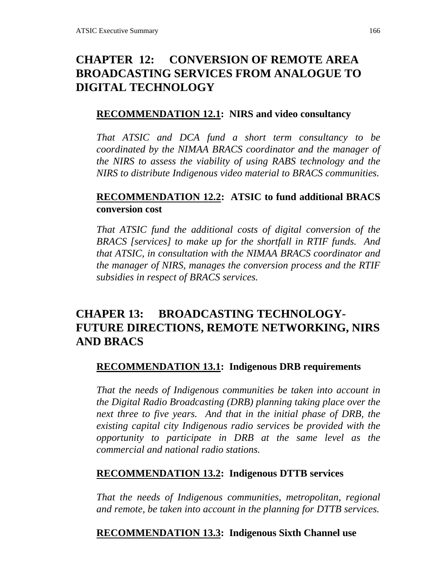# **CHAPTER 12: CONVERSION OF REMOTE AREA BROADCASTING SERVICES FROM ANALOGUE TO DIGITAL TECHNOLOGY**

## **RECOMMENDATION 12.1: NIRS and video consultancy**

*That ATSIC and DCA fund a short term consultancy to be coordinated by the NIMAA BRACS coordinator and the manager of the NIRS to assess the viability of using RABS technology and the NIRS to distribute Indigenous video material to BRACS communities.*

## **RECOMMENDATION 12.2: ATSIC to fund additional BRACS conversion cost**

*That ATSIC fund the additional costs of digital conversion of the BRACS [services] to make up for the shortfall in RTIF funds. And that ATSIC, in consultation with the NIMAA BRACS coordinator and the manager of NIRS, manages the conversion process and the RTIF subsidies in respect of BRACS services.*

# **CHAPER 13: BROADCASTING TECHNOLOGY-FUTURE DIRECTIONS, REMOTE NETWORKING, NIRS AND BRACS**

# **RECOMMENDATION 13.1: Indigenous DRB requirements**

*That the needs of Indigenous communities be taken into account in the Digital Radio Broadcasting (DRB) planning taking place over the next three to five years. And that in the initial phase of DRB, the existing capital city Indigenous radio services be provided with the opportunity to participate in DRB at the same level as the commercial and national radio stations.*

# **RECOMMENDATION 13.2: Indigenous DTTB services**

*That the needs of Indigenous communities, metropolitan, regional and remote, be taken into account in the planning for DTTB services.*

# **RECOMMENDATION 13.3: Indigenous Sixth Channel use**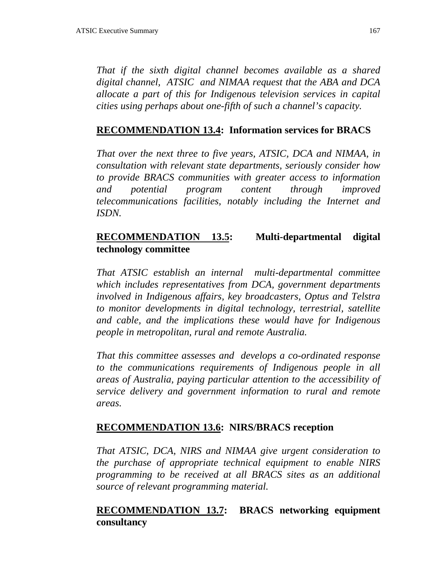*That if the sixth digital channel becomes available as a shared digital channel, ATSIC and NIMAA request that the ABA and DCA allocate a part of this for Indigenous television services in capital cities using perhaps about one-fifth of such a channel's capacity.*

## **RECOMMENDATION 13.4: Information services for BRACS**

*That over the next three to five years, ATSIC, DCA and NIMAA, in consultation with relevant state departments, seriously consider how to provide BRACS communities with greater access to information and potential program content through improved telecommunications facilities, notably including the Internet and ISDN.*

## **RECOMMENDATION 13.5: Multi-departmental digital technology committee**

*That ATSIC establish an internal multi-departmental committee which includes representatives from DCA, government departments involved in Indigenous affairs, key broadcasters, Optus and Telstra to monitor developments in digital technology, terrestrial, satellite and cable, and the implications these would have for Indigenous people in metropolitan, rural and remote Australia.*

*That this committee assesses and develops a co-ordinated response to the communications requirements of Indigenous people in all areas of Australia, paying particular attention to the accessibility of service delivery and government information to rural and remote areas.*

### **RECOMMENDATION 13.6: NIRS/BRACS reception**

*That ATSIC, DCA, NIRS and NIMAA give urgent consideration to the purchase of appropriate technical equipment to enable NIRS programming to be received at all BRACS sites as an additional source of relevant programming material.*

### **RECOMMENDATION 13.7: BRACS networking equipment consultancy**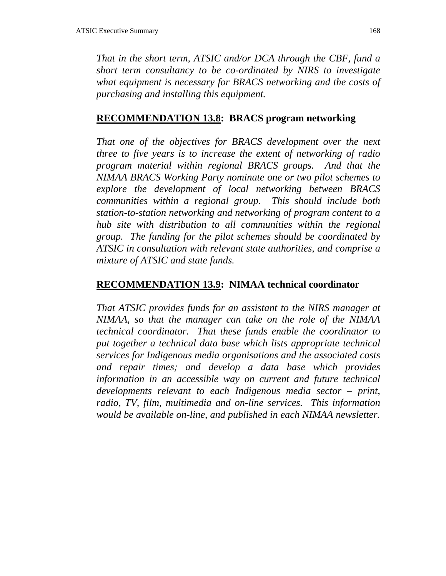*That in the short term, ATSIC and/or DCA through the CBF, fund a short term consultancy to be co-ordinated by NIRS to investigate what equipment is necessary for BRACS networking and the costs of purchasing and installing this equipment.*

## **RECOMMENDATION 13.8: BRACS program networking**

*That one of the objectives for BRACS development over the next three to five years is to increase the extent of networking of radio program material within regional BRACS groups. And that the NIMAA BRACS Working Party nominate one or two pilot schemes to explore the development of local networking between BRACS communities within a regional group. This should include both station-to-station networking and networking of program content to a hub site with distribution to all communities within the regional group. The funding for the pilot schemes should be coordinated by ATSIC in consultation with relevant state authorities, and comprise a mixture of ATSIC and state funds.*

#### **RECOMMENDATION 13.9: NIMAA technical coordinator**

*That ATSIC provides funds for an assistant to the NIRS manager at NIMAA, so that the manager can take on the role of the NIMAA technical coordinator. That these funds enable the coordinator to put together a technical data base which lists appropriate technical services for Indigenous media organisations and the associated costs and repair times; and develop a data base which provides information in an accessible way on current and future technical developments relevant to each Indigenous media sector – print, radio, TV, film, multimedia and on-line services. This information would be available on-line, and published in each NIMAA newsletter.*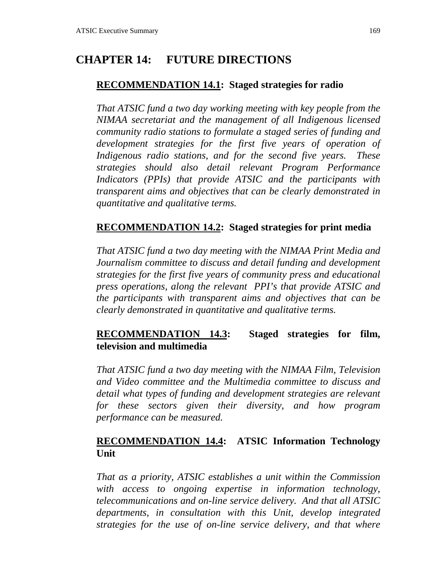# **CHAPTER 14: FUTURE DIRECTIONS**

## **RECOMMENDATION 14.1: Staged strategies for radio**

*That ATSIC fund a two day working meeting with key people from the NIMAA secretariat and the management of all Indigenous licensed community radio stations to formulate a staged series of funding and development strategies for the first five years of operation of Indigenous radio stations, and for the second five years. These strategies should also detail relevant Program Performance Indicators (PPIs) that provide ATSIC and the participants with transparent aims and objectives that can be clearly demonstrated in quantitative and qualitative terms.*

## **RECOMMENDATION 14.2: Staged strategies for print media**

*That ATSIC fund a two day meeting with the NIMAA Print Media and Journalism committee to discuss and detail funding and development strategies for the first five years of community press and educational press operations, along the relevant PPI's that provide ATSIC and the participants with transparent aims and objectives that can be clearly demonstrated in quantitative and qualitative terms.*

## **RECOMMENDATION 14.3: Staged strategies for film, television and multimedia**

*That ATSIC fund a two day meeting with the NIMAA Film, Television and Video committee and the Multimedia committee to discuss and detail what types of funding and development strategies are relevant for these sectors given their diversity, and how program performance can be measured.*

## **RECOMMENDATION 14.4: ATSIC Information Technology Unit**

*That as a priority, ATSIC establishes a unit within the Commission with access to ongoing expertise in information technology, telecommunications and on-line service delivery. And that all ATSIC departments, in consultation with this Unit, develop integrated strategies for the use of on-line service delivery, and that where*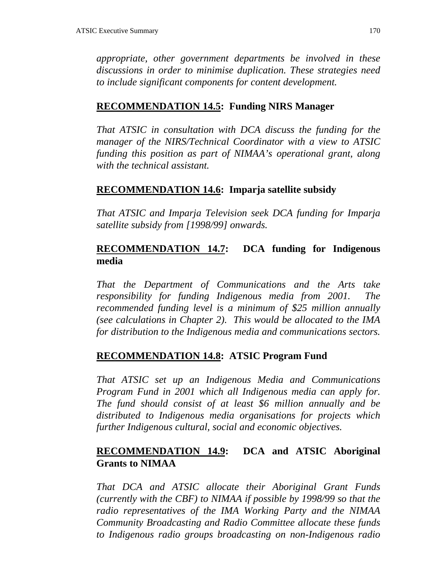*appropriate, other government departments be involved in these discussions in order to minimise duplication. These strategies need to include significant components for content development.*

### **RECOMMENDATION 14.5: Funding NIRS Manager**

*That ATSIC in consultation with DCA discuss the funding for the manager of the NIRS/Technical Coordinator with a view to ATSIC funding this position as part of NIMAA's operational grant, along with the technical assistant.*

### **RECOMMENDATION 14.6: Imparja satellite subsidy**

*That ATSIC and Imparja Television seek DCA funding for Imparja satellite subsidy from [1998/99] onwards.*

## **RECOMMENDATION 14.7: DCA funding for Indigenous media**

*That the Department of Communications and the Arts take responsibility for funding Indigenous media from 2001. The recommended funding level is a minimum of \$25 million annually (see calculations in Chapter 2). This would be allocated to the IMA for distribution to the Indigenous media and communications sectors.*

## **RECOMMENDATION 14.8: ATSIC Program Fund**

*That ATSIC set up an Indigenous Media and Communications Program Fund in 2001 which all Indigenous media can apply for. The fund should consist of at least \$6 million annually and be distributed to Indigenous media organisations for projects which further Indigenous cultural, social and economic objectives.*

## **RECOMMENDATION 14.9: DCA and ATSIC Aboriginal Grants to NIMAA**

*That DCA and ATSIC allocate their Aboriginal Grant Funds (currently with the CBF) to NIMAA if possible by 1998/99 so that the radio representatives of the IMA Working Party and the NIMAA Community Broadcasting and Radio Committee allocate these funds to Indigenous radio groups broadcasting on non-Indigenous radio*